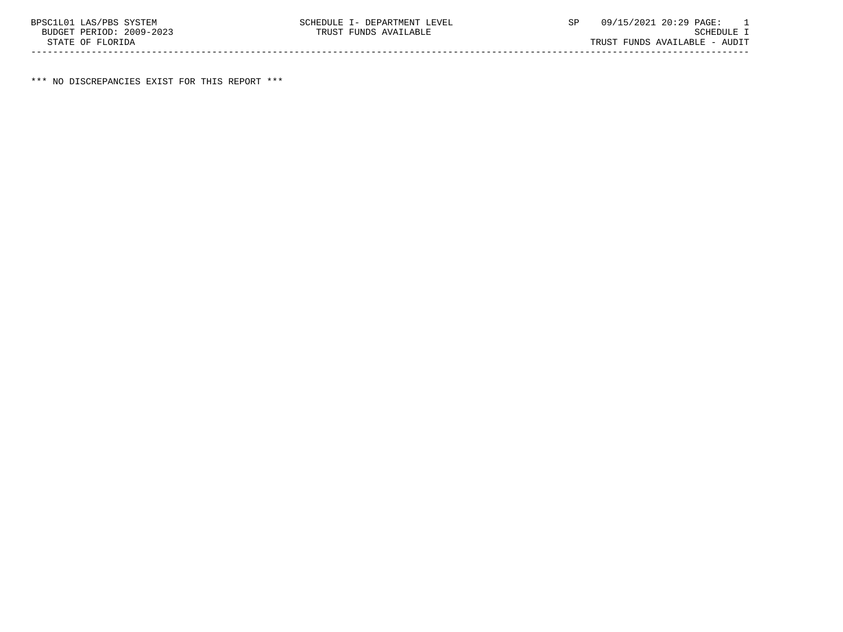\*\*\* NO DISCREPANCIES EXIST FOR THIS REPORT \*\*\*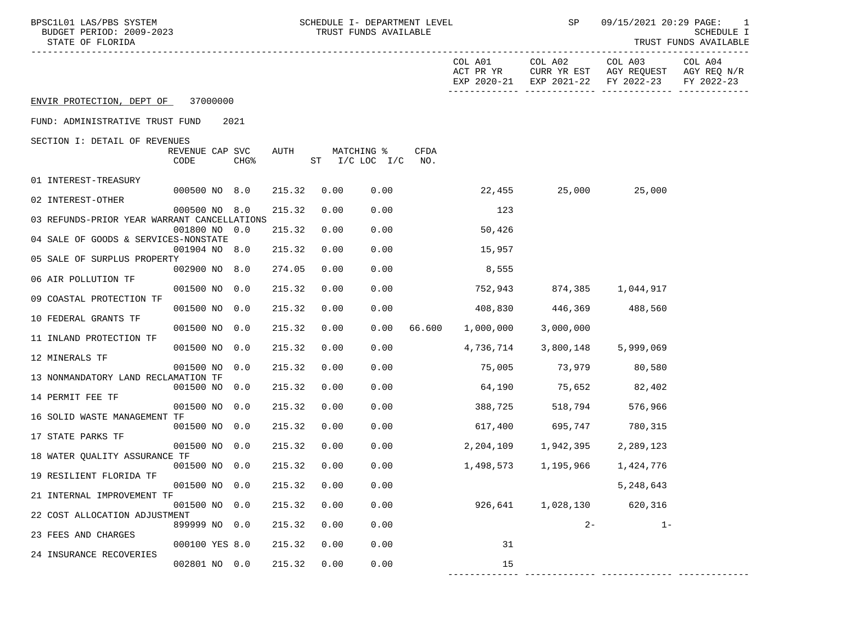| BPSC1L01 LAS/PBS SYSTEM<br>BUDGET PERIOD: 2009-2023<br>STATE OF FLORIDA |                         |                  |        | TRUST FUNDS AVAILABLE            |      | SCHEDULE I- DEPARTMENT LEVEL |                      | SP                                 |                                                              | 09/15/2021 20:29 PAGE: 1<br>SCHEDULE I<br>TRUST FUNDS AVAILABLE |
|-------------------------------------------------------------------------|-------------------------|------------------|--------|----------------------------------|------|------------------------------|----------------------|------------------------------------|--------------------------------------------------------------|-----------------------------------------------------------------|
|                                                                         |                         |                  |        |                                  |      |                              | COL A01<br>ACT PR YR | COL A02<br>EXP 2020-21 EXP 2021-22 | COL A03<br>CURR YR EST AGY REQUEST AGY REQ N/R<br>FY 2022-23 | COL A04<br>FY 2022-23                                           |
| ENVIR PROTECTION, DEPT OF 37000000                                      |                         |                  |        |                                  |      |                              |                      |                                    |                                                              |                                                                 |
| FUND: ADMINISTRATIVE TRUST FUND                                         |                         | 2021             |        |                                  |      |                              |                      |                                    |                                                              |                                                                 |
| SECTION I: DETAIL OF REVENUES                                           |                         |                  |        |                                  |      |                              |                      |                                    |                                                              |                                                                 |
|                                                                         | REVENUE CAP SVC<br>CODE | CHG <sup>8</sup> | AUTH   | MATCHING %<br>ST I/C LOC I/C NO. |      | CFDA                         |                      |                                    |                                                              |                                                                 |
| 01 INTEREST-TREASURY                                                    |                         |                  |        |                                  |      |                              |                      |                                    |                                                              |                                                                 |
| 02 INTEREST-OTHER                                                       | 000500 NO 8.0           |                  | 215.32 | 0.00                             | 0.00 |                              |                      | 22,455 25,000 25,000               |                                                              |                                                                 |
|                                                                         | 000500 NO 8.0           |                  | 215.32 | 0.00                             | 0.00 |                              | 123                  |                                    |                                                              |                                                                 |
| 03 REFUNDS-PRIOR YEAR WARRANT CANCELLATIONS                             | 001800 NO 0.0           |                  | 215.32 | 0.00                             | 0.00 |                              | 50,426               |                                    |                                                              |                                                                 |
| 04 SALE OF GOODS & SERVICES-NONSTATE                                    | 001904 NO 8.0           |                  | 215.32 | 0.00                             | 0.00 |                              | 15,957               |                                    |                                                              |                                                                 |
| 05 SALE OF SURPLUS PROPERTY                                             |                         |                  |        |                                  |      |                              |                      |                                    |                                                              |                                                                 |
| 06 AIR POLLUTION TF                                                     | 002900 NO 8.0           |                  | 274.05 | 0.00                             | 0.00 |                              | 8,555                |                                    |                                                              |                                                                 |
| 09 COASTAL PROTECTION TF                                                | 001500 NO 0.0           |                  | 215.32 | 0.00                             | 0.00 |                              | 752,943              | 874,385 1,044,917                  |                                                              |                                                                 |
|                                                                         | 001500 NO 0.0           |                  | 215.32 | 0.00                             | 0.00 |                              | 408,830              | 446,369 488,560                    |                                                              |                                                                 |
| 10 FEDERAL GRANTS TF                                                    | 001500 NO 0.0           |                  | 215.32 | 0.00                             | 0.00 | 66.600                       | 1,000,000            | 3,000,000                          |                                                              |                                                                 |
| 11 INLAND PROTECTION TF                                                 | 001500 NO 0.0           |                  | 215.32 | 0.00                             | 0.00 |                              | 4,736,714            | 3,800,148                          | 5,999,069                                                    |                                                                 |
| 12 MINERALS TF                                                          |                         |                  |        |                                  |      |                              |                      |                                    |                                                              |                                                                 |
| 13 NONMANDATORY LAND RECLAMATION TF                                     | 001500 NO 0.0           |                  | 215.32 | 0.00                             | 0.00 |                              | 75,005               | 73,979 80,580                      |                                                              |                                                                 |
|                                                                         | 001500 NO 0.0           |                  | 215.32 | 0.00                             | 0.00 |                              |                      | 64,190 75,652 82,402               |                                                              |                                                                 |
| 14 PERMIT FEE TF                                                        | 001500 NO 0.0           |                  | 215.32 | 0.00                             | 0.00 |                              | 388,725              | 518,794                            | 576,966                                                      |                                                                 |
| 16 SOLID WASTE MANAGEMENT TF                                            | 001500 NO 0.0           |                  | 215.32 | 0.00                             | 0.00 |                              | 617,400              | 695,747                            | 780,315                                                      |                                                                 |
| 17 STATE PARKS TF                                                       |                         |                  |        |                                  |      |                              |                      |                                    |                                                              |                                                                 |
| 18 WATER QUALITY ASSURANCE TF                                           | 001500 NO 0.0           |                  | 215.32 | 0.00                             | 0.00 |                              | 2,204,109            | 1,942,395                          | 2,289,123                                                    |                                                                 |
| 19 RESILIENT FLORIDA TF                                                 | 001500 NO 0.0           |                  | 215.32 | 0.00                             | 0.00 |                              | 1,498,573            | 1,195,966                          | 1,424,776                                                    |                                                                 |
|                                                                         | 001500 NO 0.0           |                  | 215.32 | 0.00                             | 0.00 |                              |                      |                                    | 5,248,643                                                    |                                                                 |
| 21 INTERNAL IMPROVEMENT TF                                              | 001500 NO 0.0           |                  | 215.32 | 0.00                             | 0.00 |                              | 926,641              | 1,028,130                          | 620,316                                                      |                                                                 |
| 22 COST ALLOCATION ADJUSTMENT                                           | 899999 NO 0.0           |                  | 215.32 | 0.00                             | 0.00 |                              |                      | $2 -$                              | $1 -$                                                        |                                                                 |
| 23 FEES AND CHARGES                                                     |                         |                  |        |                                  |      |                              |                      |                                    |                                                              |                                                                 |
| 24 INSURANCE RECOVERIES                                                 | 000100 YES 8.0          |                  | 215.32 | 0.00                             | 0.00 |                              | 31                   |                                    |                                                              |                                                                 |
|                                                                         | 002801 NO 0.0           |                  | 215.32 | 0.00                             | 0.00 |                              | 15                   |                                    |                                                              |                                                                 |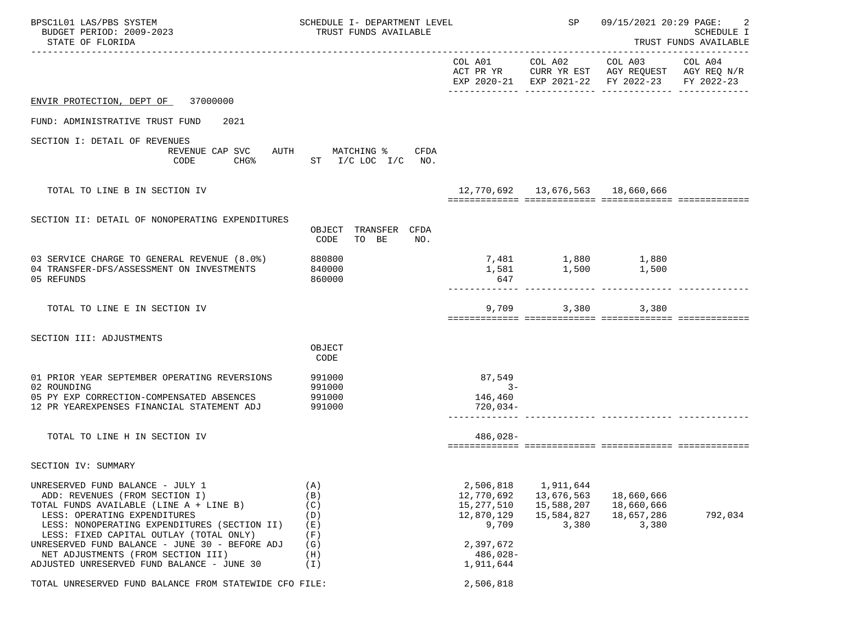| BPSC1L01 LAS/PBS SYSTEM<br>BUDGET PERIOD: 2009-2023<br>STATE OF FLORIDA                                                                                                                                                                                                                                                                                                        | SCHEDULE I- DEPARTMENT LEVEL<br>TRUST FUNDS AVAILABLE       |                                                                                                      | SP                                                           | 09/15/2021 20:29 PAGE:<br><b>SCHEDULE I</b><br>TRUST FUNDS AVAILABLE                                                      |         |
|--------------------------------------------------------------------------------------------------------------------------------------------------------------------------------------------------------------------------------------------------------------------------------------------------------------------------------------------------------------------------------|-------------------------------------------------------------|------------------------------------------------------------------------------------------------------|--------------------------------------------------------------|---------------------------------------------------------------------------------------------------------------------------|---------|
|                                                                                                                                                                                                                                                                                                                                                                                |                                                             |                                                                                                      |                                                              | COL A01 COL A02 COL A03<br>ACT PR YR CURR YR EST AGY REQUEST AGY REQ N/R<br>EXP 2020-21 EXP 2021-22 FY 2022-23 FY 2022-23 | COL A04 |
| ENVIR PROTECTION, DEPT OF 37000000                                                                                                                                                                                                                                                                                                                                             |                                                             |                                                                                                      |                                                              |                                                                                                                           |         |
| FUND: ADMINISTRATIVE TRUST FUND<br>2021                                                                                                                                                                                                                                                                                                                                        |                                                             |                                                                                                      |                                                              |                                                                                                                           |         |
| SECTION I: DETAIL OF REVENUES<br>REVENUE CAP SVC<br>CODE                                                                                                                                                                                                                                                                                                                       | AUTH MATCHING % CFDA<br>CHG <sup>%</sup> ST I/C LOC I/C NO. |                                                                                                      |                                                              |                                                                                                                           |         |
| TOTAL TO LINE B IN SECTION IV                                                                                                                                                                                                                                                                                                                                                  |                                                             |                                                                                                      |                                                              | 12,770,692  13,676,563  18,660,666                                                                                        |         |
| SECTION II: DETAIL OF NONOPERATING EXPENDITURES                                                                                                                                                                                                                                                                                                                                | OBJECT TRANSFER CFDA<br>TO BE<br>CODE<br>NO.                |                                                                                                      |                                                              |                                                                                                                           |         |
| 03 SERVICE CHARGE TO GENERAL REVENUE (8.0%)<br>04 TRANSFER-DFS/ASSESSMENT ON INVESTMENTS<br>05 REFUNDS                                                                                                                                                                                                                                                                         | 880800<br>840000<br>860000                                  | 647                                                                                                  |                                                              | 7,481 1,880 1,880<br>1,581 1,500 1,500                                                                                    |         |
| TOTAL TO LINE E IN SECTION IV                                                                                                                                                                                                                                                                                                                                                  |                                                             |                                                                                                      | 9,709                                                        | 3,380<br>3,380                                                                                                            |         |
| SECTION III: ADJUSTMENTS                                                                                                                                                                                                                                                                                                                                                       | OBJECT<br>CODE                                              |                                                                                                      |                                                              |                                                                                                                           |         |
| 01 PRIOR YEAR SEPTEMBER OPERATING REVERSIONS<br>02 ROUNDING<br>05 PY EXP CORRECTION-COMPENSATED ABSENCES<br>12 PR YEAREXPENSES FINANCIAL STATEMENT ADJ                                                                                                                                                                                                                         | 991000<br>991000<br>991000<br>991000                        | 87,549<br>$3 -$<br>146,460<br>720,034-                                                               |                                                              |                                                                                                                           |         |
| TOTAL TO LINE H IN SECTION IV                                                                                                                                                                                                                                                                                                                                                  |                                                             | $486,028-$                                                                                           |                                                              |                                                                                                                           |         |
| SECTION IV: SUMMARY                                                                                                                                                                                                                                                                                                                                                            |                                                             |                                                                                                      |                                                              |                                                                                                                           |         |
| UNRESERVED FUND BALANCE - JULY 1<br>ADD: REVENUES (FROM SECTION I)<br>TOTAL FUNDS AVAILABLE (LINE A + LINE B)<br>LESS: OPERATING EXPENDITURES<br>LESS: NONOPERATING EXPENDITURES (SECTION II)<br>LESS: FIXED CAPITAL OUTLAY (TOTAL ONLY)<br>UNRESERVED FUND BALANCE - JUNE 30 - BEFORE ADJ<br>NET ADJUSTMENTS (FROM SECTION III)<br>ADJUSTED UNRESERVED FUND BALANCE - JUNE 30 | (A)<br>(B)<br>(C)<br>(D)<br>(E)<br>(F)<br>(G)<br>(H)<br>(I) | 2,506,818<br>12,770,692<br>15,277,510<br>12,870,129<br>9,709<br>2,397,672<br>$486,028-$<br>1,911,644 | 1,911,644<br>13,676,563<br>15,588,207<br>15,584,827<br>3,380 | 18,660,666<br>18,660,666<br>18,657,286<br>3,380                                                                           | 792,034 |
| TOTAL UNRESERVED FUND BALANCE FROM STATEWIDE CFO FILE:                                                                                                                                                                                                                                                                                                                         |                                                             | 2,506,818                                                                                            |                                                              |                                                                                                                           |         |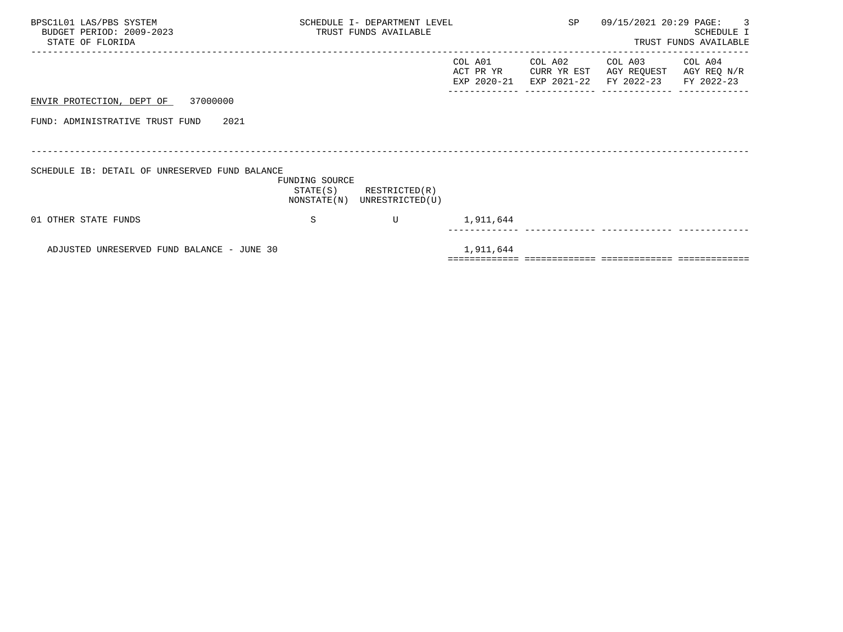| BPSC1L01 LAS/PBS SYSTEM<br>BUDGET PERIOD: 2009-2023<br>STATE OF FLORIDA |                            | SCHEDULE I- DEPARTMENT LEVEL<br>TRUST FUNDS AVAILABLE | SP                                  | 09/15/2021 20:29 PAGE: | $\overline{\phantom{a}}$ 3<br>SCHEDULE I<br>TRUST FUNDS AVAILABLE |                                      |
|-------------------------------------------------------------------------|----------------------------|-------------------------------------------------------|-------------------------------------|------------------------|-------------------------------------------------------------------|--------------------------------------|
|                                                                         |                            |                                                       | COL A01<br>ACT PR YR<br>EXP 2020-21 | COL A02<br>CURR YR EST | COL A03<br>AGY REQUEST<br>EXP 2021-22 FY 2022-23                  | COL A04<br>AGY REQ N/R<br>FY 2022-23 |
| ENVIR PROTECTION, DEPT OF 37000000                                      |                            |                                                       |                                     |                        |                                                                   |                                      |
| 2021<br>FUND: ADMINISTRATIVE TRUST FUND                                 |                            |                                                       |                                     |                        |                                                                   |                                      |
|                                                                         |                            |                                                       |                                     |                        |                                                                   |                                      |
| SCHEDULE IB: DETAIL OF UNRESERVED FUND BALANCE                          | FUNDING SOURCE<br>STATE(S) | RESTRICTED(R)<br>NONSTATE(N) UNRESTRICTED(U)          |                                     |                        |                                                                   |                                      |
| 01 OTHER STATE FUNDS                                                    | S                          | U                                                     | 1,911,644                           |                        |                                                                   |                                      |
|                                                                         |                            |                                                       |                                     |                        |                                                                   |                                      |
| ADJUSTED UNRESERVED FUND BALANCE - JUNE 30                              |                            |                                                       | 1,911,644                           |                        |                                                                   |                                      |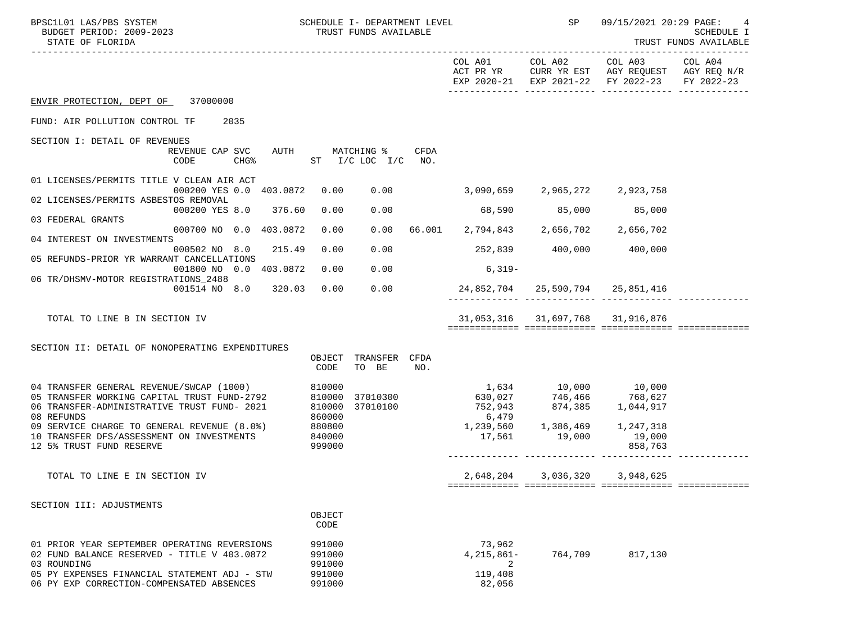| BPSC1L01 LAS/PBS SYSTEM<br>BUDGET PERIOD: 2009-2023<br>STATE OF FLORIDA                                        | SCHEDULE I- DEPARTMENT LEVEL<br>TRUST FUNDS AVAILABLE |                                   |  |                                                | <b>SP</b>                        | 09/15/2021 20:29 PAGE:<br>SCHEDULE I<br>TRUST FUNDS AVAILABLE                                                                     |  |
|----------------------------------------------------------------------------------------------------------------|-------------------------------------------------------|-----------------------------------|--|------------------------------------------------|----------------------------------|-----------------------------------------------------------------------------------------------------------------------------------|--|
|                                                                                                                |                                                       |                                   |  |                                                |                                  | COL A01 COL A02 COL A03 COL A04<br>ACT PR YR CURR YR EST AGY REQUEST AGY REQ N/R<br>EXP 2020-21 EXP 2021-22 FY 2022-23 FY 2022-23 |  |
| ENVIR PROTECTION, DEPT OF 37000000                                                                             |                                                       |                                   |  |                                                |                                  |                                                                                                                                   |  |
| FUND: AIR POLLUTION CONTROL TF 2035                                                                            |                                                       |                                   |  |                                                |                                  |                                                                                                                                   |  |
| SECTION I: DETAIL OF REVENUES<br>REVENUE CAP SVC<br>CHG% ST I/C LOC I/C NO.<br>CODE                            | AUTH MATCHING % CFDA                                  |                                   |  |                                                |                                  |                                                                                                                                   |  |
| 01 LICENSES/PERMITS TITLE V CLEAN AIR ACT<br>000200 YES 0.0 403.0872 0.00 0.00 3,090,659 2,965,272 2,923,758   |                                                       |                                   |  |                                                |                                  |                                                                                                                                   |  |
| 02 LICENSES/PERMITS ASBESTOS REMOVAL                                                                           |                                                       |                                   |  |                                                |                                  |                                                                                                                                   |  |
| 000200 YES 8.0 376.60<br>03 FEDERAL GRANTS                                                                     | 0.00                                                  | 0.00                              |  |                                                | 68,590 85,000                    | 85,000                                                                                                                            |  |
| 000700 NO 0.0 403.0872<br>04 INTEREST ON INVESTMENTS                                                           | 0.00                                                  |                                   |  | $0.00$ 66.001 2,794,843 2,656,702 2,656,702    |                                  |                                                                                                                                   |  |
| 000502 NO 8.0 215.49<br>05 REFUNDS-PRIOR YR WARRANT CANCELLATIONS                                              | 0.00                                                  | 0.00                              |  | $252,839$ $400,000$ $400,000$                  |                                  |                                                                                                                                   |  |
| 001800 NO 0.0 403.0872<br>06 TR/DHSMV-MOTOR REGISTRATIONS 2488                                                 | 0.00                                                  | 0.00                              |  | $6.319-$                                       |                                  |                                                                                                                                   |  |
| 001514 NO 8.0 320.03                                                                                           | 0.00                                                  | 0.00                              |  | 24,852,704  25,590,794  25,851,416             |                                  |                                                                                                                                   |  |
| TOTAL TO LINE B IN SECTION IV                                                                                  |                                                       |                                   |  |                                                | 31,053,316 31,697,768 31,916,876 |                                                                                                                                   |  |
| SECTION II: DETAIL OF NONOPERATING EXPENDITURES                                                                |                                                       |                                   |  |                                                |                                  |                                                                                                                                   |  |
|                                                                                                                | CODE                                                  | OBJECT TRANSFER CFDA<br>TO BE NO. |  |                                                |                                  |                                                                                                                                   |  |
| 04 TRANSFER GENERAL REVENUE/SWCAP (1000) 810000<br>05 TRANSFER WORKING CAPITAL TRUST FUND-2792 810000 37010300 |                                                       |                                   |  | 1,634 10,000 10,000<br>630,027 746,466 768,627 |                                  |                                                                                                                                   |  |
| 06 TRANSFER-ADMINISTRATIVE TRUST FUND- 2021                                                                    | 810000                                                | 37010100                          |  | 752,943                                        | 874,385 1,044,917                |                                                                                                                                   |  |
| 08 REFUNDS<br>09 SERVICE CHARGE TO GENERAL REVENUE (8.0%) 880800                                               | 860000                                                |                                   |  | 6,479<br>$1,239,560$ $1,386,469$ $1,247,318$   |                                  |                                                                                                                                   |  |
| 10 TRANSFER DFS/ASSESSMENT ON INVESTMENTS 840000<br>12 5% TRUST FUND RESERVE                                   | 999000                                                |                                   |  | 17,561 19,000 19,000                           |                                  | 858,763                                                                                                                           |  |
|                                                                                                                |                                                       |                                   |  |                                                |                                  |                                                                                                                                   |  |
| TOTAL TO LINE E IN SECTION IV                                                                                  |                                                       |                                   |  | 2,648,204                                      | 3,036,320                        | 3,948,625                                                                                                                         |  |
| SECTION III: ADJUSTMENTS                                                                                       |                                                       |                                   |  |                                                |                                  |                                                                                                                                   |  |
|                                                                                                                | OBJECT<br>CODE                                        |                                   |  |                                                |                                  |                                                                                                                                   |  |
| 01 PRIOR YEAR SEPTEMBER OPERATING REVERSIONS<br>02 FUND BALANCE RESERVED - TITLE V 403.0872                    | 991000<br>991000                                      |                                   |  | 73,962<br>$4,215,861-$                         | 764,709                          | 817,130                                                                                                                           |  |
| 03 ROUNDING<br>05 PY EXPENSES FINANCIAL STATEMENT ADJ - STW<br>06 PY EXP CORRECTION-COMPENSATED ABSENCES       | 991000<br>991000<br>991000                            |                                   |  | 2<br>119,408<br>82,056                         |                                  |                                                                                                                                   |  |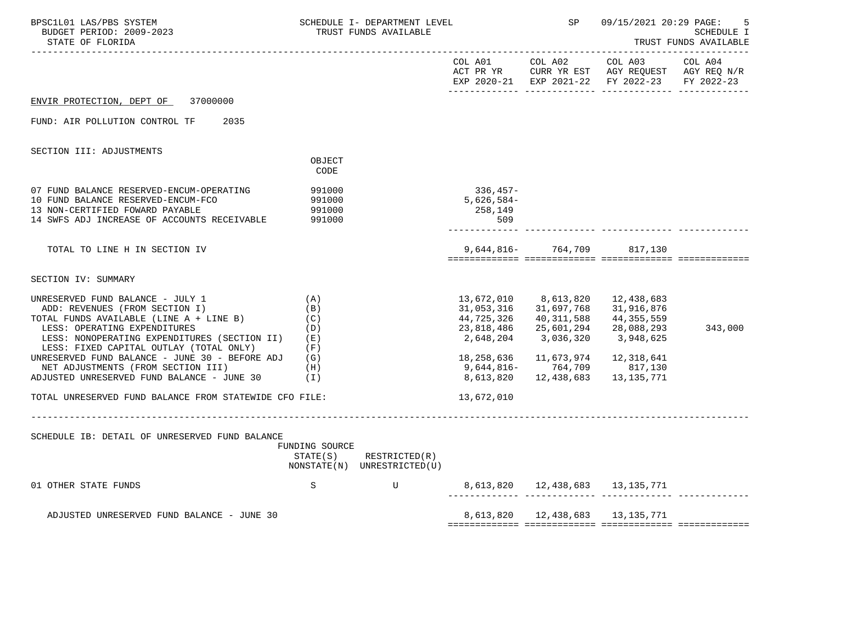| BPSC1L01 LAS/PBS SYSTEM<br>BUDGET PERIOD: 2009-2023<br>STATE OF FLORIDA                                                                                                                                                                                                                                                                                                                                                                  | SCHEDULE I- DEPARTMENT LEVEL<br>TRUST FUNDS AVAILABLE                             |                                                            |                                                                                                            | SP                                                                                                                | 09/15/2021 20:29 PAGE:<br>SCHEDULE I<br>TRUST FUNDS AVAILABLE                                                                 |         |
|------------------------------------------------------------------------------------------------------------------------------------------------------------------------------------------------------------------------------------------------------------------------------------------------------------------------------------------------------------------------------------------------------------------------------------------|-----------------------------------------------------------------------------------|------------------------------------------------------------|------------------------------------------------------------------------------------------------------------|-------------------------------------------------------------------------------------------------------------------|-------------------------------------------------------------------------------------------------------------------------------|---------|
|                                                                                                                                                                                                                                                                                                                                                                                                                                          |                                                                                   |                                                            | COL A01 COL A02                                                                                            |                                                                                                                   | COL A03<br>ACT PR YR $\,$ CURR YR EST $\,$ AGY REQUEST $\,$ AGY REQ N/R $\,$<br>EXP 2020-21 EXP 2021-22 FY 2022-23 FY 2022-23 | COL A04 |
| ENVIR PROTECTION, DEPT OF<br>37000000                                                                                                                                                                                                                                                                                                                                                                                                    |                                                                                   |                                                            |                                                                                                            |                                                                                                                   |                                                                                                                               |         |
| FUND: AIR POLLUTION CONTROL TF<br>2035                                                                                                                                                                                                                                                                                                                                                                                                   |                                                                                   |                                                            |                                                                                                            |                                                                                                                   |                                                                                                                               |         |
| SECTION III: ADJUSTMENTS                                                                                                                                                                                                                                                                                                                                                                                                                 |                                                                                   |                                                            |                                                                                                            |                                                                                                                   |                                                                                                                               |         |
|                                                                                                                                                                                                                                                                                                                                                                                                                                          | OBJECT<br>CODE                                                                    |                                                            |                                                                                                            |                                                                                                                   |                                                                                                                               |         |
| 07 FUND BALANCE RESERVED-ENCUM-OPERATING<br>10 FUND BALANCE RESERVED-ENCUM-FCO<br>13 NON-CERTIFIED FOWARD PAYABLE<br>14 SWFS ADJ INCREASE OF ACCOUNTS RECEIVABLE                                                                                                                                                                                                                                                                         | 991000<br>991000<br>991000<br>991000                                              |                                                            | 336,457-<br>$5,626,584-$<br>258,149<br>509                                                                 |                                                                                                                   |                                                                                                                               |         |
| TOTAL TO LINE H IN SECTION IV                                                                                                                                                                                                                                                                                                                                                                                                            |                                                                                   |                                                            |                                                                                                            | 9,644,816- 764,709 817,130                                                                                        |                                                                                                                               |         |
| SECTION IV: SUMMARY                                                                                                                                                                                                                                                                                                                                                                                                                      |                                                                                   |                                                            |                                                                                                            |                                                                                                                   |                                                                                                                               |         |
| UNRESERVED FUND BALANCE - JULY 1<br>ADD: REVENUES (FROM SECTION I)<br>TOTAL FUNDS AVAILABLE (LINE A + LINE B)<br>LESS: OPERATING EXPENDITURES<br>LESS: NONOPERATING EXPENDITURES (SECTION II)<br>LESS: FIXED CAPITAL OUTLAY (TOTAL ONLY)<br>UNRESERVED FUND BALANCE - JUNE 30 - BEFORE ADJ<br>NET ADJUSTMENTS (FROM SECTION III)<br>ADJUSTED UNRESERVED FUND BALANCE - JUNE 30<br>TOTAL UNRESERVED FUND BALANCE FROM STATEWIDE CFO FILE: | (A)<br>(B)<br>(C)<br>(D)<br>(E)<br>(F)<br>(G)<br>(H)<br>(I)<br>__________________ |                                                            | 13,672,010<br>31,053,316<br>44,725,326<br>23,818,486<br>2,648,204<br>18,258,636<br>8,613,820<br>13,672,010 | 8,613,820<br>31,697,768<br>40,311,588<br>25,601,294<br>3,036,320<br>9,644,816- 764,709<br>12,438,683   13,135,771 | 12,438,683<br>31,916,876<br>44,355,559<br>28,088,293<br>3,948,625<br>11,673,974   12,318,641<br>817,130                       | 343,000 |
| SCHEDULE IB: DETAIL OF UNRESERVED FUND BALANCE                                                                                                                                                                                                                                                                                                                                                                                           | FUNDING SOURCE                                                                    | $STATE(S)$ RESTRICTED $(R)$<br>NONSTATE(N) UNRESTRICTED(U) |                                                                                                            |                                                                                                                   |                                                                                                                               |         |
| 01 OTHER STATE FUNDS                                                                                                                                                                                                                                                                                                                                                                                                                     | S                                                                                 | $\mathbf U$                                                |                                                                                                            | 8,613,820  12,438,683  13,135,771                                                                                 |                                                                                                                               |         |
| ADJUSTED UNRESERVED FUND BALANCE - JUNE 30                                                                                                                                                                                                                                                                                                                                                                                               |                                                                                   |                                                            |                                                                                                            | 8,613,820   12,438,683   13,135,771                                                                               |                                                                                                                               |         |
|                                                                                                                                                                                                                                                                                                                                                                                                                                          |                                                                                   |                                                            |                                                                                                            |                                                                                                                   |                                                                                                                               |         |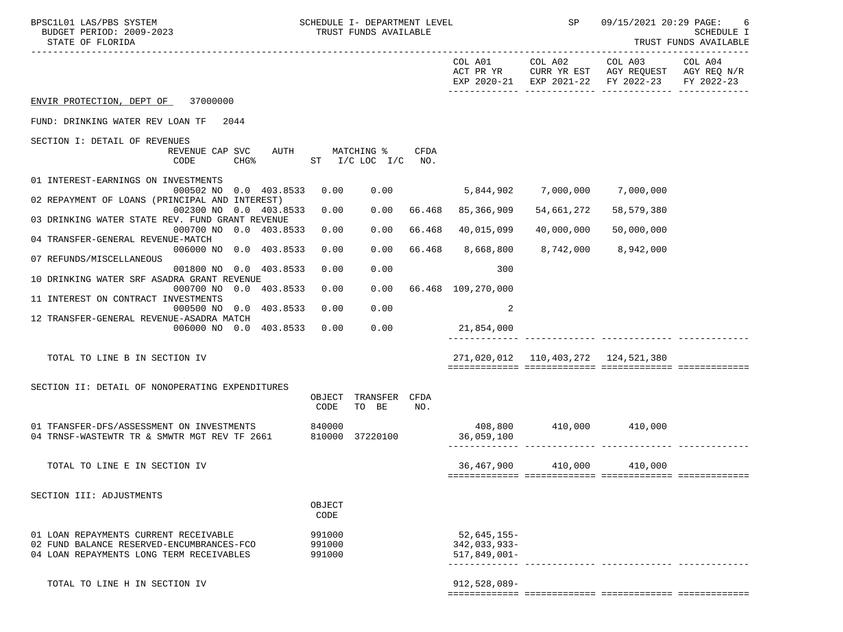| BPSC1L01 LAS/PBS SYSTEM<br>BUDGET PERIOD: 2009-2023<br>STATE OF FLORIDA                                              | SCHEDULE I- DEPARTMENT LEVEL<br>TRUST FUNDS AVAILABLE |                        |        |                               | <b>SP</b>                           | 09/15/2021 20:29 PAGE:                                                                                                            | -6<br>SCHEDULE I<br>TRUST FUNDS AVAILABLE |
|----------------------------------------------------------------------------------------------------------------------|-------------------------------------------------------|------------------------|--------|-------------------------------|-------------------------------------|-----------------------------------------------------------------------------------------------------------------------------------|-------------------------------------------|
|                                                                                                                      |                                                       |                        |        |                               |                                     | COL A01 COL A02 COL A03 COL A04<br>ACT PR YR CURR YR EST AGY REQUEST AGY REQ N/R<br>EXP 2020-21 EXP 2021-22 FY 2022-23 FY 2022-23 |                                           |
| ENVIR PROTECTION, DEPT OF 37000000                                                                                   |                                                       |                        |        |                               |                                     |                                                                                                                                   |                                           |
| FUND: DRINKING WATER REV LOAN TF 2044                                                                                |                                                       |                        |        |                               |                                     |                                                                                                                                   |                                           |
| SECTION I: DETAIL OF REVENUES                                                                                        |                                                       |                        |        |                               |                                     |                                                                                                                                   |                                           |
| REVENUE CAP SVC<br>AUTH<br>CHG <sup>%</sup> ST I/C LOC I/C NO.<br>CODE                                               |                                                       | MATCHING %             | CFDA   |                               |                                     |                                                                                                                                   |                                           |
| 01 INTEREST-EARNINGS ON INVESTMENTS                                                                                  |                                                       |                        |        |                               |                                     |                                                                                                                                   |                                           |
| 000502 NO 0.0 403.8533<br>02 REPAYMENT OF LOANS (PRINCIPAL AND INTEREST)                                             | 0.00                                                  |                        | 0.00   |                               | 5,844,902 7,000,000 7,000,000       |                                                                                                                                   |                                           |
| 002300 NO 0.0 403.8533                                                                                               | 0.00                                                  | 0.00                   |        | 66.468 85,366,909             | 54,661,272                          | 58,579,380                                                                                                                        |                                           |
| 03 DRINKING WATER STATE REV. FUND GRANT REVENUE<br>000700 NO 0.0 403.8533                                            | 0.00                                                  | 0.00                   | 66.468 | 40,015,099                    | 40,000,000                          | 50,000,000                                                                                                                        |                                           |
| 04 TRANSFER-GENERAL REVENUE-MATCH<br>006000 NO 0.0 403.8533                                                          | 0.00                                                  | 0.00                   |        | 66.468 8,668,800              | 8,742,000 8,942,000                 |                                                                                                                                   |                                           |
| 07 REFUNDS/MISCELLANEOUS<br>001800 NO 0.0 403.8533                                                                   | 0.00                                                  | 0.00                   |        | 300                           |                                     |                                                                                                                                   |                                           |
| 10 DRINKING WATER SRF ASADRA GRANT REVENUE                                                                           |                                                       |                        |        |                               |                                     |                                                                                                                                   |                                           |
| 000700 NO 0.0 403.8533<br>11 INTEREST ON CONTRACT INVESTMENTS                                                        | 0.00                                                  |                        |        | 0.00 66.468 109.270.000       |                                     |                                                                                                                                   |                                           |
| 000500 NO 0.0 403.8533                                                                                               | 0.00                                                  | 0.00                   |        | 2                             |                                     |                                                                                                                                   |                                           |
| 12 TRANSFER-GENERAL REVENUE-ASADRA MATCH<br>006000 NO 0.0 403.8533                                                   | 0.00                                                  | 0.00                   |        | 21,854,000                    |                                     |                                                                                                                                   |                                           |
|                                                                                                                      |                                                       |                        |        |                               |                                     |                                                                                                                                   |                                           |
| TOTAL TO LINE B IN SECTION IV                                                                                        |                                                       |                        |        |                               | 271,020,012 110,403,272 124,521,380 |                                                                                                                                   |                                           |
| SECTION II: DETAIL OF NONOPERATING EXPENDITURES                                                                      |                                                       |                        |        |                               |                                     |                                                                                                                                   |                                           |
|                                                                                                                      | OBJECT<br>CODE                                        | TRANSFER CFDA<br>TO BE | NO.    |                               |                                     |                                                                                                                                   |                                           |
|                                                                                                                      |                                                       |                        |        |                               |                                     |                                                                                                                                   |                                           |
| 01 TFANSFER-DFS/ASSESSMENT ON INVESTMENTS 61 0840000<br>04 TRNSF-WASTEWTR TR & SMWTR MGT REV TF 2661 010000 37220100 |                                                       |                        |        | 408,800<br>36,059,100         | 410,000 410,000                     |                                                                                                                                   |                                           |
| TOTAL TO LINE E IN SECTION IV                                                                                        |                                                       |                        |        |                               | 36,467,900 410,000 410,000          |                                                                                                                                   |                                           |
|                                                                                                                      |                                                       |                        |        |                               |                                     |                                                                                                                                   |                                           |
| SECTION III: ADJUSTMENTS                                                                                             |                                                       |                        |        |                               |                                     |                                                                                                                                   |                                           |
|                                                                                                                      | OBJECT<br>CODE                                        |                        |        |                               |                                     |                                                                                                                                   |                                           |
| 01 LOAN REPAYMENTS CURRENT RECEIVABLE<br>02 FUND BALANCE RESERVED-ENCUMBRANCES-FCO                                   | 991000<br>991000                                      |                        |        | $52,645,155-$<br>342,033,933- |                                     |                                                                                                                                   |                                           |
| 04 LOAN REPAYMENTS LONG TERM RECEIVABLES                                                                             | 991000                                                |                        |        | $517,849,001 -$               |                                     |                                                                                                                                   |                                           |
| TOTAL TO LINE H IN SECTION IV                                                                                        |                                                       |                        |        | 912,528,089-                  |                                     |                                                                                                                                   |                                           |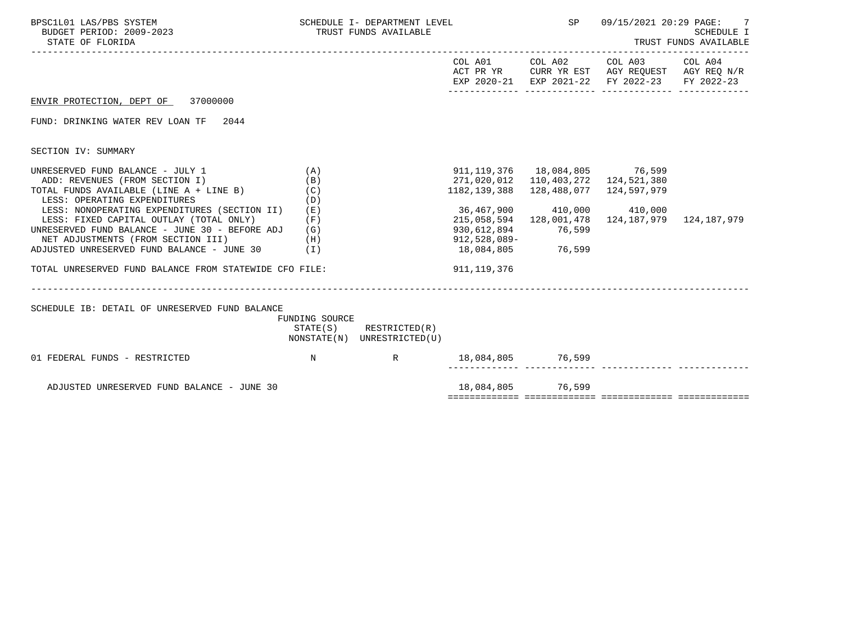| BPSC1L01 LAS/PBS SYSTEM<br>BUDGET PERIOD: 2009-2023<br>STATE OF FLORIDA                                                                                                                      |                          | SCHEDULE I- DEPARTMENT LEVEL<br>TRUST FUNDS AVAILABLE      |                                                                   |                                  | <b>SP</b><br>09/15/2021 20:29 PAGE:<br>7<br>SCHEDULE I<br>TRUST FUNDS AVAILABLE                |                       |  |
|----------------------------------------------------------------------------------------------------------------------------------------------------------------------------------------------|--------------------------|------------------------------------------------------------|-------------------------------------------------------------------|----------------------------------|------------------------------------------------------------------------------------------------|-----------------------|--|
|                                                                                                                                                                                              |                          |                                                            |                                                                   | COL A01 COL A02                  | COL A03<br>ACT PR YR CURR YR EST AGY REQUEST AGY REQ N/R<br>EXP 2020-21 EXP 2021-22 FY 2022-23 | COL A04<br>FY 2022-23 |  |
| ENVIR PROTECTION, DEPT OF 37000000                                                                                                                                                           |                          |                                                            |                                                                   |                                  |                                                                                                |                       |  |
| FUND: DRINKING WATER REV LOAN TF 2044                                                                                                                                                        |                          |                                                            |                                                                   |                                  |                                                                                                |                       |  |
| SECTION IV: SUMMARY                                                                                                                                                                          |                          |                                                            |                                                                   |                                  |                                                                                                |                       |  |
| UNRESERVED FUND BALANCE - JULY 1<br>ADD: REVENUES (FROM SECTION I)<br>TOTAL FUNDS AVAILABLE (LINE A + LINE B)<br>LESS: OPERATING EXPENDITURES                                                | (A)<br>(B)<br>(C)<br>(D) |                                                            | 911, 119, 376 18, 084, 805 76, 599<br>271,020,012<br>1182,139,388 | 110,403,272<br>128,488,077       | 124,521,380<br>124,597,979                                                                     |                       |  |
| LESS: NONOPERATING EXPENDITURES (SECTION II)<br>LESS: FIXED CAPITAL OUTLAY (TOTAL ONLY)<br>UNRESERVED FUND BALANCE - JUNE 30 - BEFORE ADJ $(G)$<br>NET ADJUSTMENTS (FROM SECTION III)<br>(H) | (E)<br>(F)               |                                                            | 36,467,900<br>215,058,594<br>930,612,894<br>912,528,089-          | 410,000<br>128,001,478<br>76,599 | 410,000<br>124,187,979                                                                         | 124,187,979           |  |
| ADJUSTED UNRESERVED FUND BALANCE - JUNE $30$ (I)                                                                                                                                             |                          |                                                            | 18,084,805                                                        | 76,599                           |                                                                                                |                       |  |
| TOTAL UNRESERVED FUND BALANCE FROM STATEWIDE CFO FILE:                                                                                                                                       |                          |                                                            | 911,119,376                                                       |                                  |                                                                                                |                       |  |
| SCHEDULE IB: DETAIL OF UNRESERVED FUND BALANCE                                                                                                                                               | FUNDING SOURCE           | $STATE(S)$ RESTRICTED $(R)$<br>NONSTATE(N) UNRESTRICTED(U) |                                                                   |                                  |                                                                                                |                       |  |
| $\mathbb N$<br>01 FEDERAL FUNDS - RESTRICTED                                                                                                                                                 |                          | R 18,084,805 76,599                                        |                                                                   |                                  |                                                                                                |                       |  |
| ADJUSTED UNRESERVED FUND BALANCE - JUNE 30                                                                                                                                                   |                          |                                                            | 18,084,805 76,599                                                 |                                  |                                                                                                |                       |  |
|                                                                                                                                                                                              |                          |                                                            |                                                                   |                                  |                                                                                                |                       |  |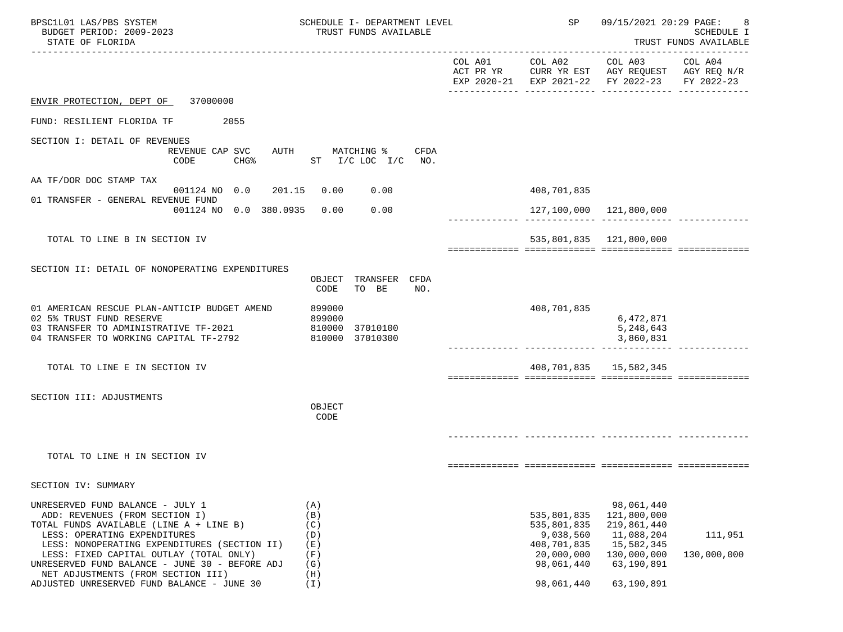| BPSC1L01 LAS/PBS SYSTEM<br>BUDGET PERIOD: 2009-2023<br>STATE OF FLORIDA                                                                                                                                                                                                                                                                                                        | TRUST FUNDS AVAILABLE                                       | SCHEDULE I- DEPARTMENT LEVEL |                                                                                                  |                                                                                                                 | 09/15/2021 20:29 PAGE:<br><b>SCHEDULE I</b><br>TRUST FUNDS AVAILABLE |
|--------------------------------------------------------------------------------------------------------------------------------------------------------------------------------------------------------------------------------------------------------------------------------------------------------------------------------------------------------------------------------|-------------------------------------------------------------|------------------------------|--------------------------------------------------------------------------------------------------|-----------------------------------------------------------------------------------------------------------------|----------------------------------------------------------------------|
|                                                                                                                                                                                                                                                                                                                                                                                |                                                             | COL A01<br>ACT PR YR         | COL A02                                                                                          | COL A03<br>CURR YR EST AGY REQUEST AGY REQ N/R<br>EXP 2020-21 EXP 2021-22 FY 2022-23                            | COL A04<br>FY 2022-23                                                |
| ENVIR PROTECTION, DEPT OF 37000000                                                                                                                                                                                                                                                                                                                                             |                                                             |                              |                                                                                                  |                                                                                                                 |                                                                      |
| FUND: RESILIENT FLORIDA TF<br>2055                                                                                                                                                                                                                                                                                                                                             |                                                             |                              |                                                                                                  |                                                                                                                 |                                                                      |
| SECTION I: DETAIL OF REVENUES<br>REVENUE CAP SVC<br>CODE<br>CHG%                                                                                                                                                                                                                                                                                                               | AUTH<br>MATCHING %<br>CFDA<br>ST $I/C$ LOC $I/C$ NO.        |                              |                                                                                                  |                                                                                                                 |                                                                      |
| AA TF/DOR DOC STAMP TAX<br>001124 NO 0.0 201.15                                                                                                                                                                                                                                                                                                                                | 0.00<br>0.00                                                |                              | 408,701,835                                                                                      |                                                                                                                 |                                                                      |
| 01 TRANSFER - GENERAL REVENUE FUND<br>001124 NO 0.0 380.0935                                                                                                                                                                                                                                                                                                                   | 0.00<br>0.00                                                |                              |                                                                                                  | 127,100,000 121,800,000                                                                                         |                                                                      |
|                                                                                                                                                                                                                                                                                                                                                                                |                                                             |                              |                                                                                                  |                                                                                                                 |                                                                      |
| TOTAL TO LINE B IN SECTION IV                                                                                                                                                                                                                                                                                                                                                  |                                                             |                              |                                                                                                  | 535,801,835 121,800,000                                                                                         |                                                                      |
| SECTION II: DETAIL OF NONOPERATING EXPENDITURES                                                                                                                                                                                                                                                                                                                                | OBJECT TRANSFER CFDA<br>CODE<br>TO BE<br>NO.                |                              |                                                                                                  |                                                                                                                 |                                                                      |
| 01 AMERICAN RESCUE PLAN-ANTICIP BUDGET AMEND<br>02 5% TRUST FUND RESERVE<br>03 TRANSFER TO ADMINISTRATIVE TF-2021 810000<br>04 TRANSFER TO WORKING CAPITAL TF-2792                                                                                                                                                                                                             | 899000<br>899000<br>37010100<br>810000 37010300             |                              | 408,701,835                                                                                      | 6,472,871<br>5,248,643<br>3,860,831                                                                             |                                                                      |
| TOTAL TO LINE E IN SECTION IV                                                                                                                                                                                                                                                                                                                                                  |                                                             |                              |                                                                                                  | 408,701,835   15,582,345                                                                                        |                                                                      |
| SECTION III: ADJUSTMENTS                                                                                                                                                                                                                                                                                                                                                       | OBJECT<br>CODE                                              |                              |                                                                                                  |                                                                                                                 |                                                                      |
| TOTAL TO LINE H IN SECTION IV                                                                                                                                                                                                                                                                                                                                                  |                                                             |                              |                                                                                                  |                                                                                                                 |                                                                      |
| SECTION IV: SUMMARY                                                                                                                                                                                                                                                                                                                                                            |                                                             |                              |                                                                                                  |                                                                                                                 |                                                                      |
| UNRESERVED FUND BALANCE - JULY 1<br>ADD: REVENUES (FROM SECTION I)<br>TOTAL FUNDS AVAILABLE (LINE A + LINE B)<br>LESS: OPERATING EXPENDITURES<br>LESS: NONOPERATING EXPENDITURES (SECTION II)<br>LESS: FIXED CAPITAL OUTLAY (TOTAL ONLY)<br>UNRESERVED FUND BALANCE - JUNE 30 - BEFORE ADJ<br>NET ADJUSTMENTS (FROM SECTION III)<br>ADJUSTED UNRESERVED FUND BALANCE - JUNE 30 | (A)<br>(B)<br>(C)<br>(D)<br>(E)<br>(F)<br>(G)<br>(H)<br>(I) |                              | 535,801,835<br>535,801,835<br>9,038,560<br>408,701,835<br>20,000,000<br>98,061,440<br>98,061,440 | 98,061,440<br>121,800,000<br>219,861,440<br>11,088,204<br>15,582,345<br>130,000,000<br>63,190,891<br>63,190,891 | 111,951<br>130,000,000                                               |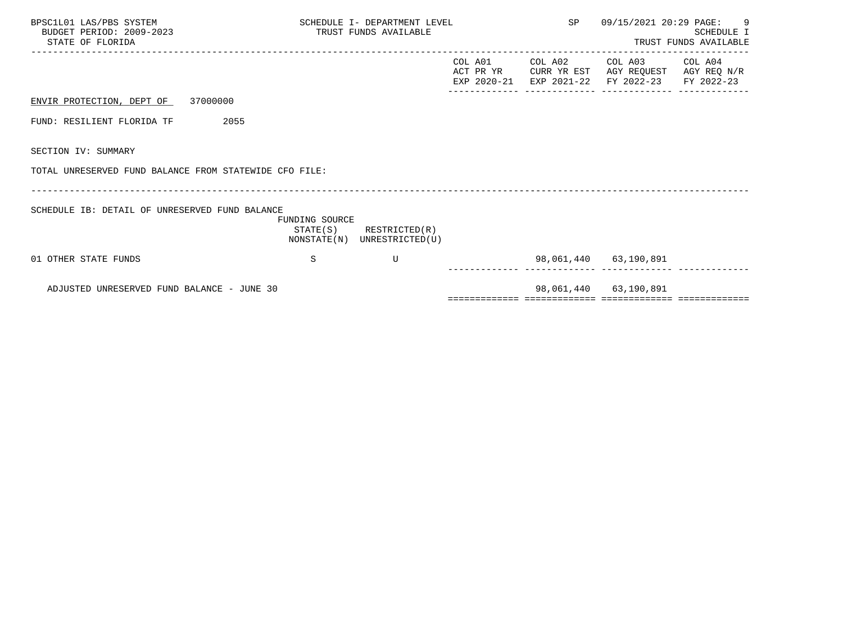| BPSC1L01 LAS/PBS SYSTEM<br>BUDGET PERIOD: 2009-2023<br>STATE OF FLORIDA | SCHEDULE I- DEPARTMENT LEVEL<br>TRUST FUNDS AVAILABLE |                                                            |                      |  | SP<br>09/15/2021 20:29 PAGE: 9<br>___________________________                                        | SCHEDULE I<br>TRUST FUNDS AVAILABLE |
|-------------------------------------------------------------------------|-------------------------------------------------------|------------------------------------------------------------|----------------------|--|------------------------------------------------------------------------------------------------------|-------------------------------------|
|                                                                         |                                                       |                                                            | COL A01<br>ACT PR YR |  | COL A02 COL A03 COL A04<br>CURR YR EST AGY REQUEST AGY REQ N/R<br>EXP 2020-21 EXP 2021-22 FY 2022-23 | FY 2022-23                          |
| ENVIR PROTECTION, DEPT OF 37000000                                      |                                                       |                                                            |                      |  |                                                                                                      |                                     |
| FUND: RESILIENT FLORIDA TF<br>2055                                      |                                                       |                                                            |                      |  |                                                                                                      |                                     |
| SECTION IV: SUMMARY                                                     |                                                       |                                                            |                      |  |                                                                                                      |                                     |
| TOTAL UNRESERVED FUND BALANCE FROM STATEWIDE CFO FILE:                  |                                                       |                                                            |                      |  |                                                                                                      |                                     |
| SCHEDULE IB: DETAIL OF UNRESERVED FUND BALANCE                          | FUNDING SOURCE                                        | $STATE(S)$ RESTRICTED $(R)$<br>NONSTATE(N) UNRESTRICTED(U) |                      |  |                                                                                                      |                                     |
| 01 OTHER STATE FUNDS                                                    | S                                                     | U                                                          |                      |  | 98,061,440 63,190,891                                                                                |                                     |
| ADJUSTED UNRESERVED FUND BALANCE - JUNE 30                              |                                                       |                                                            |                      |  | 98,061,440 63,190,891                                                                                |                                     |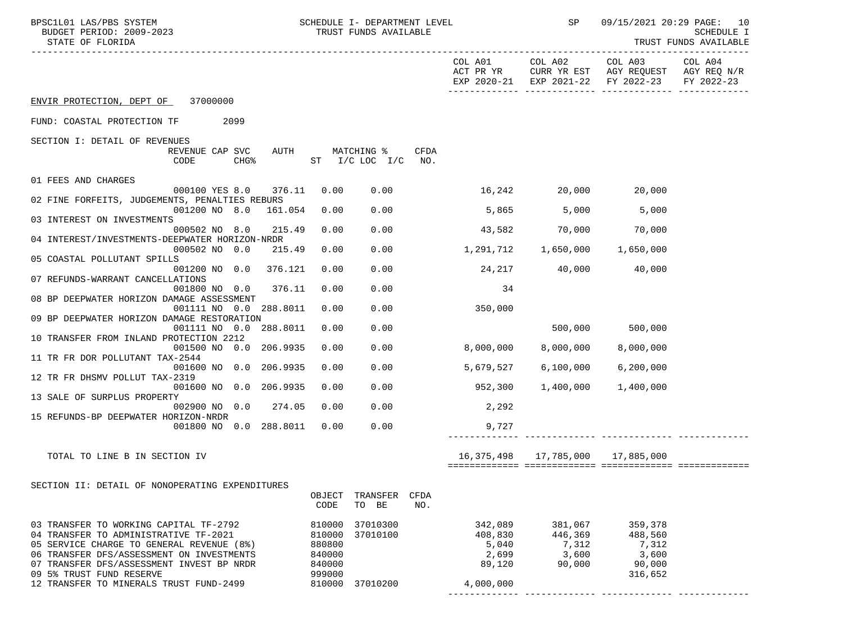| BPSC1L01 LAS/PBS SYSTEM<br>BUDGET PERIOD: 2009-2023<br>STATE OF FLORIDA            | SCHEDULE I- DEPARTMENT LEVEL<br>TRUST FUNDS AVAILABLE |                            | SP                                   |                                                                                                                           | 09/15/2021 20:29 PAGE: 10<br>SCHEDULE I<br>TRUST FUNDS AVAILABLE |
|------------------------------------------------------------------------------------|-------------------------------------------------------|----------------------------|--------------------------------------|---------------------------------------------------------------------------------------------------------------------------|------------------------------------------------------------------|
|                                                                                    |                                                       |                            |                                      | COL A01 COL A02 COL A03<br>ACT PR YR CURR YR EST AGY REQUEST AGY REQ N/R<br>EXP 2020-21 EXP 2021-22 FY 2022-23 FY 2022-23 | COL A04                                                          |
| ENVIR PROTECTION, DEPT OF 37000000                                                 |                                                       |                            |                                      |                                                                                                                           |                                                                  |
| FUND: COASTAL PROTECTION TF 2099                                                   |                                                       |                            |                                      |                                                                                                                           |                                                                  |
| SECTION I: DETAIL OF REVENUES                                                      |                                                       |                            |                                      |                                                                                                                           |                                                                  |
| REVENUE CAP SVC<br>AUTH<br>CODE<br>$CHG\$                                          | <b>CFDA</b><br>MATCHING %<br>ST I/C LOC I/C<br>NO.    |                            |                                      |                                                                                                                           |                                                                  |
| 01 FEES AND CHARGES                                                                |                                                       |                            |                                      |                                                                                                                           |                                                                  |
| 376.11<br>000100 YES 8.0                                                           | 0.00<br>0.00                                          | $16,242$ $20,000$ $20,000$ |                                      |                                                                                                                           |                                                                  |
| 02 FINE FORFEITS, JUDGEMENTS, PENALTIES REBURS                                     |                                                       |                            |                                      |                                                                                                                           |                                                                  |
| 001200 NO 8.0 161.054<br>03 INTEREST ON INVESTMENTS                                | 0.00<br>0.00                                          |                            | 5,865 5,000                          | 5,000                                                                                                                     |                                                                  |
| 215.49<br>000502 NO 8.0                                                            | 0.00<br>0.00                                          |                            | 43,582 70,000 70,000                 |                                                                                                                           |                                                                  |
| 04 INTEREST/INVESTMENTS-DEEPWATER HORIZON-NRDR                                     |                                                       |                            |                                      |                                                                                                                           |                                                                  |
| 000502 NO 0.0<br>215.49<br>05 COASTAL POLLUTANT SPILLS                             | 0.00<br>0.00                                          |                            |                                      |                                                                                                                           |                                                                  |
| 001200 NO 0.0 376.121                                                              | 0.00<br>0.00                                          | 24,217                     |                                      | 40,000 40,000                                                                                                             |                                                                  |
| 07 REFUNDS-WARRANT CANCELLATIONS                                                   |                                                       |                            |                                      |                                                                                                                           |                                                                  |
| 001800 NO 0.0<br>376.11<br>08 BP DEEPWATER HORIZON DAMAGE ASSESSMENT               | 0.00<br>0.00                                          | 34                         |                                      |                                                                                                                           |                                                                  |
| 001111 NO 0.0 288.8011                                                             | 0.00<br>0.00                                          | 350,000                    |                                      |                                                                                                                           |                                                                  |
| 09 BP DEEPWATER HORIZON DAMAGE RESTORATION                                         |                                                       |                            |                                      |                                                                                                                           |                                                                  |
| 001111 NO 0.0 288.8011<br>10 TRANSFER FROM INLAND PROTECTION 2212                  | 0.00<br>0.00                                          |                            |                                      | 500,000 500,000                                                                                                           |                                                                  |
| 001500 NO 0.0 206.9935                                                             | 0.00<br>0.00                                          | 8,000,000                  | 8,000,000                            | 8,000,000                                                                                                                 |                                                                  |
| 11 TR FR DOR POLLUTANT TAX-2544                                                    |                                                       |                            |                                      |                                                                                                                           |                                                                  |
| 001600 NO 0.0 206.9935<br>12 TR FR DHSMV POLLUT TAX-2319                           | 0.00<br>0.00                                          | 5,679,527                  | 6,100,000                            | 6,200,000                                                                                                                 |                                                                  |
| 001600 NO 0.0 206.9935                                                             | 0.00<br>0.00                                          | 952,300                    | 1,400,000                            | 1,400,000                                                                                                                 |                                                                  |
| 13 SALE OF SURPLUS PROPERTY                                                        |                                                       |                            |                                      |                                                                                                                           |                                                                  |
| 002900 NO 0.0<br>274.05<br>15 REFUNDS-BP DEEPWATER HORIZON-NRDR                    | 0.00<br>0.00                                          | 2, 292                     |                                      |                                                                                                                           |                                                                  |
| 001800 NO 0.0 288.8011                                                             | 0.00<br>0.00                                          | 9,727                      |                                      |                                                                                                                           |                                                                  |
|                                                                                    |                                                       |                            |                                      |                                                                                                                           |                                                                  |
| TOTAL TO LINE B IN SECTION IV                                                      |                                                       |                            | 16,375,498   17,785,000   17,885,000 |                                                                                                                           |                                                                  |
|                                                                                    |                                                       |                            |                                      |                                                                                                                           |                                                                  |
| SECTION II: DETAIL OF NONOPERATING EXPENDITURES                                    |                                                       |                            |                                      |                                                                                                                           |                                                                  |
|                                                                                    | TRANSFER<br>CFDA<br>OBJECT<br>CODE<br>TO BE<br>NO.    |                            |                                      |                                                                                                                           |                                                                  |
|                                                                                    |                                                       |                            |                                      |                                                                                                                           |                                                                  |
| 03 TRANSFER TO WORKING CAPITAL TF-2792                                             | 810000<br>37010300                                    | 342,089                    | 381,067                              | 359,378                                                                                                                   |                                                                  |
| 04 TRANSFER TO ADMINISTRATIVE TF-2021<br>05 SERVICE CHARGE TO GENERAL REVENUE (8%) | 37010100<br>810000<br>880800                          | 408,830<br>5,040           | 446,369<br>7,312                     | 488,560<br>7,312                                                                                                          |                                                                  |
| 06 TRANSFER DFS/ASSESSMENT ON INVESTMENTS                                          | 840000                                                | 2,699                      | 3,600                                | 3,600                                                                                                                     |                                                                  |
| 07 TRANSFER DFS/ASSESSMENT INVEST BP NRDR                                          | 840000                                                | 89,120                     | 90,000                               | 90,000                                                                                                                    |                                                                  |
| 09 5% TRUST FUND RESERVE<br>12 TRANSFER TO MINERALS TRUST FUND-2499                | 999000<br>810000 37010200                             | 4,000,000                  |                                      | 316,652                                                                                                                   |                                                                  |
|                                                                                    |                                                       |                            |                                      |                                                                                                                           |                                                                  |

------------- ------------- ------------- -------------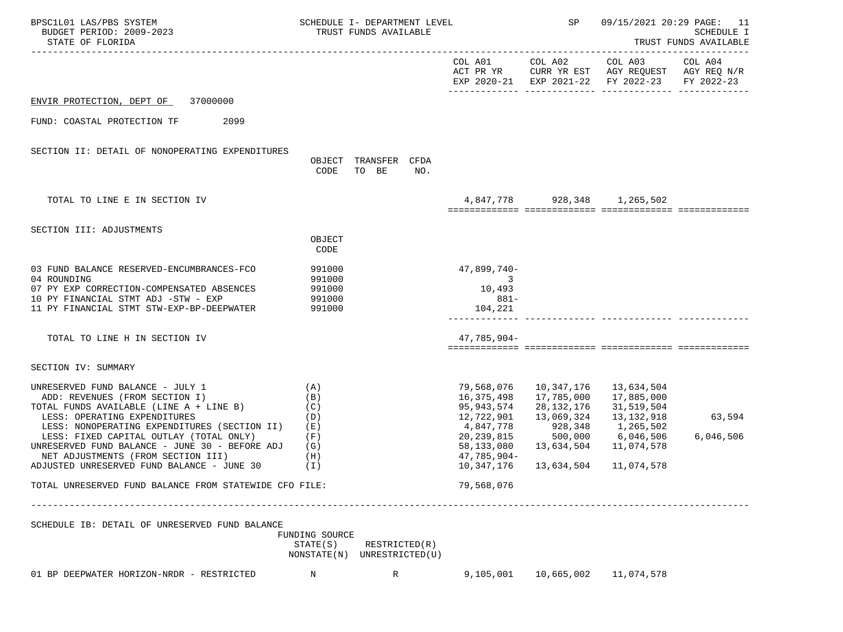| BPSC1L01 LAS/PBS SYSTEM<br>BUDGET PERIOD: 2009-2023<br>STATE OF FLORIDA                                                                                                                                                                                                                                                                                                                                                                  |                                                             | SCHEDULE I- DEPARTMENT LEVEL<br>TRUST FUNDS AVAILABLE |     |                                                                                                                                            | SP                                                                               |                                                                                                                            | 09/15/2021 20:29 PAGE: 11<br>SCHEDULE I<br>TRUST FUNDS AVAILABLE |
|------------------------------------------------------------------------------------------------------------------------------------------------------------------------------------------------------------------------------------------------------------------------------------------------------------------------------------------------------------------------------------------------------------------------------------------|-------------------------------------------------------------|-------------------------------------------------------|-----|--------------------------------------------------------------------------------------------------------------------------------------------|----------------------------------------------------------------------------------|----------------------------------------------------------------------------------------------------------------------------|------------------------------------------------------------------|
|                                                                                                                                                                                                                                                                                                                                                                                                                                          |                                                             |                                                       |     |                                                                                                                                            |                                                                                  | COL A01 COL A02 COL A03<br>ACT PR YR CURR YR EST AGY REQUEST AGY REQ N/R<br>EXP 2020-21 EXP 2021-22 FY 2022-23 FY 2022-23  | COL A04                                                          |
| 37000000<br>ENVIR PROTECTION, DEPT OF                                                                                                                                                                                                                                                                                                                                                                                                    |                                                             |                                                       |     |                                                                                                                                            |                                                                                  |                                                                                                                            |                                                                  |
| FUND: COASTAL PROTECTION TF<br>2099                                                                                                                                                                                                                                                                                                                                                                                                      |                                                             |                                                       |     |                                                                                                                                            |                                                                                  |                                                                                                                            |                                                                  |
| SECTION II: DETAIL OF NONOPERATING EXPENDITURES                                                                                                                                                                                                                                                                                                                                                                                          |                                                             | OBJECT TRANSFER CFDA<br>CODE TO BE                    | NO. |                                                                                                                                            |                                                                                  |                                                                                                                            |                                                                  |
| TOTAL TO LINE E IN SECTION IV                                                                                                                                                                                                                                                                                                                                                                                                            |                                                             |                                                       |     |                                                                                                                                            |                                                                                  | 4,847,778 928,348 1,265,502                                                                                                |                                                                  |
| SECTION III: ADJUSTMENTS                                                                                                                                                                                                                                                                                                                                                                                                                 | OBJECT<br>CODE                                              |                                                       |     |                                                                                                                                            |                                                                                  |                                                                                                                            |                                                                  |
| 03 FUND BALANCE RESERVED-ENCUMBRANCES-FCO<br>04 ROUNDING<br>07 PY EXP CORRECTION-COMPENSATED ABSENCES<br>10 PY FINANCIAL STMT ADJ -STW - EXP<br>11 PY FINANCIAL STMT STW-EXP-BP-DEEPWATER                                                                                                                                                                                                                                                | 991000<br>991000<br>991000<br>991000<br>991000              |                                                       |     | 47,899,740-<br>3<br>10,493<br>$881-$<br>104,221                                                                                            |                                                                                  |                                                                                                                            |                                                                  |
| TOTAL TO LINE H IN SECTION IV                                                                                                                                                                                                                                                                                                                                                                                                            |                                                             |                                                       |     | 47,785,904-                                                                                                                                |                                                                                  |                                                                                                                            |                                                                  |
| SECTION IV: SUMMARY                                                                                                                                                                                                                                                                                                                                                                                                                      |                                                             |                                                       |     |                                                                                                                                            |                                                                                  |                                                                                                                            |                                                                  |
| UNRESERVED FUND BALANCE - JULY 1<br>ADD: REVENUES (FROM SECTION I)<br>TOTAL FUNDS AVAILABLE (LINE A + LINE B)<br>LESS: OPERATING EXPENDITURES<br>LESS: NONOPERATING EXPENDITURES (SECTION II)<br>LESS: FIXED CAPITAL OUTLAY (TOTAL ONLY)<br>UNRESERVED FUND BALANCE - JUNE 30 - BEFORE ADJ<br>NET ADJUSTMENTS (FROM SECTION III)<br>ADJUSTED UNRESERVED FUND BALANCE - JUNE 30<br>TOTAL UNRESERVED FUND BALANCE FROM STATEWIDE CFO FILE: | (A)<br>(B)<br>(C)<br>(D)<br>(E)<br>(F)<br>(G)<br>(H)<br>(T) |                                                       |     | 79,568,076<br>16,375,498<br>95,943,574<br>12,722,901<br>4,847,778<br>20,239,815<br>58,133,080<br>$47,785,904-$<br>10,347,176<br>79,568,076 | 10,347,176<br>17,785,000<br>28,132,176<br>13,069,324<br>13,634,504<br>13,634,504 | 13,634,504<br>17,885,000<br>31,519,504<br>13,132,918<br>928,348 1,265,502<br>500,000 6,046,506<br>11,074,578<br>11,074,578 | 63,594<br>6,046,506                                              |
| SCHEDULE IB: DETAIL OF UNRESERVED FUND BALANCE                                                                                                                                                                                                                                                                                                                                                                                           | FUNDING SOURCE<br>STATE(S)                                  | RESTRICTED(R)                                         |     |                                                                                                                                            |                                                                                  |                                                                                                                            |                                                                  |
| 01 BP DEEPWATER HORIZON-NRDR - RESTRICTED                                                                                                                                                                                                                                                                                                                                                                                                | NONSTATE(N) UNRESTRICTED(U)<br>N                            | R                                                     |     | 9,105,001                                                                                                                                  | 10,665,002                                                                       | 11,074,578                                                                                                                 |                                                                  |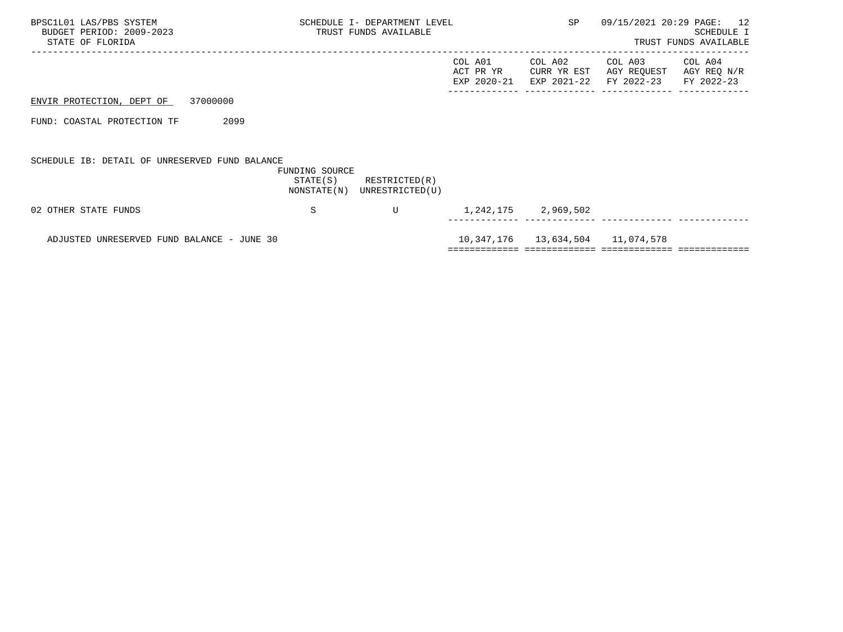| BPSC1L01 LAS/PBS SYSTEM<br>BUDGET PERIOD: 2009-2023<br>STATE OF FLORIDA |                | SCHEDULE I- DEPARTMENT LEVEL<br>TRUST FUNDS AVAILABLE      |                                     | <b>SP</b>              | 09/15/2021 20:29 PAGE: 12<br>SCHEDULE I<br>TRUST FUNDS AVAILABLE |                                      |  |
|-------------------------------------------------------------------------|----------------|------------------------------------------------------------|-------------------------------------|------------------------|------------------------------------------------------------------|--------------------------------------|--|
|                                                                         |                |                                                            | COL A01<br>ACT PR YR<br>EXP 2020-21 | COL A02<br>CURR YR EST | COL A03<br>AGY REQUEST<br>EXP 2021-22 FY 2022-23                 | COL A04<br>AGY REQ N/R<br>FY 2022-23 |  |
| 37000000<br>ENVIR PROTECTION, DEPT OF                                   |                |                                                            |                                     |                        |                                                                  |                                      |  |
| 2099<br>FUND: COASTAL PROTECTION TF                                     |                |                                                            |                                     |                        |                                                                  |                                      |  |
| SCHEDULE IB: DETAIL OF UNRESERVED FUND BALANCE                          | FUNDING SOURCE | $STATE(S)$ RESTRICTED $(R)$<br>NONSTATE(N) UNRESTRICTED(U) |                                     |                        |                                                                  |                                      |  |
| 02 OTHER STATE FUNDS                                                    | S              | U                                                          |                                     | 1,242,175 2,969,502    |                                                                  |                                      |  |
| ADJUSTED UNRESERVED FUND BALANCE - JUNE 30                              |                |                                                            |                                     |                        | 10,347,176   13,634,504   11,074,578                             |                                      |  |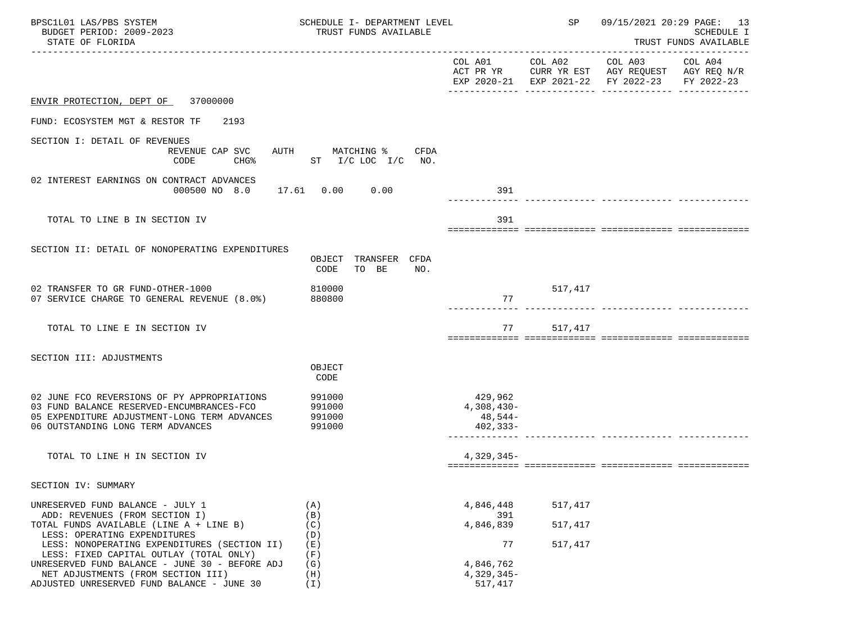| BPSC1L01 LAS/PBS SYSTEM<br>BUDGET PERIOD: 2009-2023<br>STATE OF FLORIDA                                                                                                                                         | SCHEDULE I- DEPARTMENT LEVEL<br>TRUST FUNDS AVAILABLE |                                              | SP                 |                                                                                                | 09/15/2021 20:29 PAGE: 13<br><b>SCHEDULE I</b><br>TRUST FUNDS AVAILABLE |
|-----------------------------------------------------------------------------------------------------------------------------------------------------------------------------------------------------------------|-------------------------------------------------------|----------------------------------------------|--------------------|------------------------------------------------------------------------------------------------|-------------------------------------------------------------------------|
|                                                                                                                                                                                                                 |                                                       |                                              | COL A01 COL A02    | COL A03<br>ACT PR YR CURR YR EST AGY REQUEST AGY REQ N/R<br>EXP 2020-21 EXP 2021-22 FY 2022-23 | COL A04<br>FY 2022-23                                                   |
| ENVIR PROTECTION, DEPT OF 37000000                                                                                                                                                                              |                                                       |                                              |                    |                                                                                                |                                                                         |
| FUND: ECOSYSTEM MGT & RESTOR TF<br>2193                                                                                                                                                                         |                                                       |                                              |                    |                                                                                                |                                                                         |
| SECTION I: DETAIL OF REVENUES<br>REVENUE CAP SVC<br>CODE<br>CHG <sup>8</sup>                                                                                                                                    | AUTH<br>MATCHING %<br>CFDA<br>ST I/C LOC I/C NO.      |                                              |                    |                                                                                                |                                                                         |
| 02 INTEREST EARNINGS ON CONTRACT ADVANCES<br>000500 NO 8.0                                                                                                                                                      | 17.61  0.00  0.00                                     | 391                                          |                    |                                                                                                |                                                                         |
| TOTAL TO LINE B IN SECTION IV                                                                                                                                                                                   |                                                       | 391                                          |                    |                                                                                                |                                                                         |
| SECTION II: DETAIL OF NONOPERATING EXPENDITURES                                                                                                                                                                 | OBJECT TRANSFER CFDA<br>CODE<br>TO BE<br>NO.          |                                              |                    |                                                                                                |                                                                         |
| 02 TRANSFER TO GR FUND-OTHER-1000<br>07 SERVICE CHARGE TO GENERAL REVENUE (8.0%)                                                                                                                                | 810000<br>880800                                      | 77                                           | 517,417            |                                                                                                |                                                                         |
| TOTAL TO LINE E IN SECTION IV                                                                                                                                                                                   |                                                       | 77                                           | 517,417            |                                                                                                |                                                                         |
| SECTION III: ADJUSTMENTS                                                                                                                                                                                        | OBJECT<br>CODE                                        |                                              |                    |                                                                                                |                                                                         |
| 02 JUNE FCO REVERSIONS OF PY APPROPRIATIONS<br>03 FUND BALANCE RESERVED-ENCUMBRANCES-FCO<br>05 EXPENDITURE ADJUSTMENT-LONG TERM ADVANCES<br>06 OUTSTANDING LONG TERM ADVANCES                                   | 991000<br>991000<br>991000<br>991000                  | 429,962<br>4,308,430-<br>48,544-<br>402,333- |                    |                                                                                                |                                                                         |
| TOTAL TO LINE H IN SECTION IV                                                                                                                                                                                   |                                                       | 4,329,345-                                   |                    |                                                                                                |                                                                         |
| SECTION IV: SUMMARY                                                                                                                                                                                             |                                                       |                                              |                    |                                                                                                |                                                                         |
| UNRESERVED FUND BALANCE - JULY 1<br>ADD: REVENUES (FROM SECTION I)<br>TOTAL FUNDS AVAILABLE (LINE A + LINE B)                                                                                                   | (A)<br>(B)<br>(C)                                     | 4,846,448<br>391<br>4,846,839                | 517,417<br>517,417 |                                                                                                |                                                                         |
| LESS: OPERATING EXPENDITURES<br>LESS: NONOPERATING EXPENDITURES (SECTION II)<br>LESS: FIXED CAPITAL OUTLAY (TOTAL ONLY)<br>UNRESERVED FUND BALANCE - JUNE 30 - BEFORE ADJ<br>NET ADJUSTMENTS (FROM SECTION III) | (D)<br>(E)<br>(F)<br>(G)<br>(H)                       | 77<br>4,846,762<br>$4,329,345-$              | 517,417            |                                                                                                |                                                                         |
| ADJUSTED UNRESERVED FUND BALANCE - JUNE 30                                                                                                                                                                      | $(\lrcorner)$                                         | 517,417                                      |                    |                                                                                                |                                                                         |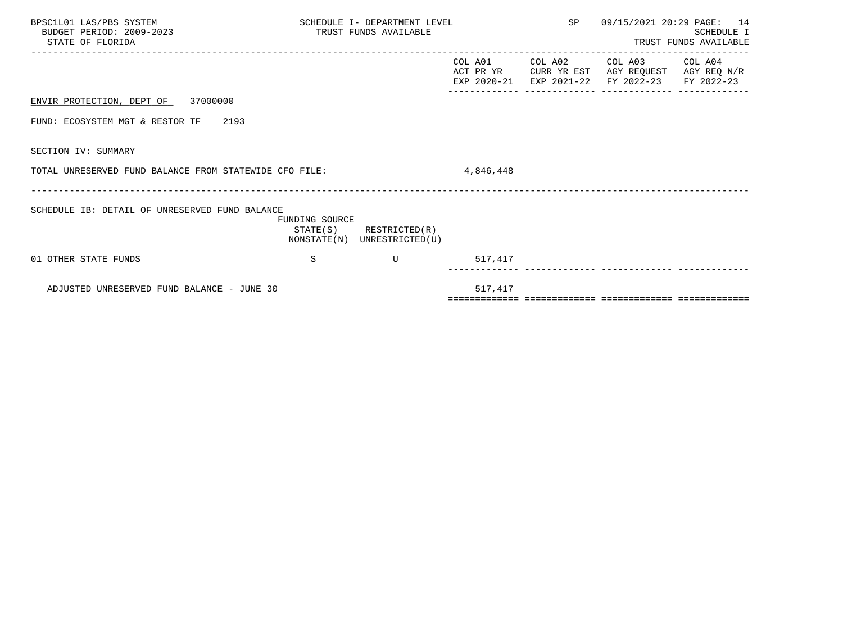| BPSC1L01 LAS/PBS SYSTEM<br>BUDGET PERIOD: 2009-2023<br>STATE OF FLORIDA |                | SCHEDULE I- DEPARTMENT LEVEL<br>TRUST FUNDS AVAILABLE      |           | SP 09/15/2021 20:29 PAGE: 14                                                                                              | SCHEDULE I<br>TRUST FUNDS AVAILABLE |
|-------------------------------------------------------------------------|----------------|------------------------------------------------------------|-----------|---------------------------------------------------------------------------------------------------------------------------|-------------------------------------|
|                                                                         |                |                                                            | COL A01   | COL A02 COL A03 COL A04<br>ACT PR YR CURR YR EST AGY REQUEST AGY REQ N/R<br>EXP 2020-21 EXP 2021-22 FY 2022-23 FY 2022-23 |                                     |
| ENVIR PROTECTION, DEPT OF 37000000                                      |                |                                                            |           |                                                                                                                           |                                     |
| FUND: ECOSYSTEM MGT & RESTOR TF 2193                                    |                |                                                            |           |                                                                                                                           |                                     |
| SECTION IV: SUMMARY                                                     |                |                                                            |           |                                                                                                                           |                                     |
| TOTAL UNRESERVED FUND BALANCE FROM STATEWIDE CFO FILE:                  |                |                                                            | 4,846,448 |                                                                                                                           |                                     |
| SCHEDULE IB: DETAIL OF UNRESERVED FUND BALANCE                          | FUNDING SOURCE | $STATE(S)$ RESTRICTED $(R)$<br>NONSTATE(N) UNRESTRICTED(U) |           |                                                                                                                           |                                     |
| 01 OTHER STATE FUNDS                                                    | S              | $\overline{U}$                                             | 517,417   |                                                                                                                           |                                     |
| ADJUSTED UNRESERVED FUND BALANCE - JUNE 30                              |                |                                                            | 517,417   |                                                                                                                           |                                     |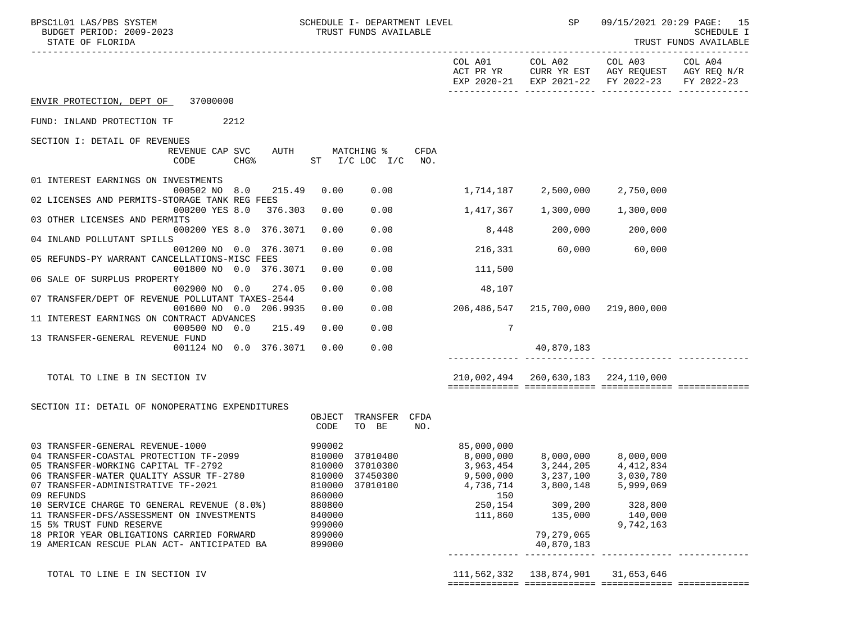| BPSC1L01 LAS/PBS SYSTEM<br>BUDGET PERIOD: 2009-2023<br>STATE OF FLORIDA                                                                                                                                                                                                                                                                                                                                                              | SCHEDULE I- DEPARTMENT LEVEL<br>TRUST FUNDS AVAILABLE                                                                                                         |                                                                   |                                                                                                                                     | SP 09/15/2021 20:29 PAGE: 15                                                                         | SCHEDULE I<br>TRUST FUNDS AVAILABLE<br>. <u>.</u> . |
|--------------------------------------------------------------------------------------------------------------------------------------------------------------------------------------------------------------------------------------------------------------------------------------------------------------------------------------------------------------------------------------------------------------------------------------|---------------------------------------------------------------------------------------------------------------------------------------------------------------|-------------------------------------------------------------------|-------------------------------------------------------------------------------------------------------------------------------------|------------------------------------------------------------------------------------------------------|-----------------------------------------------------|
|                                                                                                                                                                                                                                                                                                                                                                                                                                      |                                                                                                                                                               | COL A01<br>ACT PR YR                                              |                                                                                                                                     | COL A02 COL A03 COL A04<br>CURR YR EST AGY REQUEST AGY REQ N/R<br>EXP 2020-21 EXP 2021-22 FY 2022-23 | FY 2022-23                                          |
| ENVIR PROTECTION, DEPT OF 37000000                                                                                                                                                                                                                                                                                                                                                                                                   |                                                                                                                                                               |                                                                   |                                                                                                                                     |                                                                                                      |                                                     |
| FUND: INLAND PROTECTION TF 2212                                                                                                                                                                                                                                                                                                                                                                                                      |                                                                                                                                                               |                                                                   |                                                                                                                                     |                                                                                                      |                                                     |
| SECTION I: DETAIL OF REVENUES<br>REVENUE CAP SVC<br>CODE<br>CHG <sup>8</sup>                                                                                                                                                                                                                                                                                                                                                         | AUTH MATCHING %<br>CFDA<br>ST I/C LOC I/C NO.                                                                                                                 |                                                                   |                                                                                                                                     |                                                                                                      |                                                     |
| 01 INTEREST EARNINGS ON INVESTMENTS<br>215.49<br>000502 NO 8.0                                                                                                                                                                                                                                                                                                                                                                       | 0.00<br>0.00                                                                                                                                                  | 1,714,187                                                         | 2,500,000                                                                                                                           | 2,750,000                                                                                            |                                                     |
| 02 LICENSES AND PERMITS-STORAGE TANK REG FEES<br>000200 YES 8.0 376.303                                                                                                                                                                                                                                                                                                                                                              | 0.00<br>0.00                                                                                                                                                  | $1,417,367$ $1,300,000$                                           |                                                                                                                                     | 1,300,000                                                                                            |                                                     |
| 03 OTHER LICENSES AND PERMITS                                                                                                                                                                                                                                                                                                                                                                                                        |                                                                                                                                                               |                                                                   |                                                                                                                                     |                                                                                                      |                                                     |
| 000200 YES 8.0 376.3071<br>04 INLAND POLLUTANT SPILLS                                                                                                                                                                                                                                                                                                                                                                                | 0.00<br>0.00                                                                                                                                                  |                                                                   | 8,448 200,000 200,000                                                                                                               |                                                                                                      |                                                     |
| 001200 NO 0.0 376.3071<br>05 REFUNDS-PY WARRANT CANCELLATIONS-MISC FEES                                                                                                                                                                                                                                                                                                                                                              | 0.00<br>0.00                                                                                                                                                  |                                                                   | 216,331 60,000 60,000                                                                                                               |                                                                                                      |                                                     |
| 001800 NO 0.0 376.3071<br>06 SALE OF SURPLUS PROPERTY                                                                                                                                                                                                                                                                                                                                                                                | 0.00<br>0.00                                                                                                                                                  | 111,500                                                           |                                                                                                                                     |                                                                                                      |                                                     |
| 002900 NO 0.0<br>274.05<br>07 TRANSFER/DEPT OF REVENUE POLLUTANT TAXES-2544                                                                                                                                                                                                                                                                                                                                                          | 0.00<br>0.00                                                                                                                                                  | 48,107                                                            |                                                                                                                                     |                                                                                                      |                                                     |
| 001600 NO 0.0 206.9935                                                                                                                                                                                                                                                                                                                                                                                                               | 0.00<br>0.00                                                                                                                                                  | 206,486,547                                                       | 215,700,000 219,800,000                                                                                                             |                                                                                                      |                                                     |
| 11 INTEREST EARNINGS ON CONTRACT ADVANCES<br>000500 NO 0.0<br>215.49                                                                                                                                                                                                                                                                                                                                                                 | 0.00<br>0.00                                                                                                                                                  | 7                                                                 |                                                                                                                                     |                                                                                                      |                                                     |
| 13 TRANSFER-GENERAL REVENUE FUND<br>001124 NO 0.0 376.3071                                                                                                                                                                                                                                                                                                                                                                           | 0.00<br>0.00                                                                                                                                                  |                                                                   | 40,870,183                                                                                                                          |                                                                                                      |                                                     |
| TOTAL TO LINE B IN SECTION IV                                                                                                                                                                                                                                                                                                                                                                                                        |                                                                                                                                                               |                                                                   | 210,002,494 260,630,183 224,110,000                                                                                                 |                                                                                                      |                                                     |
| SECTION II: DETAIL OF NONOPERATING EXPENDITURES                                                                                                                                                                                                                                                                                                                                                                                      | OBJECT<br>TRANSFER CFDA<br>TO BE<br>CODE<br>NO.                                                                                                               |                                                                   |                                                                                                                                     |                                                                                                      |                                                     |
| 03 TRANSFER-GENERAL REVENUE-1000<br>04 TRANSFER-COASTAL PROTECTION TF-2099<br>05 TRANSFER-WORKING CAPITAL TF-2792<br>06 TRANSFER-WATER QUALITY ASSUR TF-2780<br>07 TRANSFER-ADMINISTRATIVE TF-2021<br>09 REFUNDS<br>10 SERVICE CHARGE TO GENERAL REVENUE (8.0%)<br>11 TRANSFER-DFS/ASSESSMENT ON INVESTMENTS<br>15 5% TRUST FUND RESERVE<br>18 PRIOR YEAR OBLIGATIONS CARRIED FORWARD<br>19 AMERICAN RESCUE PLAN ACT- ANTICIPATED BA | 27010400<br>990002<br>810000 37010400<br>810000 37010300<br>810000 37450300<br>37010100<br>810000<br>860000<br>880800<br>840000<br>999000<br>899000<br>899000 | 85,000,000<br>3,963,454<br>4,736,714<br>150<br>250,154<br>111,860 | $8,000,000$ $8,000,000$ $8,000,000$<br>9,500,000 3,237,100 3,030,780<br>3,800,148<br>309,200<br>135,000<br>79,279,065<br>40,870,183 | 3, 244, 205 4, 412, 834<br>5,999,069<br>328,800<br>140,000<br>9,742,163                              |                                                     |
| TOTAL TO LINE E IN SECTION IV                                                                                                                                                                                                                                                                                                                                                                                                        |                                                                                                                                                               |                                                                   | 111,562,332 138,874,901                                                                                                             | 31,653,646                                                                                           |                                                     |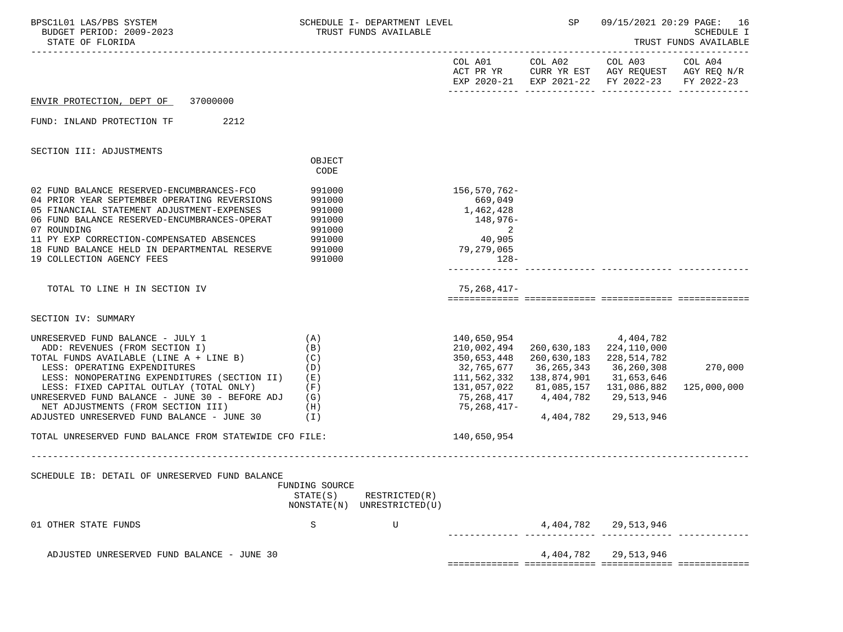| BPSC1L01 LAS/PBS SYSTEM<br>BUDGET PERIOD: 2009-2023<br>STATE OF FLORIDA                                                                                                                                                                                                                                                                                                                      |                                                                    | SCHEDULE I- DEPARTMENT LEVEL<br>TRUST FUNDS AVAILABLE |                                                                                                                                                       | SP                       | 09/15/2021 20:29 PAGE: 16                                                                                                         | <b>SCHEDULE I</b><br>TRUST FUNDS AVAILABLE |
|----------------------------------------------------------------------------------------------------------------------------------------------------------------------------------------------------------------------------------------------------------------------------------------------------------------------------------------------------------------------------------------------|--------------------------------------------------------------------|-------------------------------------------------------|-------------------------------------------------------------------------------------------------------------------------------------------------------|--------------------------|-----------------------------------------------------------------------------------------------------------------------------------|--------------------------------------------|
|                                                                                                                                                                                                                                                                                                                                                                                              |                                                                    |                                                       |                                                                                                                                                       |                          | COL A01 COL A02 COL A03 COL A04<br>ACT PR YR CURR YR EST AGY REQUEST AGY REQ N/R<br>EXP 2020-21 EXP 2021-22 FY 2022-23 FY 2022-23 |                                            |
| ENVIR PROTECTION, DEPT OF 37000000                                                                                                                                                                                                                                                                                                                                                           |                                                                    |                                                       |                                                                                                                                                       |                          |                                                                                                                                   |                                            |
| FUND: INLAND PROTECTION TF<br>2212                                                                                                                                                                                                                                                                                                                                                           |                                                                    |                                                       |                                                                                                                                                       |                          |                                                                                                                                   |                                            |
| SECTION III: ADJUSTMENTS                                                                                                                                                                                                                                                                                                                                                                     |                                                                    |                                                       |                                                                                                                                                       |                          |                                                                                                                                   |                                            |
|                                                                                                                                                                                                                                                                                                                                                                                              | OBJECT<br>CODE                                                     |                                                       |                                                                                                                                                       |                          |                                                                                                                                   |                                            |
| 02 FUND BALANCE RESERVED-ENCUMBRANCES-FCO 991000<br>04 PRIOR YEAR SEPTEMBER OPERATING REVERSIONS<br>05 FINANCIAL STATEMENT ADJUSTMENT-EXPENSES<br>06 FUND BALANCE RESERVED-ENCUMBRANCES-OPERAT<br>07 ROUNDING<br>11 PY EXP CORRECTION-COMPENSATED ABSENCES<br>18 FUND BALANCE HELD IN DEPARTMENTAL RESERVE<br>19 COLLECTION AGENCY FEES                                                      | 991000<br>991000<br>991000<br>991000<br>991000<br>991000<br>991000 |                                                       | 156,570,762-<br>669,049<br>1,462,428<br>148,976-<br>2<br>40,905<br>79,279,065<br>$128-$                                                               |                          |                                                                                                                                   |                                            |
| TOTAL TO LINE H IN SECTION IV                                                                                                                                                                                                                                                                                                                                                                |                                                                    |                                                       | $75, 268, 417 -$                                                                                                                                      |                          |                                                                                                                                   |                                            |
| SECTION IV: SUMMARY                                                                                                                                                                                                                                                                                                                                                                          |                                                                    |                                                       |                                                                                                                                                       |                          |                                                                                                                                   |                                            |
| UNRESERVED FUND BALANCE - JULY 1<br>ADD: REVENUES (FROM SECTION I)<br>TOTAL FUNDS AVAILABLE (LINE A + LINE B)<br>LESS: OPERATING EXPENDITURES<br>LESS: NONOPERATING EXPENDITURES (SECTION II) (E)<br>LESS: FIXED CAPITAL OUTLAY (TOTAL ONLY)<br>UNRESERVED FUND BALANCE - JUNE 30 - BEFORE ADJ $(G)$<br>NET ADJUSTMENTS (FROM SECTION III) (H)<br>ADJUSTED UNRESERVED FUND BALANCE - JUNE 30 | (A)<br>(B)<br>(C)<br>(D)<br>(F)<br>(1)                             |                                                       | 140,650,954<br>210,002,494<br>350,653,448<br>32,765,677<br>111,562,332  138,874,901  31,653,646<br>131,057,022<br>75,268,417 4,404,782<br>75,268,417- | 260,630,183<br>4,404,782 | 4,404,782<br>260,630,183 224,110,000<br>228,514,782<br>36,265,343 36,260,308<br>29,513,946<br>29,513,946                          | 270,000<br>125,000,000                     |
| TOTAL UNRESERVED FUND BALANCE FROM STATEWIDE CFO FILE:                                                                                                                                                                                                                                                                                                                                       |                                                                    |                                                       | 140,650,954                                                                                                                                           |                          |                                                                                                                                   |                                            |
| SCHEDULE IB: DETAIL OF UNRESERVED FUND BALANCE                                                                                                                                                                                                                                                                                                                                               | FUNDING SOURCE<br>STATE(S)                                         | RESTRICTED(R)<br>NONSTATE(N) UNRESTRICTED(U)          |                                                                                                                                                       |                          |                                                                                                                                   |                                            |
| 01 OTHER STATE FUNDS                                                                                                                                                                                                                                                                                                                                                                         | S                                                                  | U                                                     |                                                                                                                                                       |                          | 4, 404, 782 29, 513, 946                                                                                                          |                                            |
| ADJUSTED UNRESERVED FUND BALANCE - JUNE 30                                                                                                                                                                                                                                                                                                                                                   |                                                                    |                                                       |                                                                                                                                                       | 4,404,782                | 29,513,946                                                                                                                        |                                            |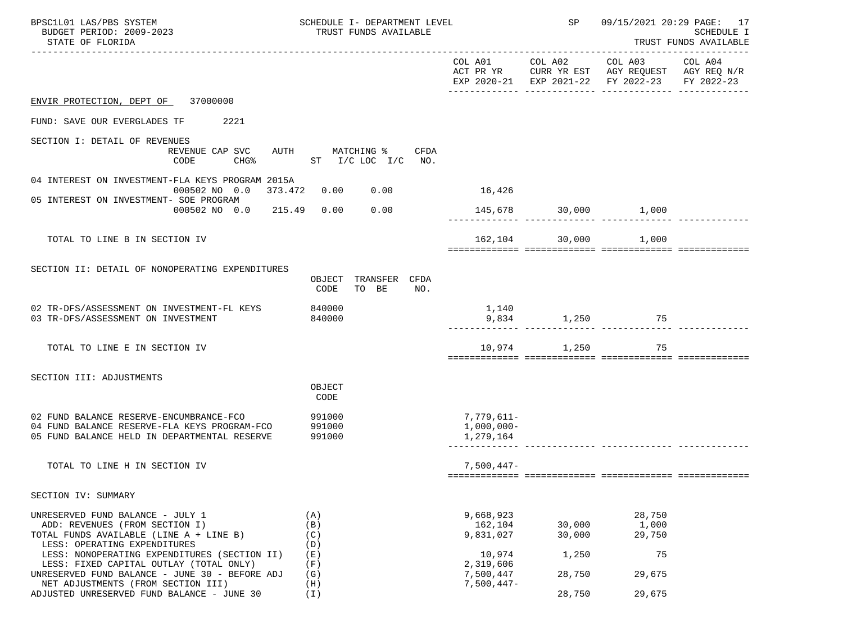| BPSC1L01 LAS/PBS SYSTEM<br>BUDGET PERIOD: 2009-2023<br>STATE OF FLORIDA                                                                        | SCHEDULE I- DEPARTMENT LEVEL<br>TRUST FUNDS AVAILABLE |                                       | SP                   |                                                                                                                           | 09/15/2021 20:29 PAGE: 17<br><b>SCHEDULE I</b><br>TRUST FUNDS AVAILABLE |
|------------------------------------------------------------------------------------------------------------------------------------------------|-------------------------------------------------------|---------------------------------------|----------------------|---------------------------------------------------------------------------------------------------------------------------|-------------------------------------------------------------------------|
|                                                                                                                                                |                                                       |                                       |                      | COL A01 COL A02 COL A03<br>ACT PR YR CURR YR EST AGY REQUEST AGY REQ N/R<br>EXP 2020-21 EXP 2021-22 FY 2022-23 FY 2022-23 | COL A04                                                                 |
| ENVIR PROTECTION, DEPT OF 37000000                                                                                                             |                                                       |                                       |                      |                                                                                                                           |                                                                         |
| FUND: SAVE OUR EVERGLADES TF 2221                                                                                                              |                                                       |                                       |                      |                                                                                                                           |                                                                         |
| SECTION I: DETAIL OF REVENUES<br>REVENUE CAP SVC<br>CODE<br>CHG%                                                                               | AUTH MATCHING % CFDA<br>ST $I/C$ LOC $I/C$ NO.        |                                       |                      |                                                                                                                           |                                                                         |
| 04 INTEREST ON INVESTMENT-FLA KEYS PROGRAM 2015A                                                                                               | 0.00<br>000502 NO 0.0 373.472 0.00                    | 16,426                                |                      |                                                                                                                           |                                                                         |
| 05 INTEREST ON INVESTMENT- SOE PROGRAM<br>000502 NO 0.0 215.49 0.00                                                                            | 0.00                                                  |                                       | 145,678 30,000 1,000 |                                                                                                                           |                                                                         |
|                                                                                                                                                |                                                       |                                       |                      |                                                                                                                           |                                                                         |
| TOTAL TO LINE B IN SECTION IV                                                                                                                  |                                                       | 162,104                               | 30,000               | 1,000                                                                                                                     |                                                                         |
| SECTION II: DETAIL OF NONOPERATING EXPENDITURES                                                                                                | TRANSFER CFDA<br>OBJECT<br>CODE<br>TO BE<br>NO.       |                                       |                      |                                                                                                                           |                                                                         |
| 02 TR-DFS/ASSESSMENT ON INVESTMENT-FL KEYS<br>03 TR-DFS/ASSESSMENT ON INVESTMENT                                                               | 840000<br>840000                                      | 1,140                                 | 9,834 1,250 75       |                                                                                                                           |                                                                         |
| TOTAL TO LINE E IN SECTION IV                                                                                                                  |                                                       | 10,974                                | 1,250                | 75                                                                                                                        |                                                                         |
| SECTION III: ADJUSTMENTS                                                                                                                       |                                                       |                                       |                      |                                                                                                                           |                                                                         |
|                                                                                                                                                | OBJECT<br>CODE                                        |                                       |                      |                                                                                                                           |                                                                         |
| 02 FUND BALANCE RESERVE-ENCUMBRANCE-FCO<br>04 FUND BALANCE RESERVE-FLA KEYS PROGRAM-FCO 391000<br>05 FUND BALANCE HELD IN DEPARTMENTAL RESERVE | 991000<br>991000                                      | 7,779,611–<br>1,000,000-<br>1,279,164 |                      |                                                                                                                           |                                                                         |
| TOTAL TO LINE H IN SECTION IV                                                                                                                  |                                                       | $7,500,447-$                          |                      |                                                                                                                           |                                                                         |
| SECTION IV: SUMMARY                                                                                                                            |                                                       |                                       |                      |                                                                                                                           |                                                                         |
| UNRESERVED FUND BALANCE - JULY 1<br>ADD: REVENUES (FROM SECTION I)<br>TOTAL FUNDS AVAILABLE (LINE A + LINE B)<br>LESS: OPERATING EXPENDITURES  | (A)<br>(B)<br>(C)<br>(D)                              | 9,668,923<br>162,104<br>9,831,027     | 30,000<br>30,000     | 28,750<br>1,000<br>29,750                                                                                                 |                                                                         |
| LESS: NONOPERATING EXPENDITURES (SECTION II)<br>LESS: FIXED CAPITAL OUTLAY (TOTAL ONLY)<br>UNRESERVED FUND BALANCE - JUNE 30 - BEFORE ADJ      | (E)<br>(F)<br>(G)                                     | 10,974<br>2,319,606<br>7,500,447      | 1,250<br>28,750      | 75<br>29,675                                                                                                              |                                                                         |
| NET ADJUSTMENTS (FROM SECTION III)<br>ADJUSTED UNRESERVED FUND BALANCE - JUNE 30                                                               | (H)<br>(I)                                            | $7,500,447-$                          | 28,750               | 29,675                                                                                                                    |                                                                         |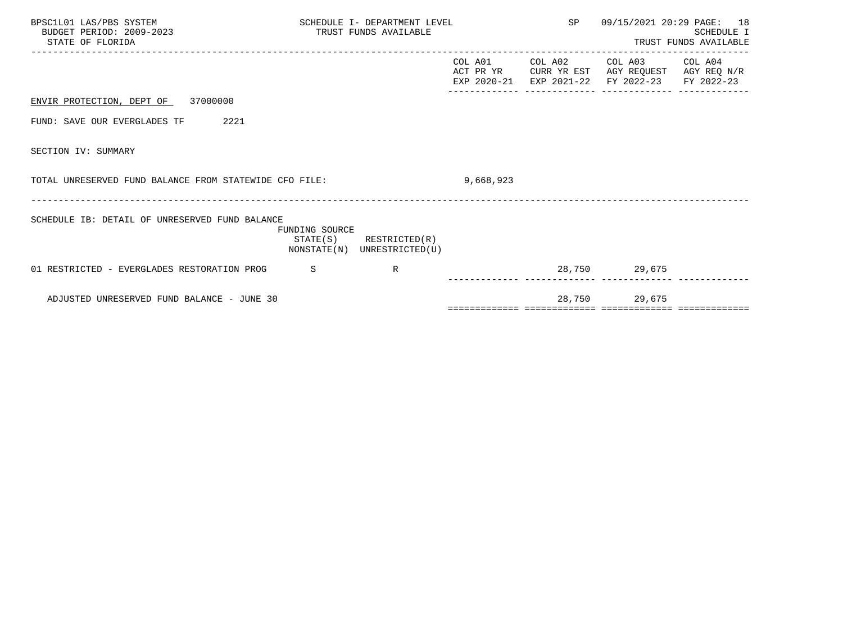| BPSC1L01 LAS/PBS SYSTEM<br>BUDGET PERIOD: 2009-2023<br>STATE OF FLORIDA |                | SCHEDULE I- DEPARTMENT LEVEL<br>TRUST FUNDS AVAILABLE      |           | SP              |                                                                                                        | 09/15/2021 20:29 PAGE: 18<br><b>SCHEDULE I</b><br>TRUST FUNDS AVAILABLE |
|-------------------------------------------------------------------------|----------------|------------------------------------------------------------|-----------|-----------------|--------------------------------------------------------------------------------------------------------|-------------------------------------------------------------------------|
|                                                                         |                |                                                            |           | COL A01 COL A02 | COL A03 COL A04<br>ACT PR YR CURR YR EST AGY REQUEST AGY REQ N/R<br>EXP 2020-21 EXP 2021-22 FY 2022-23 | FY 2022-23                                                              |
| ENVIR PROTECTION, DEPT OF 37000000                                      |                |                                                            |           |                 |                                                                                                        |                                                                         |
| FUND: SAVE OUR EVERGLADES TF<br>2221                                    |                |                                                            |           |                 |                                                                                                        |                                                                         |
| SECTION IV: SUMMARY                                                     |                |                                                            |           |                 |                                                                                                        |                                                                         |
| TOTAL UNRESERVED FUND BALANCE FROM STATEWIDE CFO FILE:                  |                |                                                            | 9,668,923 |                 |                                                                                                        |                                                                         |
| SCHEDULE IB: DETAIL OF UNRESERVED FUND BALANCE                          | FUNDING SOURCE | $STATE(S)$ RESTRICTED $(R)$<br>NONSTATE(N) UNRESTRICTED(U) |           |                 |                                                                                                        |                                                                         |
| 01 RESTRICTED - EVERGLADES RESTORATION PROG                             | S              | $\mathbb{R}$                                               |           |                 | 28,750 29,675                                                                                          |                                                                         |
| ADJUSTED UNRESERVED FUND BALANCE - JUNE 30                              |                |                                                            |           | 28,750          | 29,675                                                                                                 |                                                                         |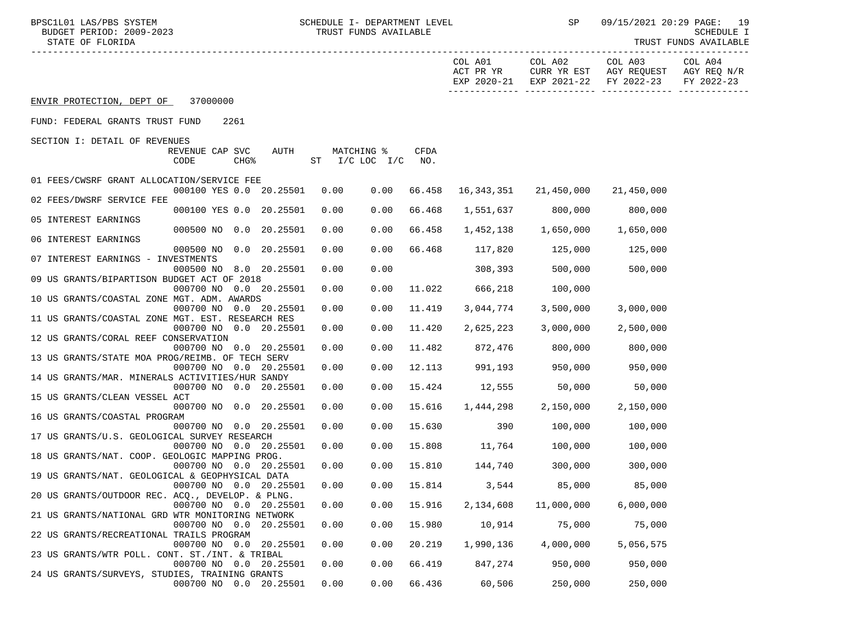BPSC1L01 LAS/PBS SYSTEM SOHEDULE I- DEPARTMENT LEVEL SENE SP 09/15/2021 20:29 PAGE: 19<br>BUDGET PERIOD: 2009-2023 TRUST FUNDS AVAILABLE

TRUST FUNDS AVAILABLE

|                                                                                           |                    |            |             | COL A01                |                                                | COL A02 COL A03<br>ACT PR YR CURR YR EST AGY REQUEST AGY REQ N/R<br>EXP 2020-21 EXP 2021-22 FY 2022-23 | COL A04<br>FY 2022-23 |
|-------------------------------------------------------------------------------------------|--------------------|------------|-------------|------------------------|------------------------------------------------|--------------------------------------------------------------------------------------------------------|-----------------------|
| ENVIR PROTECTION, DEPT OF 37000000                                                        |                    |            |             |                        |                                                |                                                                                                        |                       |
| FUND: FEDERAL GRANTS TRUST FUND<br>2261                                                   |                    |            |             |                        |                                                |                                                                                                        |                       |
| SECTION I: DETAIL OF REVENUES                                                             |                    |            |             |                        |                                                |                                                                                                        |                       |
| REVENUE CAP SVC<br>AUTH<br>CHG <sup>8</sup><br>CODE                                       | ST I/C LOC I/C NO. | MATCHING % | CFDA        |                        |                                                |                                                                                                        |                       |
| 01 FEES/CWSRF GRANT ALLOCATION/SERVICE FEE<br>000100 YES 0.0 20.25501                     | 0.00               |            |             |                        | $0.00$ 66.458 16,343,351 21,450,000 21,450,000 |                                                                                                        |                       |
| 02 FEES/DWSRF SERVICE FEE                                                                 |                    |            |             |                        |                                                |                                                                                                        |                       |
| 000100 YES 0.0 20.25501<br>05 INTEREST EARNINGS                                           | 0.00               | 0.00       | 66.468      |                        | 1,551,637 800,000                              | 800,000                                                                                                |                       |
| 000500 NO 0.0 20.25501                                                                    | 0.00               |            | 0.00 66.458 |                        | 1,452,138 1,650,000 1,650,000                  |                                                                                                        |                       |
| 06 INTEREST EARNINGS<br>000500 NO 0.0 20.25501                                            | 0.00               | 0.00       |             |                        | 66.468 117,820 125,000 125,000                 |                                                                                                        |                       |
| 07 INTEREST EARNINGS - INVESTMENTS                                                        |                    |            |             |                        |                                                |                                                                                                        |                       |
| 000500 NO 8.0 20.25501                                                                    | 0.00               | 0.00       |             |                        | 308,393 500,000                                | 500,000                                                                                                |                       |
| 09 US GRANTS/BIPARTISON BUDGET ACT OF 2018<br>000700 NO 0.0 20.25501                      | 0.00               | 0.00       |             |                        |                                                |                                                                                                        |                       |
| 10 US GRANTS/COASTAL ZONE MGT. ADM. AWARDS                                                |                    |            |             | 11.022 666,218 100,000 |                                                |                                                                                                        |                       |
| 000700 NO 0.0 20.25501                                                                    | 0.00               | 0.00       | 11.419      | 3,044,774              | 3,500,000                                      | 3,000,000                                                                                              |                       |
| 11 US GRANTS/COASTAL ZONE MGT. EST. RESEARCH RES                                          |                    |            |             |                        |                                                |                                                                                                        |                       |
| 000700 NO 0.0 20.25501<br>12 US GRANTS/CORAL REEF CONSERVATION                            | 0.00               | 0.00       | 11.420      | 2,625,223              | 3,000,000                                      | 2,500,000                                                                                              |                       |
| 000700 NO 0.0 20.25501                                                                    | 0.00               | 0.00       |             |                        | 11.482 872,476 800,000                         | 800,000                                                                                                |                       |
| 13 US GRANTS/STATE MOA PROG/REIMB. OF TECH SERV                                           |                    |            |             |                        |                                                |                                                                                                        |                       |
| 000700 NO 0.0 20.25501                                                                    | 0.00               | 0.00       |             |                        | 12.113 991,193 950,000                         | 950,000                                                                                                |                       |
| 14 US GRANTS/MAR. MINERALS ACTIVITIES/HUR SANDY<br>000700 NO 0.0 20.25501                 | 0.00               | 0.00       |             |                        | 15.424 12,555 50,000                           | 50,000                                                                                                 |                       |
| 15 US GRANTS/CLEAN VESSEL ACT                                                             |                    |            |             |                        |                                                |                                                                                                        |                       |
| 000700 NO 0.0 20.25501                                                                    | 0.00               | 0.00       | 15.616      |                        | 1,444,298 2,150,000                            | 2,150,000                                                                                              |                       |
| 16 US GRANTS/COASTAL PROGRAM                                                              |                    |            |             |                        |                                                |                                                                                                        |                       |
| 000700 NO 0.0 20.25501<br>17 US GRANTS/U.S. GEOLOGICAL SURVEY RESEARCH                    | 0.00               | 0.00       | 15.630      | 390                    | 100,000                                        | 100,000                                                                                                |                       |
| 000700 NO 0.0 20.25501                                                                    | 0.00               | 0.00       |             | 15.808 11,764          | 100,000                                        | 100,000                                                                                                |                       |
| 18 US GRANTS/NAT. COOP. GEOLOGIC MAPPING PROG.                                            |                    |            |             |                        |                                                |                                                                                                        |                       |
| 000700 NO 0.0 20.25501                                                                    | 0.00               |            |             |                        | $0.00$ 15.810 144,740 300,000                  | 300,000                                                                                                |                       |
| 19 US GRANTS/NAT. GEOLOGICAL & GEOPHYSICAL DATA                                           |                    |            |             |                        | $0.00$ 15.814 3,544 85,000                     |                                                                                                        |                       |
| 000700 NO 0.0 20.25501<br>20 US GRANTS/OUTDOOR REC. ACQ., DEVELOP. & PLNG.                | 0.00               |            |             |                        |                                                | 85,000                                                                                                 |                       |
| $0.00700$ NO $0.0$ $20.25501$ $0.00$ $0.00$ $15.916$ $2,134,608$ $11,000,000$ $6,000,000$ |                    |            |             |                        |                                                |                                                                                                        |                       |
| 21 US GRANTS/NATIONAL GRD WTR MONITORING NETWORK                                          |                    |            |             |                        |                                                |                                                                                                        |                       |
| 000700 NO 0.0<br>20.25501                                                                 | 0.00               | 0.00       | 15.980      | 10,914                 | 75,000                                         | 75,000                                                                                                 |                       |
| 22 US GRANTS/RECREATIONAL TRAILS PROGRAM<br>000700 NO 0.0 20.25501                        | 0.00               | 0.00       | 20.219      | 1,990,136              | 4,000,000                                      | 5,056,575                                                                                              |                       |
| 23 US GRANTS/WTR POLL. CONT. ST./INT. & TRIBAL                                            |                    |            |             |                        |                                                |                                                                                                        |                       |
| 000700 NO 0.0 20.25501                                                                    | 0.00               | 0.00       | 66.419      | 847,274                | 950,000                                        | 950,000                                                                                                |                       |
| 24 US GRANTS/SURVEYS, STUDIES, TRAINING GRANTS                                            |                    |            |             |                        |                                                |                                                                                                        |                       |
| 000700 NO 0.0 20.25501                                                                    | 0.00               | 0.00       | 66.436      | 60,506                 | 250,000                                        | 250,000                                                                                                |                       |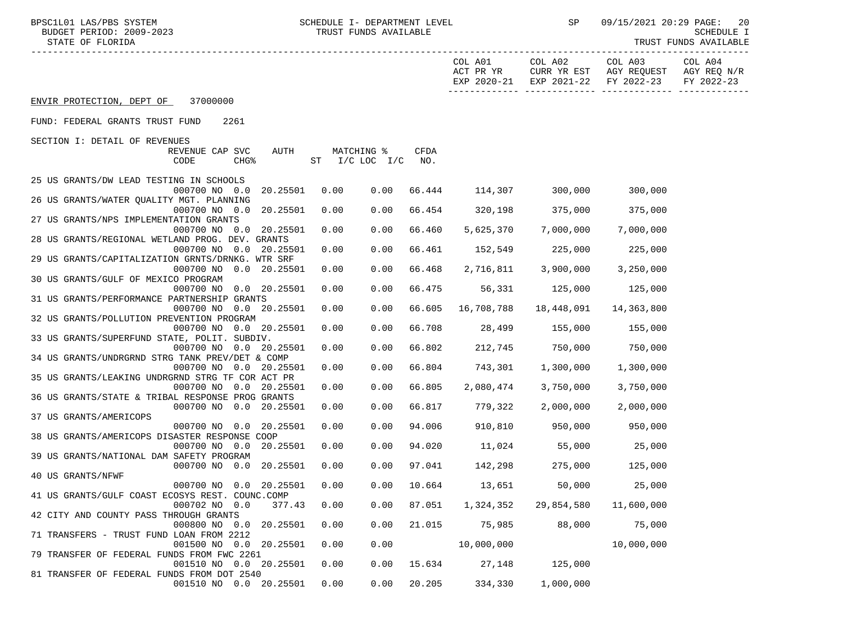BPSC1L01 LAS/PBS SYSTEM SCHEDULE I- DEPARTMENT LEVEL SP 09/15/2021 20:29 PAGE: 20

 STATE OF FLORIDA TRUST FUNDS AVAILABLE ----------------------------------------------------------------------------------------------------------------------------------- COL A01 COL A02 COL A03 COL A04 ACT PR YR CURR YR EST AGY REQUEST AGY REQ N/R EXP 2020-21 EXP 2021-22 FY 2022-23 FY 2022-23 ------------- ------------- ------------- ------------- ENVIR PROTECTION, DEPT OF 37000000 FUND: FEDERAL GRANTS TRUST FUND 2261 SECTION I: DETAIL OF REVENUES REVENUE CAP SVC AUTH MATCHING **%** CFDA CODE CHG% ST I/C LOC I/C NO. 25 US GRANTS/DW LEAD TESTING IN SCHOOLS 000700 NO 0.0 20.25501 0.00 0.00 66.444 114,307 300,000 300,000 26 US GRANTS/WATER QUALITY MGT. PLANNING

| 000700 NO 0.0 20.25501                                                         | 0.00             | 0.00 | 66.454 | 320,198       | 375,000       | 375,000    |
|--------------------------------------------------------------------------------|------------------|------|--------|---------------|---------------|------------|
| 27 US GRANTS/NPS IMPLEMENTATION GRANTS                                         |                  |      |        |               |               |            |
| 000700 NO 0.0 20.25501                                                         | 0.00             | 0.00 | 66.460 | 5,625,370     | 7,000,000     | 7,000,000  |
| 28 US GRANTS/REGIONAL WETLAND PROG. DEV. GRANTS<br>000700 NO<br>$0.0$ 20.25501 | 0.00             | 0.00 | 66.461 | 152,549       | 225,000       | 225,000    |
| 29 US GRANTS/CAPITALIZATION GRNTS/DRNKG. WTR SRF                               |                  |      |        |               |               |            |
| 000700 NO<br>0.0                                                               | 20.25501<br>0.00 | 0.00 | 66.468 | 2,716,811     | 3,900,000     | 3,250,000  |
| 30 US GRANTS/GULF OF MEXICO PROGRAM                                            |                  |      |        |               |               |            |
| 000700 NO<br>$0.0$ 20.25501                                                    | 0.00             | 0.00 | 66.475 | 56,331        | 125,000       | 125,000    |
| 31 US GRANTS/PERFORMANCE PARTNERSHIP GRANTS                                    |                  |      |        |               |               |            |
| 000700 NO 0.0 20.25501                                                         | 0.00             | 0.00 | 66.605 | 16,708,788    | 18,448,091    | 14,363,800 |
| 32 US GRANTS/POLLUTION PREVENTION PROGRAM                                      |                  |      |        |               |               |            |
| 000700 NO 0.0 20.25501<br>33 US GRANTS/SUPERFUND STATE, POLIT. SUBDIV.         | 0.00             | 0.00 | 66.708 | 28,499        | 155,000       | 155,000    |
| 000700 NO<br>$0.0$ 20.25501                                                    | 0.00             | 0.00 | 66.802 | 212,745       | 750,000       | 750,000    |
| 34 US GRANTS/UNDRGRND STRG TANK PREV/DET & COMP                                |                  |      |        |               |               |            |
| 000700 NO 0.0 20.25501                                                         | 0.00             | 0.00 | 66.804 | 743,301       | 1,300,000     | 1,300,000  |
| 35 US GRANTS/LEAKING UNDRGRND STRG TF COR ACT PR                               |                  |      |        |               |               |            |
| 000700 NO<br>0.0                                                               | 20.25501<br>0.00 | 0.00 | 66.805 | 2,080,474     | 3,750,000     | 3,750,000  |
| 36 US GRANTS/STATE & TRIBAL RESPONSE PROG GRANTS                               |                  |      |        |               |               |            |
| 000700 NO<br>0.0                                                               | 20.25501<br>0.00 | 0.00 | 66.817 | 779,322       | 2,000,000     | 2,000,000  |
| 37 US GRANTS/AMERICOPS<br>000700 NO<br>0.0                                     | 20.25501<br>0.00 | 0.00 | 94.006 | 910,810       | 950,000       | 950,000    |
| 38 US GRANTS/AMERICOPS DISASTER RESPONSE COOP                                  |                  |      |        |               |               |            |
| 000700 NO 0.0                                                                  | 20.25501<br>0.00 | 0.00 | 94.020 | 11,024        | 55,000        | 25,000     |
| 39 US GRANTS/NATIONAL DAM SAFETY PROGRAM                                       |                  |      |        |               |               |            |
| 000700 NO 0.0                                                                  | 20.25501<br>0.00 | 0.00 | 97.041 | 142,298       | 275,000       | 125,000    |
| 40 US GRANTS/NFWF                                                              |                  |      |        |               |               |            |
| 000700 NO<br>$0.0$ 20.25501                                                    | 0.00             | 0.00 | 10.664 | 13,651        | 50,000        | 25,000     |
| 41 US GRANTS/GULF COAST ECOSYS REST. COUNC.COMP                                |                  |      |        |               |               |            |
| 000702 NO<br>0.0<br>42 CITY AND COUNTY PASS THROUGH GRANTS                     | 377.43<br>0.00   | 0.00 | 87.051 | 1,324,352     | 29,854,580    | 11,600,000 |
| $0.0$ 20.25501<br>000800 NO                                                    | 0.00             | 0.00 | 21.015 |               | 75,985 88,000 | 75,000     |
| 71 TRANSFERS - TRUST FUND LOAN FROM 2212                                       |                  |      |        |               |               |            |
| 001500 NO<br>0.0                                                               | 20.25501<br>0.00 | 0.00 |        |               | 10,000,000    | 10,000,000 |
| 79 TRANSFER OF FEDERAL FUNDS FROM FWC 2261                                     |                  |      |        |               |               |            |
| 001510 NO 0.0 20.25501                                                         | 0.00             | 0.00 |        | 15.634 27,148 | 125,000       |            |
| 81 TRANSFER OF FEDERAL FUNDS FROM DOT 2540                                     |                  |      |        |               |               |            |
| 001510 NO 0.0 20.25501                                                         | 0.00             | 0.00 | 20.205 | 334,330       | 1,000,000     |            |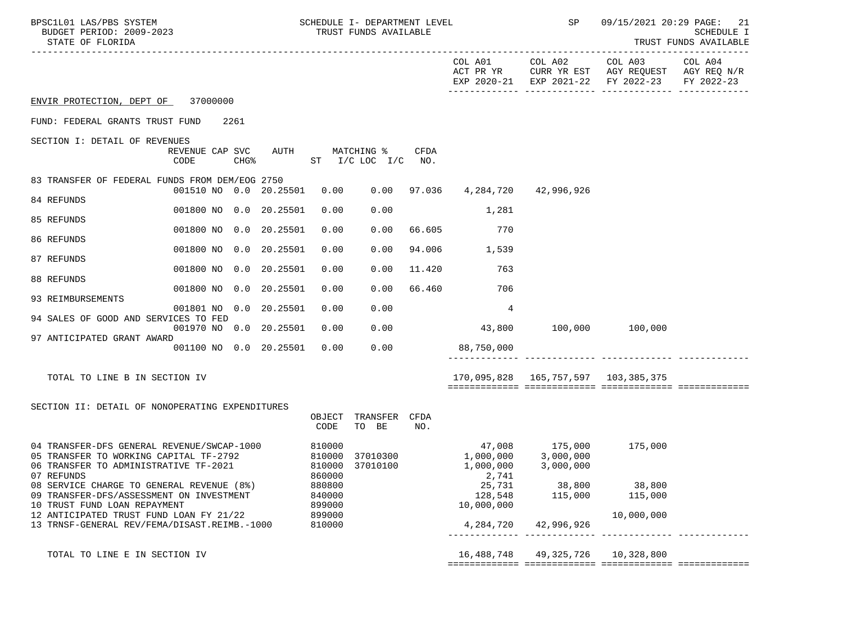| BPSC1L01 LAS/PBS SYSTEM<br>BUDGET PERIOD: 2009-2023<br>STATE OF FLORIDA                                                                     | SCHEDULE I- DEPARTMENT LEVEL<br>TRUST FUNDS AVAILABLE      |                                                                             | SP<br>09/15/2021 20:29 PAGE: 21<br>SCHEDULE I<br>TRUST FUNDS AVAILABLE     |
|---------------------------------------------------------------------------------------------------------------------------------------------|------------------------------------------------------------|-----------------------------------------------------------------------------|----------------------------------------------------------------------------|
|                                                                                                                                             |                                                            | COL A01<br>COL A02<br>ACT PR YR<br>EXP 2020-21 EXP 2021-22 FY 2022-23       | COL A03<br>COL A04<br>CURR YR EST AGY REQUEST<br>AGY REQ N/R<br>FY 2022-23 |
| 37000000<br>ENVIR PROTECTION, DEPT OF                                                                                                       |                                                            |                                                                             |                                                                            |
| FUND: FEDERAL GRANTS TRUST FUND<br>2261                                                                                                     |                                                            |                                                                             |                                                                            |
| SECTION I: DETAIL OF REVENUES<br>AUTH<br>REVENUE CAP SVC<br>CHG <sup>8</sup><br>CODE                                                        | MATCHING %<br><b>CFDA</b><br>$ST$ $I/C$ $LOC$ $I/C$ $NO$ . |                                                                             |                                                                            |
| 83 TRANSFER OF FEDERAL FUNDS FROM DEM/EOG 2750<br>001510 NO 0.0 20.25501                                                                    | $0.00$ $97.036$ $4,284,720$<br>0.00                        | 42,996,926                                                                  |                                                                            |
| 84 REFUNDS<br>001800 NO 0.0 20.25501                                                                                                        | 0.00<br>0.00                                               | 1,281                                                                       |                                                                            |
| 85 REFUNDS<br>001800 NO 0.0 20.25501                                                                                                        | 66.605<br>0.00<br>0.00                                     | 770                                                                         |                                                                            |
| 86 REFUNDS<br>001800 NO 0.0 20.25501                                                                                                        | 0.00<br>0.00<br>94.006                                     | 1,539                                                                       |                                                                            |
| 87 REFUNDS<br>001800 NO 0.0 20.25501                                                                                                        | 0.00<br>0.00<br>11.420                                     | 763                                                                         |                                                                            |
| 88 REFUNDS<br>001800 NO 0.0 20.25501                                                                                                        | 66.460<br>0.00<br>0.00                                     | 706                                                                         |                                                                            |
| 93 REIMBURSEMENTS<br>001801 NO 0.0 20.25501                                                                                                 | 0.00<br>0.00                                               | 4                                                                           |                                                                            |
| 94 SALES OF GOOD AND SERVICES TO FED<br>001970 NO 0.0 20.25501                                                                              | 0.00<br>0.00                                               | 43,800 100,000 100,000                                                      |                                                                            |
| 97 ANTICIPATED GRANT AWARD<br>001100 NO 0.0 20.25501                                                                                        | 0.00<br>0.00                                               | 88,750,000                                                                  |                                                                            |
|                                                                                                                                             |                                                            |                                                                             |                                                                            |
| TOTAL TO LINE B IN SECTION IV                                                                                                               |                                                            | 170,095,828  165,757,597  103,385,375                                       |                                                                            |
| SECTION II: DETAIL OF NONOPERATING EXPENDITURES                                                                                             |                                                            |                                                                             |                                                                            |
|                                                                                                                                             | OBJECT TRANSFER CFDA<br>CODE<br>TO BE<br>NO.               |                                                                             |                                                                            |
| 04 TRANSFER-DFS GENERAL REVENUE/SWCAP-1000<br>05 TRANSFER TO WORKING CAPITAL TF-2792<br>06 TRANSFER TO ADMINISTRATIVE TF-2021<br>07 REFUNDS | 810000<br>37010300<br>810000<br>810000 37010100<br>860000  | 47,008 175,000<br>1,000,000<br>3,000,000<br>3,000,000<br>1,000,000<br>2,741 | 175,000                                                                    |
| 08 SERVICE CHARGE TO GENERAL REVENUE (8%)<br>09 TRANSFER-DFS/ASSESSMENT ON INVESTMENT<br>10 TRUST FUND LOAN REPAYMENT                       | 880800<br>840000<br>899000                                 | 25,731<br>38,800<br>128,548<br>115,000<br>10,000,000                        | 38,800<br>115,000                                                          |
| 12 ANTICIPATED TRUST FUND LOAN FY 21/22<br>13 TRNSF-GENERAL REV/FEMA/DISAST.REIMB.-1000                                                     | 899000<br>810000                                           | 42,996,926<br>4,284,720                                                     | 10,000,000                                                                 |
| TOTAL TO LINE E IN SECTION IV                                                                                                               |                                                            | 16,488,748<br>49,325,726                                                    | 10,328,800                                                                 |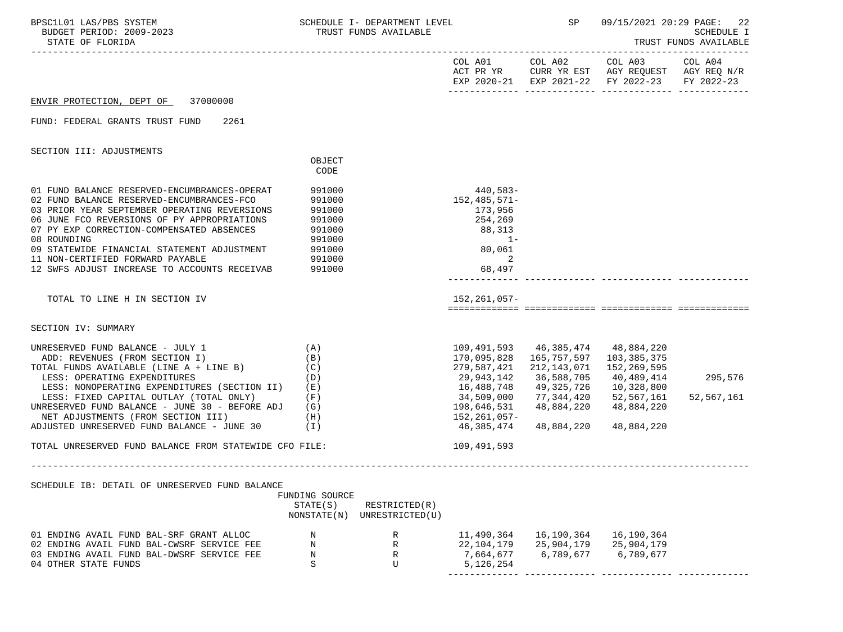| BPSC1L01 LAS/PBS SYSTEM<br>BUDGET PERIOD: 2009-2023<br>STATE OF FLORIDA                                                                                                                                                                                                                                                                                                                              |                                                                              | SCHEDULE I- DEPARTMENT LEVEL<br>TRUST FUNDS AVAILABLE |                                                                                                                   | <b>SP</b>                                                                                                                             |                                                                                                                | 09/15/2021 20:29 PAGE: 22<br><b>SCHEDULE I</b><br>TRUST FUNDS AVAILABLE |
|------------------------------------------------------------------------------------------------------------------------------------------------------------------------------------------------------------------------------------------------------------------------------------------------------------------------------------------------------------------------------------------------------|------------------------------------------------------------------------------|-------------------------------------------------------|-------------------------------------------------------------------------------------------------------------------|---------------------------------------------------------------------------------------------------------------------------------------|----------------------------------------------------------------------------------------------------------------|-------------------------------------------------------------------------|
|                                                                                                                                                                                                                                                                                                                                                                                                      |                                                                              |                                                       |                                                                                                                   |                                                                                                                                       | COL A01 COL A02 COL A03<br>ACT PR YR CURR YR EST AGY REQUEST AGY REQ N/R<br>EXP 2020-21 EXP 2021-22 FY 2022-23 | COL A04<br>FY 2022-23                                                   |
| ENVIR PROTECTION, DEPT OF 37000000                                                                                                                                                                                                                                                                                                                                                                   |                                                                              |                                                       |                                                                                                                   |                                                                                                                                       |                                                                                                                |                                                                         |
| FUND: FEDERAL GRANTS TRUST FUND<br>2261                                                                                                                                                                                                                                                                                                                                                              |                                                                              |                                                       |                                                                                                                   |                                                                                                                                       |                                                                                                                |                                                                         |
| SECTION III: ADJUSTMENTS                                                                                                                                                                                                                                                                                                                                                                             |                                                                              |                                                       |                                                                                                                   |                                                                                                                                       |                                                                                                                |                                                                         |
|                                                                                                                                                                                                                                                                                                                                                                                                      | OBJECT<br>CODE                                                               |                                                       |                                                                                                                   |                                                                                                                                       |                                                                                                                |                                                                         |
| 01 FUND BALANCE RESERVED-ENCUMBRANCES-OPERAT<br>02 FUND BALANCE RESERVED-ENCUMBRANCES-FCO<br>03 PRIOR YEAR SEPTEMBER OPERATING REVERSIONS<br>06 JUNE FCO REVERSIONS OF PY APPROPRIATIONS<br>07 PY EXP CORRECTION-COMPENSATED ABSENCES<br>08 ROUNDING<br>09 STATEWIDE FINANCIAL STATEMENT ADJUSTMENT 991000<br>11 NON-CERTIFIED FORWARD PAYABLE<br>12 SWFS ADJUST INCREASE TO ACCOUNTS RECEIVAB       | 991000<br>991000<br>991000<br>991000<br>991000<br>991000<br>991000<br>991000 |                                                       | $440,583-$<br>152,485,571-<br>173,956<br>254,269<br>88,313<br>$1 -$<br>80,061<br>2<br>68,497                      |                                                                                                                                       |                                                                                                                |                                                                         |
| TOTAL TO LINE H IN SECTION IV                                                                                                                                                                                                                                                                                                                                                                        |                                                                              |                                                       | 152,261,057-                                                                                                      |                                                                                                                                       |                                                                                                                |                                                                         |
| SECTION IV: SUMMARY                                                                                                                                                                                                                                                                                                                                                                                  |                                                                              |                                                       |                                                                                                                   |                                                                                                                                       |                                                                                                                |                                                                         |
| (A)<br>UNRESERVED FUND BALANCE - JULY 1<br>ADD: REVENUES (FROM SECTION I)<br>TOTAL FUNDS AVAILABLE (LINE A + LINE B)<br>LESS: OPERATING EXPENDITURES<br>LESS: NONOPERATING EXPENDITURES (SECTION II) (E)<br>LESS: FIXED CAPITAL OUTLAY (TOTAL ONLY)<br>UNRESERVED FUND BALANCE - JUNE 30 - BEFORE ADJ<br>NET ADJUSTMENTS (FROM SECTION III)<br>(H)<br>ADJUSTED UNRESERVED FUND BALANCE - JUNE 30 (I) | (B)<br>(C)<br>(D)<br>(F)<br>(G)                                              |                                                       | 170,095,828<br>279,587,421<br>29,943,142<br>16,488,748<br>34,509,000<br>198,646,531<br>152,261,057-<br>46,385,474 | 109,491,593 46,385,474 48,884,220<br>165,757,597<br>212,143,071<br>36,588,705<br>49,325,726<br>77,344,420<br>48,884,220<br>48,884,220 | 103,385,375<br>152,269,595<br>40,489,414<br>10,328,800<br>52,567,161<br>48,884,220<br>48,884,220               | 295,576<br>52,567,161                                                   |
| TOTAL UNRESERVED FUND BALANCE FROM STATEWIDE CFO FILE:                                                                                                                                                                                                                                                                                                                                               |                                                                              |                                                       | 109,491,593                                                                                                       |                                                                                                                                       |                                                                                                                |                                                                         |
| SCHEDULE IB: DETAIL OF UNRESERVED FUND BALANCE                                                                                                                                                                                                                                                                                                                                                       | FUNDING SOURCE<br>STATE(S)                                                   | RESTRICTED(R)<br>NONSTATE(N) UNRESTRICTED(U)          |                                                                                                                   |                                                                                                                                       |                                                                                                                |                                                                         |
| 01 ENDING AVAIL FUND BAL-SRF GRANT ALLOC<br>02 ENDING AVAIL FUND BAL-CWSRF SERVICE FEE<br>03 ENDING AVAIL FUND BAL-DWSRF SERVICE FEE<br>04 OTHER STATE FUNDS                                                                                                                                                                                                                                         | N<br>N<br>N<br>S                                                             | R<br>R<br>R<br>U                                      | 11,490,364<br>22,104,179<br>7,664,677<br>5,126,254                                                                | 16,190,364<br>25,904,179<br>6,789,677                                                                                                 | 16,190,364<br>25,904,179<br>6,789,677                                                                          |                                                                         |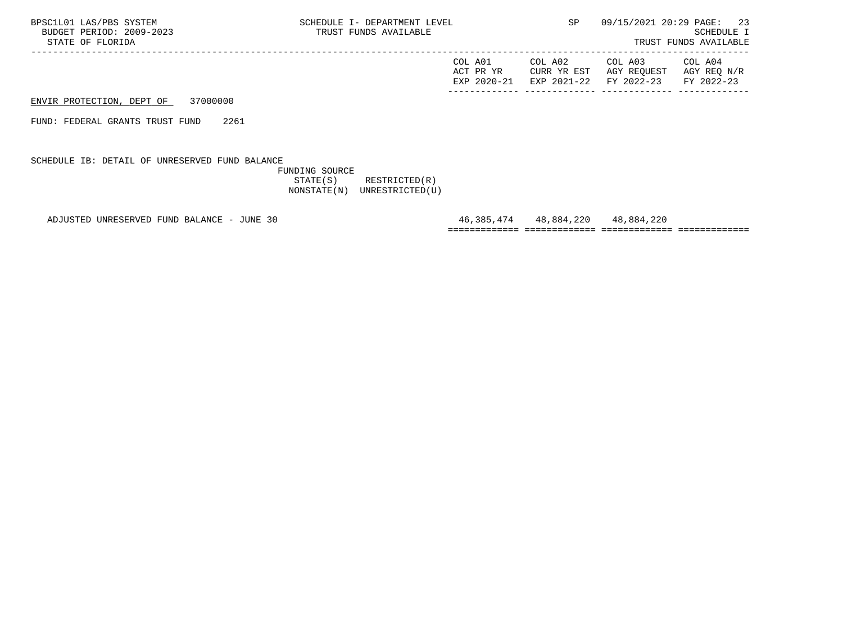ENVIR PROTECTION, DEPT OF 37000000

FUND: FEDERAL GRANTS TRUST FUND 2261

SCHEDULE IB: DETAIL OF UNRESERVED FUND BALANCE

 FUNDING SOURCE STATE(S) RESTRICTED(R) NONSTATE(N) UNRESTRICTED(U)

ADJUSTED UNRESERVED FUND BALANCE - JUNE 30 46,385,474 48,884,220 48,884,220

============= ============= ============= =============

------------- ------------- ------------- -------------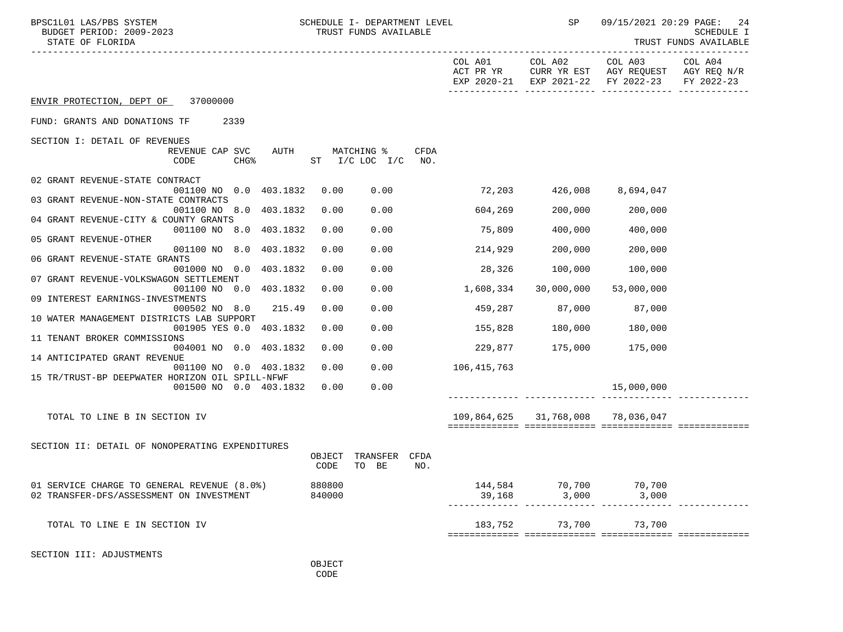| BPSC1L01 LAS/PBS SYSTEM<br>BUDGET PERIOD: 2009-2023<br>STATE OF FLORIDA                 | SCHEDULE I- DEPARTMENT LEVEL<br>TRUST FUNDS AVAILABLE |                      | SP                             |                                                                                              | 09/15/2021 20:29 PAGE: 24<br><b>SCHEDULE I</b><br>TRUST FUNDS AVAILABLE |
|-----------------------------------------------------------------------------------------|-------------------------------------------------------|----------------------|--------------------------------|----------------------------------------------------------------------------------------------|-------------------------------------------------------------------------|
|                                                                                         |                                                       | COL A01<br>ACT PR YR |                                | COL A02 COL A03<br>CURR YR EST AGY REQUEST AGY REQ N/R<br>EXP 2020-21 EXP 2021-22 FY 2022-23 | COL A04<br>FY 2022-23                                                   |
| ENVIR PROTECTION, DEPT OF 37000000                                                      |                                                       |                      |                                |                                                                                              |                                                                         |
| FUND: GRANTS AND DONATIONS TF<br>2339                                                   |                                                       |                      |                                |                                                                                              |                                                                         |
| SECTION I: DETAIL OF REVENUES                                                           |                                                       |                      |                                |                                                                                              |                                                                         |
| REVENUE CAP SVC<br>AUTH<br>CODE<br>CHG <sup>8</sup>                                     | MATCHING %<br>ST I/C LOC I/C                          | CFDA<br>NO.          |                                |                                                                                              |                                                                         |
| 02 GRANT REVENUE-STATE CONTRACT<br>001100 NO 0.0 403.1832                               | 0.00<br>0.00                                          | 72,203               | 426,008                        | 8,694,047                                                                                    |                                                                         |
| 03 GRANT REVENUE-NON-STATE CONTRACTS                                                    |                                                       |                      |                                |                                                                                              |                                                                         |
| 001100 NO 8.0 403.1832<br>04 GRANT REVENUE-CITY & COUNTY GRANTS                         | 0.00<br>0.00                                          | 604,269              | 200,000                        | 200,000                                                                                      |                                                                         |
| 001100 NO 8.0 403.1832                                                                  | 0.00<br>0.00                                          | 75,809               | 400,000                        | 400,000                                                                                      |                                                                         |
| 05 GRANT REVENUE-OTHER<br>001100 NO 8.0 403.1832                                        | 0.00<br>0.00                                          | 214,929              | 200,000                        | 200,000                                                                                      |                                                                         |
| 06 GRANT REVENUE-STATE GRANTS                                                           |                                                       |                      |                                |                                                                                              |                                                                         |
| 001000 NO 0.0 403.1832<br>07 GRANT REVENUE-VOLKSWAGON SETTLEMENT                        | 0.00<br>0.00                                          | 28,326               | 100,000                        | 100,000                                                                                      |                                                                         |
| 001100 NO 0.0 403.1832                                                                  | 0.00<br>0.00                                          | 1,608,334            | 30,000,000                     | 53,000,000                                                                                   |                                                                         |
| 09 INTEREST EARNINGS-INVESTMENTS<br>000502 NO 8.0 215.49                                | 0.00<br>0.00                                          | 459,287              | 87,000                         | 87,000                                                                                       |                                                                         |
| 10 WATER MANAGEMENT DISTRICTS LAB SUPPORT                                               |                                                       |                      |                                |                                                                                              |                                                                         |
| 001905 YES 0.0 403.1832<br>11 TENANT BROKER COMMISSIONS                                 | 0.00<br>0.00                                          | 155,828              | 180,000                        | 180,000                                                                                      |                                                                         |
| 004001 NO 0.0 403.1832                                                                  | 0.00<br>0.00                                          | 229,877              | 175,000                        | 175,000                                                                                      |                                                                         |
| 14 ANTICIPATED GRANT REVENUE                                                            |                                                       |                      |                                |                                                                                              |                                                                         |
| 001100 NO 0.0 403.1832<br>15 TR/TRUST-BP DEEPWATER HORIZON OIL SPILL-NFWF               | 0.00<br>0.00                                          | 106,415,763          |                                |                                                                                              |                                                                         |
| 001500 NO 0.0 403.1832                                                                  | 0.00<br>0.00                                          |                      |                                | 15,000,000                                                                                   |                                                                         |
|                                                                                         |                                                       |                      |                                |                                                                                              |                                                                         |
| TOTAL TO LINE B IN SECTION IV                                                           |                                                       | 109,864,625          | 31,768,008                     | 78,036,047                                                                                   |                                                                         |
|                                                                                         |                                                       |                      |                                |                                                                                              |                                                                         |
| SECTION II: DETAIL OF NONOPERATING EXPENDITURES                                         |                                                       |                      |                                |                                                                                              |                                                                         |
|                                                                                         | TRANSFER<br>CFDA<br>OBJECT<br>CODE<br>TO BE<br>NO.    |                      |                                |                                                                                              |                                                                         |
|                                                                                         |                                                       |                      |                                |                                                                                              |                                                                         |
| 01 SERVICE CHARGE TO GENERAL REVENUE (8.0%)<br>02 TRANSFER-DFS/ASSESSMENT ON INVESTMENT | 880800<br>840000                                      | 39,168               | 144,584 70,700 70,700<br>3,000 | 3,000                                                                                        |                                                                         |
|                                                                                         |                                                       |                      |                                |                                                                                              |                                                                         |
| TOTAL TO LINE E IN SECTION IV                                                           |                                                       | 183,752              | 73,700                         | 73,700                                                                                       |                                                                         |
|                                                                                         |                                                       |                      |                                |                                                                                              |                                                                         |
| SECTION III: ADJUSTMENTS                                                                |                                                       |                      |                                |                                                                                              |                                                                         |
|                                                                                         | OBJECT                                                |                      |                                |                                                                                              |                                                                         |

**CODE**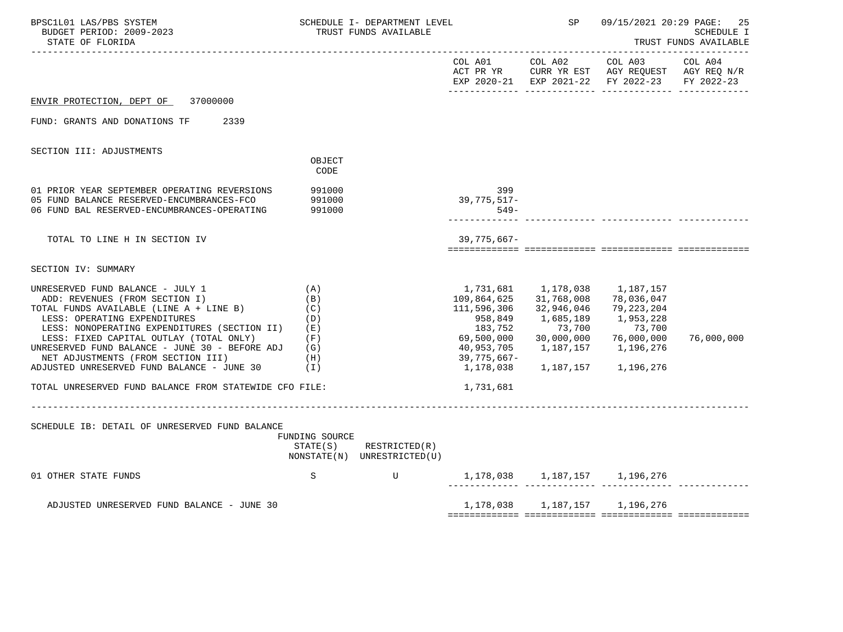| BPSC1L01 LAS/PBS SYSTEM<br>SCHEDULE I- DEPARTMENT LEVEL<br>BUDGET PERIOD: 2009-2023<br>TRUST FUNDS AVAILABLE<br>STATE OF FLORIDA                                                                                                                                                                                                                                               |                                                             |                                                            | SP                                                                                                                    | 09/15/2021 20:29 PAGE:                                                     | 25<br>SCHEDULE I<br>TRUST FUNDS AVAILABLE                                                                                         |            |
|--------------------------------------------------------------------------------------------------------------------------------------------------------------------------------------------------------------------------------------------------------------------------------------------------------------------------------------------------------------------------------|-------------------------------------------------------------|------------------------------------------------------------|-----------------------------------------------------------------------------------------------------------------------|----------------------------------------------------------------------------|-----------------------------------------------------------------------------------------------------------------------------------|------------|
|                                                                                                                                                                                                                                                                                                                                                                                |                                                             |                                                            |                                                                                                                       |                                                                            | COL A01 COL A02 COL A03 COL A04<br>ACT PR YR CURR YR EST AGY REQUEST AGY REQ N/R<br>EXP 2020-21 EXP 2021-22 FY 2022-23 FY 2022-23 |            |
| ENVIR PROTECTION, DEPT OF 37000000                                                                                                                                                                                                                                                                                                                                             |                                                             |                                                            |                                                                                                                       |                                                                            |                                                                                                                                   |            |
| FUND: GRANTS AND DONATIONS TF<br>2339                                                                                                                                                                                                                                                                                                                                          |                                                             |                                                            |                                                                                                                       |                                                                            |                                                                                                                                   |            |
| SECTION III: ADJUSTMENTS                                                                                                                                                                                                                                                                                                                                                       |                                                             |                                                            |                                                                                                                       |                                                                            |                                                                                                                                   |            |
|                                                                                                                                                                                                                                                                                                                                                                                | OBJECT<br>CODE                                              |                                                            |                                                                                                                       |                                                                            |                                                                                                                                   |            |
| 01 PRIOR YEAR SEPTEMBER OPERATING REVERSIONS<br>05 FUND BALANCE RESERVED-ENCUMBRANCES-FCO<br>06 FUND BAL RESERVED-ENCUMBRANCES-OPERATING                                                                                                                                                                                                                                       | 991000<br>991000<br>991000                                  |                                                            | 399<br>39,775,517-<br>$549-$                                                                                          |                                                                            |                                                                                                                                   |            |
| TOTAL TO LINE H IN SECTION IV                                                                                                                                                                                                                                                                                                                                                  |                                                             |                                                            | $39,775,667-$                                                                                                         |                                                                            |                                                                                                                                   |            |
| SECTION IV: SUMMARY                                                                                                                                                                                                                                                                                                                                                            |                                                             |                                                            |                                                                                                                       |                                                                            |                                                                                                                                   |            |
| UNRESERVED FUND BALANCE - JULY 1<br>ADD: REVENUES (FROM SECTION I)<br>TOTAL FUNDS AVAILABLE (LINE A + LINE B)<br>LESS: OPERATING EXPENDITURES<br>LESS: NONOPERATING EXPENDITURES (SECTION II)<br>LESS: FIXED CAPITAL OUTLAY (TOTAL ONLY)<br>UNRESERVED FUND BALANCE - JUNE 30 - BEFORE ADJ<br>NET ADJUSTMENTS (FROM SECTION III)<br>ADJUSTED UNRESERVED FUND BALANCE - JUNE 30 | (A)<br>(B)<br>(C)<br>(D)<br>(E)<br>(F)<br>(G)<br>(H)<br>(1) |                                                            | 1,731,681<br>109,864,625<br>111,596,306<br>958,849<br>183,752<br>69,500,000<br>40,953,705<br>39,775,667-<br>1,178,038 | 1,178,038<br>31,768,008<br>32,946,046<br>1,685,189<br>73,700<br>30,000,000 | 1,187,157<br>78,036,047<br>79,223,204<br>1,953,228<br>73,700<br>76,000,000<br>1, 187, 157 1, 196, 276<br>1,187,157 1,196,276      | 76,000,000 |
| TOTAL UNRESERVED FUND BALANCE FROM STATEWIDE CFO FILE:                                                                                                                                                                                                                                                                                                                         |                                                             |                                                            | 1,731,681                                                                                                             |                                                                            |                                                                                                                                   |            |
| SCHEDULE IB: DETAIL OF UNRESERVED FUND BALANCE                                                                                                                                                                                                                                                                                                                                 | FUNDING SOURCE                                              | $STATE(S)$ RESTRICTED $(R)$<br>NONSTATE(N) UNRESTRICTED(U) |                                                                                                                       |                                                                            |                                                                                                                                   |            |
| 01 OTHER STATE FUNDS                                                                                                                                                                                                                                                                                                                                                           | S                                                           | $\mathbf U$                                                | 1, 178, 038 1, 187, 157 1, 196, 276                                                                                   |                                                                            |                                                                                                                                   |            |
| ADJUSTED UNRESERVED FUND BALANCE - JUNE 30                                                                                                                                                                                                                                                                                                                                     |                                                             |                                                            |                                                                                                                       |                                                                            | 1, 178, 038 1, 187, 157 1, 196, 276                                                                                               |            |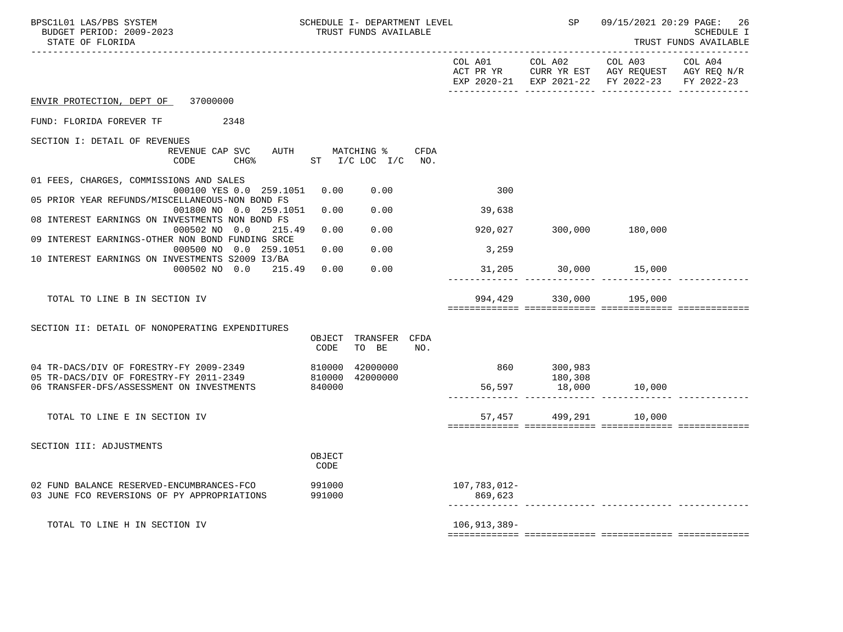| BPSC1L01 LAS/PBS SYSTEM<br>BUDGET PERIOD: 2009-2023<br>STATE OF FLORIDA                                                       | SCHEDULE I- DEPARTMENT LEVEL<br>TRUST FUNDS AVAILABLE |                                       |      | $\operatorname{SP}$     | 09/15/2021 20:29 PAGE: 26<br>------------ | <b>SCHEDULE I</b><br>TRUST FUNDS AVAILABLE                                                                                      |            |
|-------------------------------------------------------------------------------------------------------------------------------|-------------------------------------------------------|---------------------------------------|------|-------------------------|-------------------------------------------|---------------------------------------------------------------------------------------------------------------------------------|------------|
|                                                                                                                               |                                                       |                                       |      | COL A01 COL A02         |                                           | COL A03 COL A04<br>ACT PR YR $\,$ CURR YR EST $\,$ AGY REQUEST $\,$ AGY REQ $\,$ N/R $\,$<br>EXP 2020-21 EXP 2021-22 FY 2022-23 | FY 2022-23 |
| ENVIR PROTECTION, DEPT OF 37000000                                                                                            |                                                       |                                       |      |                         |                                           |                                                                                                                                 |            |
| FUND: FLORIDA FOREVER TF<br>2348                                                                                              |                                                       |                                       |      |                         |                                           |                                                                                                                                 |            |
| SECTION I: DETAIL OF REVENUES<br>REVENUE CAP SVC<br>CODE<br>CHG <sup>8</sup>                                                  |                                                       | AUTH MATCHING %<br>ST I/C LOC I/C NO. | CFDA |                         |                                           |                                                                                                                                 |            |
| 01 FEES, CHARGES, COMMISSIONS AND SALES<br>000100 YES 0.0 259.1051                                                            | 0.00                                                  | 0.00                                  |      | 300                     |                                           |                                                                                                                                 |            |
| 05 PRIOR YEAR REFUNDS/MISCELLANEOUS-NON BOND FS<br>001800 NO 0.0 259.1051                                                     | 0.00                                                  | 0.00                                  |      | 39,638                  |                                           |                                                                                                                                 |            |
| 08 INTEREST EARNINGS ON INVESTMENTS NON BOND FS<br>000502 NO 0.0<br>215.49                                                    | 0.00                                                  | 0.00                                  |      | 920,027                 | 300,000 180,000                           |                                                                                                                                 |            |
| 09 INTEREST EARNINGS-OTHER NON BOND FUNDING SRCE<br>000500 NO 0.0 259.1051<br>10 INTEREST EARNINGS ON INVESTMENTS S2009 I3/BA | 0.00                                                  | 0.00                                  |      | 3,259                   |                                           |                                                                                                                                 |            |
| 000502 NO 0.0 215.49                                                                                                          | 0.00                                                  | 0.00                                  |      |                         | 31,205 30,000 15,000                      |                                                                                                                                 |            |
| TOTAL TO LINE B IN SECTION IV                                                                                                 |                                                       |                                       |      |                         | 994,429 330,000 195,000                   |                                                                                                                                 |            |
| SECTION II: DETAIL OF NONOPERATING EXPENDITURES                                                                               | CODE                                                  | OBJECT TRANSFER CFDA<br>TO BE         | NO.  |                         |                                           |                                                                                                                                 |            |
| 04 TR-DACS/DIV OF FORESTRY-FY 2009-2349                                                                                       | 810000                                                | 42000000                              |      | 860 300,983             |                                           |                                                                                                                                 |            |
| 05 TR-DACS/DIV OF FORESTRY-FY 2011-2349<br>06 TRANSFER-DFS/ASSESSMENT ON INVESTMENTS                                          | 840000                                                | 810000 42000000                       |      |                         | 180,308<br>56,597 18,000                  | 10,000                                                                                                                          |            |
| TOTAL TO LINE E IN SECTION IV                                                                                                 |                                                       |                                       |      |                         | 57,457 499,291 10,000                     |                                                                                                                                 |            |
| SECTION III: ADJUSTMENTS                                                                                                      | OBJECT<br>CODE                                        |                                       |      |                         |                                           |                                                                                                                                 |            |
| 02 FUND BALANCE RESERVED-ENCUMBRANCES-FCO<br>03 JUNE FCO REVERSIONS OF PY APPROPRIATIONS                                      | 991000<br>991000                                      |                                       |      | 107,783,012-<br>869,623 |                                           |                                                                                                                                 |            |
| TOTAL TO LINE H IN SECTION IV                                                                                                 |                                                       |                                       |      | $106, 913, 389 -$       |                                           |                                                                                                                                 |            |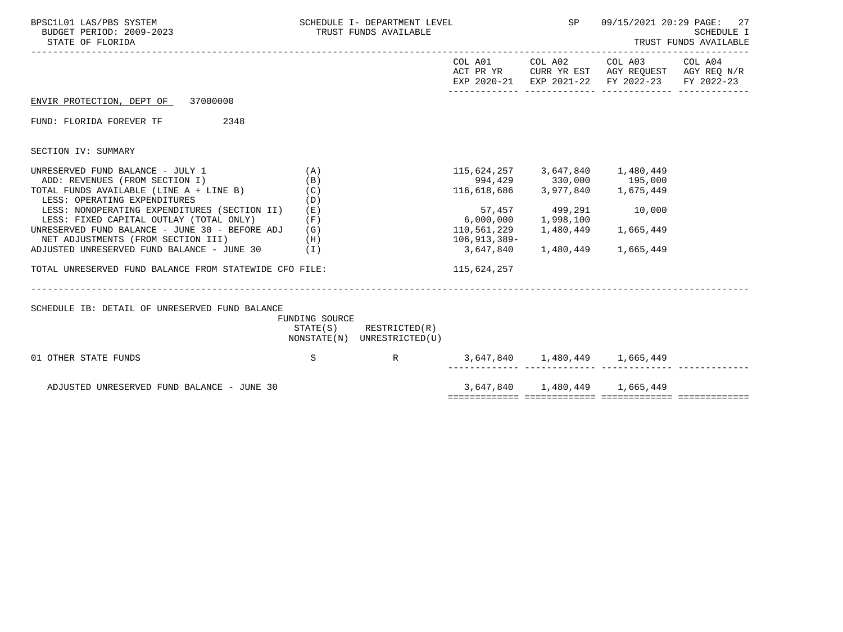|                                                             |                                                       |                                                                             | SP                                                          | 09/15/2021 20:29 PAGE:<br>27<br><b>SCHEDULE I</b><br>TRUST FUNDS AVAILABLE |                                                                                                                                                                                                                                                                                                                                                                                                       |  |
|-------------------------------------------------------------|-------------------------------------------------------|-----------------------------------------------------------------------------|-------------------------------------------------------------|----------------------------------------------------------------------------|-------------------------------------------------------------------------------------------------------------------------------------------------------------------------------------------------------------------------------------------------------------------------------------------------------------------------------------------------------------------------------------------------------|--|
|                                                             |                                                       |                                                                             |                                                             |                                                                            |                                                                                                                                                                                                                                                                                                                                                                                                       |  |
|                                                             |                                                       |                                                                             |                                                             |                                                                            |                                                                                                                                                                                                                                                                                                                                                                                                       |  |
|                                                             |                                                       |                                                                             |                                                             |                                                                            |                                                                                                                                                                                                                                                                                                                                                                                                       |  |
|                                                             |                                                       |                                                                             |                                                             |                                                                            |                                                                                                                                                                                                                                                                                                                                                                                                       |  |
| (A)<br>(B)<br>(C)                                           |                                                       |                                                                             |                                                             |                                                                            |                                                                                                                                                                                                                                                                                                                                                                                                       |  |
| LESS: NONOPERATING EXPENDITURES (SECTION II) (E)<br>(F)     |                                                       |                                                                             |                                                             |                                                                            |                                                                                                                                                                                                                                                                                                                                                                                                       |  |
| UNRESERVED FUND BALANCE - JUNE 30 - BEFORE ADJ $(G)$<br>(H) |                                                       |                                                                             |                                                             |                                                                            |                                                                                                                                                                                                                                                                                                                                                                                                       |  |
|                                                             |                                                       |                                                                             |                                                             |                                                                            |                                                                                                                                                                                                                                                                                                                                                                                                       |  |
| TOTAL UNRESERVED FUND BALANCE FROM STATEWIDE CFO FILE:      |                                                       | 115,624,257                                                                 |                                                             |                                                                            |                                                                                                                                                                                                                                                                                                                                                                                                       |  |
|                                                             |                                                       |                                                                             |                                                             |                                                                            |                                                                                                                                                                                                                                                                                                                                                                                                       |  |
| S                                                           |                                                       |                                                                             |                                                             |                                                                            |                                                                                                                                                                                                                                                                                                                                                                                                       |  |
|                                                             |                                                       |                                                                             |                                                             |                                                                            |                                                                                                                                                                                                                                                                                                                                                                                                       |  |
|                                                             |                                                       |                                                                             |                                                             |                                                                            |                                                                                                                                                                                                                                                                                                                                                                                                       |  |
|                                                             | (D)<br>ADJUSTED UNRESERVED FUND BALANCE - JUNE 30 (I) | TRUST FUNDS AVAILABLE<br>FUNDING SOURCE<br>$STATE(S)$ RESTRICTED $(R)$<br>R | SCHEDULE I- DEPARTMENT LEVEL<br>NONSTATE(N) UNRESTRICTED(U) | $6,000,000$ 1,998,100<br>106,913,389-                                      | COL A01 COL A02 COL A03 COL A04<br>ACT PR YR CURR YR EST AGY REQUEST AGY REQ N/R<br>EXP 2020-21 EXP 2021-22 FY 2022-23 FY 2022-23<br>115,624,257 3,647,840 1,480,449<br>994,429 330,000 195,000<br>116,618,686 3,977,840 1,675,449<br>57,457 499,291 10,000<br>110,561,229   1,480,449   1,665,449<br>3,647,840 1,480,449 1,665,449<br>3,647,840 1,480,449 1,665,449<br>3,647,840 1,480,449 1,665,449 |  |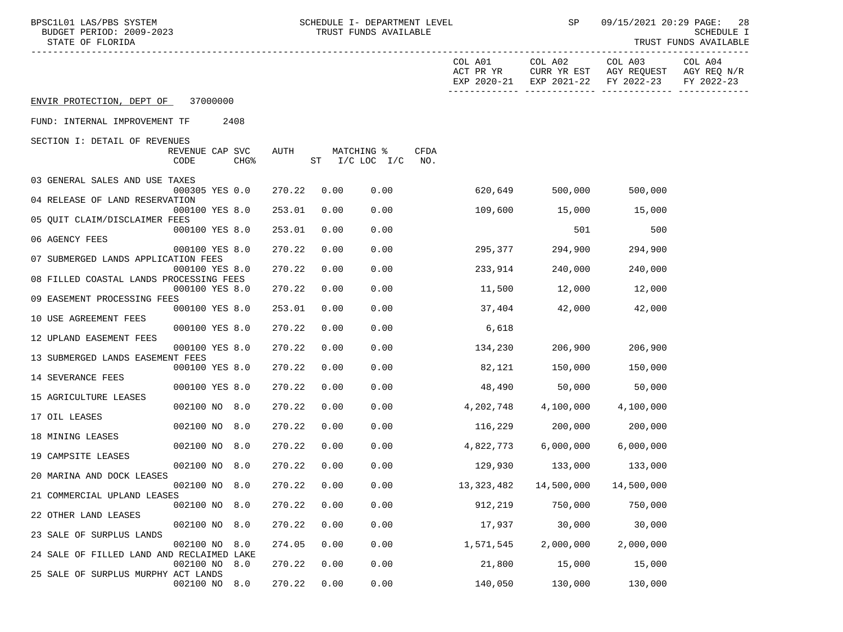| BPSC1L01 LAS/PBS SYSTEM<br>BUDGET PERIOD: 2009-2023<br>STATE OF FLORIDA |                         |                  |        |      |            | SCHEDULE I- DEPARTMENT LEVEL<br>TRUST FUNDS AVAILABLE |                    |                                     | SP                     | 09/15/2021 20:29 PAGE:                           | 28<br><b>SCHEDULE I</b><br>TRUST FUNDS AVAILABLE |
|-------------------------------------------------------------------------|-------------------------|------------------|--------|------|------------|-------------------------------------------------------|--------------------|-------------------------------------|------------------------|--------------------------------------------------|--------------------------------------------------|
|                                                                         |                         |                  |        |      |            |                                                       |                    | COL A01<br>ACT PR YR<br>EXP 2020-21 | COL A02<br>CURR YR EST | COL A03<br>AGY REQUEST<br>EXP 2021-22 FY 2022-23 | COL A04<br>AGY REQ N/R<br>FY 2022-23             |
| ENVIR PROTECTION, DEPT OF 37000000                                      |                         |                  |        |      |            |                                                       |                    |                                     |                        |                                                  |                                                  |
| FUND: INTERNAL IMPROVEMENT TF                                           |                         | 2408             |        |      |            |                                                       |                    |                                     |                        |                                                  |                                                  |
| SECTION I: DETAIL OF REVENUES                                           |                         |                  |        |      |            |                                                       |                    |                                     |                        |                                                  |                                                  |
|                                                                         | REVENUE CAP SVC<br>CODE | CHG <sup>8</sup> | AUTH   |      | MATCHING % | $ST$ $I/C$ LOC $I/C$                                  | <b>CFDA</b><br>NO. |                                     |                        |                                                  |                                                  |
| 03 GENERAL SALES AND USE TAXES                                          |                         |                  |        |      |            |                                                       |                    |                                     |                        |                                                  |                                                  |
| 04 RELEASE OF LAND RESERVATION                                          | 000305 YES 0.0          |                  | 270.22 |      | 0.00       | 0.00                                                  |                    | 620,649                             | 500,000                | 500,000                                          |                                                  |
|                                                                         | 000100 YES 8.0          |                  | 253.01 | 0.00 |            | 0.00                                                  |                    | 109,600                             | 15,000                 | 15,000                                           |                                                  |
| 05 QUIT CLAIM/DISCLAIMER FEES                                           | 000100 YES 8.0          |                  | 253.01 |      | 0.00       | 0.00                                                  |                    |                                     | 501                    | 500                                              |                                                  |
| 06 AGENCY FEES                                                          |                         |                  |        |      |            |                                                       |                    |                                     |                        |                                                  |                                                  |
| 07 SUBMERGED LANDS APPLICATION FEES                                     | 000100 YES 8.0          |                  | 270.22 |      | 0.00       | 0.00                                                  |                    | 295,377                             | 294,900                | 294,900                                          |                                                  |
| 08 FILLED COASTAL LANDS PROCESSING FEES                                 | 000100 YES 8.0          |                  | 270.22 |      | 0.00       | 0.00                                                  |                    | 233,914                             | 240,000                | 240,000                                          |                                                  |
|                                                                         | 000100 YES 8.0          |                  | 270.22 |      | 0.00       | 0.00                                                  |                    | 11,500                              | 12,000                 | 12,000                                           |                                                  |
| 09 EASEMENT PROCESSING FEES                                             | 000100 YES 8.0          |                  | 253.01 |      | 0.00       | 0.00                                                  |                    | 37,404                              | 42,000                 | 42,000                                           |                                                  |
| 10 USE AGREEMENT FEES                                                   |                         |                  |        |      |            |                                                       |                    |                                     |                        |                                                  |                                                  |
| 12 UPLAND EASEMENT FEES                                                 | 000100 YES 8.0          |                  | 270.22 |      | 0.00       | 0.00                                                  |                    | 6,618                               |                        |                                                  |                                                  |
|                                                                         | 000100 YES 8.0          |                  | 270.22 |      | 0.00       | 0.00                                                  |                    | 134,230                             | 206,900                | 206,900                                          |                                                  |
| 13 SUBMERGED LANDS EASEMENT FEES                                        | 000100 YES 8.0          |                  | 270.22 |      | 0.00       | 0.00                                                  |                    | 82,121                              | 150,000                | 150,000                                          |                                                  |
| 14 SEVERANCE FEES                                                       |                         |                  |        |      |            |                                                       |                    |                                     |                        |                                                  |                                                  |
| 15 AGRICULTURE LEASES                                                   | 000100 YES 8.0          |                  | 270.22 |      | 0.00       | 0.00                                                  |                    | 48,490                              | 50,000                 | 50,000                                           |                                                  |
| 17 OIL LEASES                                                           | 002100 NO 8.0           |                  | 270.22 |      | 0.00       | 0.00                                                  |                    | 4,202,748                           | 4,100,000              | 4,100,000                                        |                                                  |
|                                                                         | 002100 NO 8.0           |                  | 270.22 |      | 0.00       | 0.00                                                  |                    | 116,229                             | 200,000                | 200,000                                          |                                                  |
| 18 MINING LEASES                                                        | 002100 NO 8.0           |                  | 270.22 |      | 0.00       | 0.00                                                  |                    | 4,822,773                           | 6,000,000              | 6,000,000                                        |                                                  |
| 19 CAMPSITE LEASES                                                      |                         |                  |        |      |            |                                                       |                    |                                     |                        |                                                  |                                                  |
| 20 MARINA AND DOCK LEASES                                               | 002100 NO 8.0           |                  | 270.22 |      | 0.00       | 0.00                                                  |                    | 129,930                             | 133,000                | 133,000                                          |                                                  |
|                                                                         | 002100 NO 8.0           |                  | 270.22 |      | 0.00       | 0.00                                                  |                    | 13,323,482                          | 14,500,000             | 14,500,000                                       |                                                  |
| 21 COMMERCIAL UPLAND LEASES                                             | 002100 NO               | 8.0              | 270.22 |      | 0.00       | 0.00                                                  |                    | 912,219                             | 750,000                | 750,000                                          |                                                  |
| 22 OTHER LAND LEASES                                                    |                         |                  |        |      |            |                                                       |                    |                                     | 30,000                 | 30,000                                           |                                                  |
| 23 SALE OF SURPLUS LANDS                                                | 002100 NO               | 8.0              | 270.22 |      | 0.00       | 0.00                                                  |                    | 17,937                              |                        |                                                  |                                                  |
| 24 SALE OF FILLED LAND AND RECLAIMED LAKE                               | 002100 NO               | 8.0              | 274.05 |      | 0.00       | 0.00                                                  |                    | 1,571,545                           | 2,000,000              | 2,000,000                                        |                                                  |
|                                                                         | 002100 NO               | 8.0              | 270.22 |      | 0.00       | 0.00                                                  |                    | 21,800                              | 15,000                 | 15,000                                           |                                                  |
| 25 SALE OF SURPLUS MURPHY ACT LANDS                                     | 002100 NO               | 8.0              | 270.22 |      | 0.00       | 0.00                                                  |                    | 140,050                             | 130,000                | 130,000                                          |                                                  |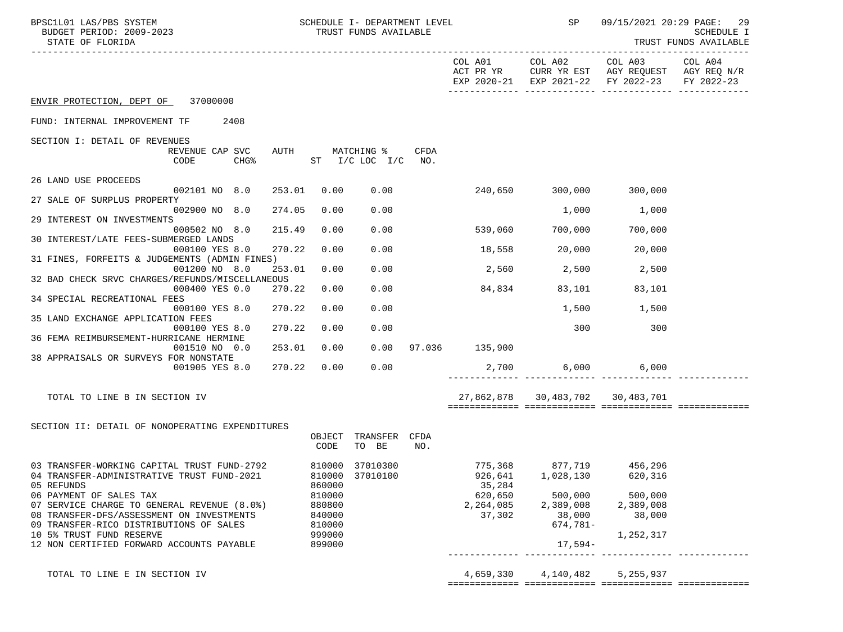| BPSC1L01 LAS/PBS SYSTEM<br>BUDGET PERIOD: 2009-2023<br>STATE OF FLORIDA              | SCHEDULE I- DEPARTMENT LEVEL<br>TRUST FUNDS AVAILABLE |                  |                                  |             |                   | SP                               | 09/15/2021 20:29 PAGE: 29<br>SCHEDULE I<br>TRUST FUNDS AVAILABLE                                       |                       |  |
|--------------------------------------------------------------------------------------|-------------------------------------------------------|------------------|----------------------------------|-------------|-------------------|----------------------------------|--------------------------------------------------------------------------------------------------------|-----------------------|--|
|                                                                                      |                                                       |                  |                                  |             | COL A01           |                                  | COL A02 COL A03<br>ACT PR YR CURR YR EST AGY REQUEST AGY REQ N/R<br>EXP 2020-21 EXP 2021-22 FY 2022-23 | COL A04<br>FY 2022-23 |  |
| ENVIR PROTECTION, DEPT OF 37000000                                                   |                                                       |                  |                                  |             |                   |                                  |                                                                                                        |                       |  |
| FUND: INTERNAL IMPROVEMENT TF<br>2408                                                |                                                       |                  |                                  |             |                   |                                  |                                                                                                        |                       |  |
| SECTION I: DETAIL OF REVENUES                                                        |                                                       |                  |                                  |             |                   |                                  |                                                                                                        |                       |  |
| REVENUE CAP SVC<br>CODE<br><b>CHG%</b>                                               | AUTH                                                  |                  | MATCHING %<br>ST I/C LOC I/C NO. | <b>CFDA</b> |                   |                                  |                                                                                                        |                       |  |
| 26 LAND USE PROCEEDS                                                                 |                                                       |                  |                                  |             |                   |                                  |                                                                                                        |                       |  |
| 002101 NO 8.0<br>27 SALE OF SURPLUS PROPERTY                                         | 253.01                                                | 0.00             | 0.00                             |             |                   | 240,650 300,000 300,000          |                                                                                                        |                       |  |
| 002900 NO 8.0                                                                        | 274.05                                                | 0.00             | 0.00                             |             |                   | 1,000                            | 1,000                                                                                                  |                       |  |
| 29 INTEREST ON INVESTMENTS<br>000502 NO 8.0                                          | 215.49                                                | 0.00             | 0.00                             |             | 539,060           | 700,000                          | 700,000                                                                                                |                       |  |
| 30 INTEREST/LATE FEES-SUBMERGED LANDS<br>000100 YES 8.0                              | 270.22                                                | 0.00             | 0.00                             |             | 18,558            | 20,000                           | 20,000                                                                                                 |                       |  |
| 31 FINES, FORFEITS & JUDGEMENTS (ADMIN FINES)<br>001200 NO 8.0                       | 253.01                                                | 0.00             | 0.00                             |             | 2,560             | 2,500                            | 2,500                                                                                                  |                       |  |
| 32 BAD CHECK SRVC CHARGES/REFUNDS/MISCELLANEOUS                                      |                                                       |                  |                                  |             |                   |                                  |                                                                                                        |                       |  |
| 000400 YES 0.0<br>34 SPECIAL RECREATIONAL FEES                                       | 270.22                                                | 0.00             | 0.00                             |             | 84,834            | 83,101                           | 83,101                                                                                                 |                       |  |
| 000100 YES 8.0                                                                       | 270.22                                                | 0.00             | 0.00                             |             |                   | 1,500                            | 1,500                                                                                                  |                       |  |
| 35 LAND EXCHANGE APPLICATION FEES<br>000100 YES 8.0                                  | 270.22                                                | 0.00             | 0.00                             |             |                   | 300                              | 300                                                                                                    |                       |  |
| 36 FEMA REIMBURSEMENT-HURRICANE HERMINE                                              |                                                       |                  |                                  |             |                   |                                  |                                                                                                        |                       |  |
| 001510 NO 0.0<br>38 APPRAISALS OR SURVEYS FOR NONSTATE                               | 253.01                                                | 0.00             | 0.00                             |             | 97.036 135,900    |                                  |                                                                                                        |                       |  |
| 001905 YES 8.0                                                                       | 270.22                                                | 0.00             | 0.00                             |             |                   | 2,700 6,000                      | 6,000                                                                                                  |                       |  |
| TOTAL TO LINE B IN SECTION IV                                                        |                                                       |                  |                                  |             |                   | 27,862,878 30,483,702 30,483,701 |                                                                                                        |                       |  |
|                                                                                      |                                                       |                  |                                  |             |                   |                                  |                                                                                                        |                       |  |
| SECTION II: DETAIL OF NONOPERATING EXPENDITURES                                      |                                                       |                  |                                  |             |                   |                                  |                                                                                                        |                       |  |
|                                                                                      |                                                       | OBJECT<br>CODE   | TRANSFER<br>TO BE                | CFDA<br>NO. |                   |                                  |                                                                                                        |                       |  |
| 03 TRANSFER-WORKING CAPITAL TRUST FUND-2792                                          |                                                       |                  | 810000 37010300                  |             |                   | 775,368 877,719 456,296          |                                                                                                        |                       |  |
| 04 TRANSFER-ADMINISTRATIVE TRUST FUND-2021<br>05 REFUNDS                             |                                                       | 860000           | 810000 37010100                  |             | 926,641<br>35,284 | 1,028,130                        | 620,316                                                                                                |                       |  |
| 06 PAYMENT OF SALES TAX                                                              |                                                       | 810000           |                                  |             | 620,650           | 500,000                          | 500,000                                                                                                |                       |  |
| 07 SERVICE CHARGE TO GENERAL REVENUE (8.0%)                                          |                                                       | 880800           |                                  |             | 2,264,085         | 2,389,008                        | 2,389,008                                                                                              |                       |  |
| 08 TRANSFER-DFS/ASSESSMENT ON INVESTMENTS<br>09 TRANSFER-RICO DISTRIBUTIONS OF SALES |                                                       | 840000<br>810000 |                                  |             | 37,302            | 38,000<br>$674,781-$             | 38,000                                                                                                 |                       |  |
| 10 5% TRUST FUND RESERVE                                                             |                                                       | 999000           |                                  |             |                   |                                  | 1,252,317                                                                                              |                       |  |
| 12 NON CERTIFIED FORWARD ACCOUNTS PAYABLE                                            |                                                       | 899000           |                                  |             |                   | $17,594-$                        |                                                                                                        |                       |  |
| TOTAL TO LINE E IN SECTION IV                                                        |                                                       |                  |                                  |             | 4,659,330         | 4,140,482                        | 5,255,937                                                                                              |                       |  |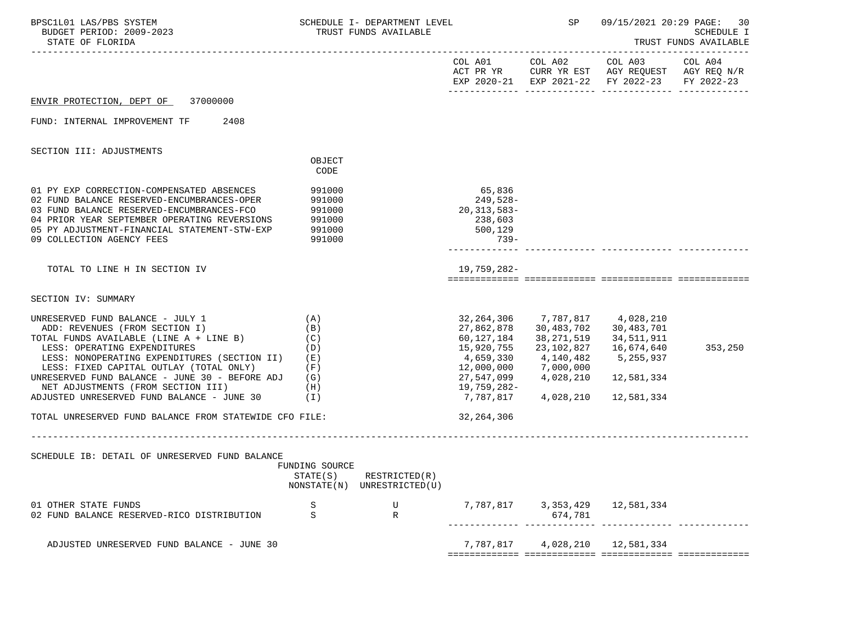| BPSC1L01 LAS/PBS SYSTEM<br>BUDGET PERIOD: 2009-2023<br>STATE OF FLORIDA                                                                                                                                                                                                                                                                                                                                                                                   |                                                          | SCHEDULE I- DEPARTMENT LEVEL<br>TRUST FUNDS AVAILABLE                                  |                                                                                                                           |                                                  | <b>SP</b>                                                                                  | 09/15/2021 20:29 PAGE:                                                                                                            | 30<br><b>SCHEDULE I</b><br>TRUST FUNDS AVAILABLE |
|-----------------------------------------------------------------------------------------------------------------------------------------------------------------------------------------------------------------------------------------------------------------------------------------------------------------------------------------------------------------------------------------------------------------------------------------------------------|----------------------------------------------------------|----------------------------------------------------------------------------------------|---------------------------------------------------------------------------------------------------------------------------|--------------------------------------------------|--------------------------------------------------------------------------------------------|-----------------------------------------------------------------------------------------------------------------------------------|--------------------------------------------------|
|                                                                                                                                                                                                                                                                                                                                                                                                                                                           |                                                          |                                                                                        |                                                                                                                           |                                                  |                                                                                            | COL A01 COL A02 COL A03 COL A04<br>ACT PR YR CURR YR EST AGY REQUEST AGY REQ N/R<br>EXP 2020-21 EXP 2021-22 FY 2022-23 FY 2022-23 |                                                  |
| ENVIR PROTECTION, DEPT OF<br>37000000                                                                                                                                                                                                                                                                                                                                                                                                                     |                                                          |                                                                                        |                                                                                                                           |                                                  |                                                                                            |                                                                                                                                   |                                                  |
| 2408<br>FUND: INTERNAL IMPROVEMENT TF                                                                                                                                                                                                                                                                                                                                                                                                                     |                                                          |                                                                                        |                                                                                                                           |                                                  |                                                                                            |                                                                                                                                   |                                                  |
| SECTION III: ADJUSTMENTS                                                                                                                                                                                                                                                                                                                                                                                                                                  |                                                          |                                                                                        |                                                                                                                           |                                                  |                                                                                            |                                                                                                                                   |                                                  |
|                                                                                                                                                                                                                                                                                                                                                                                                                                                           | OBJECT<br>CODE                                           |                                                                                        |                                                                                                                           |                                                  |                                                                                            |                                                                                                                                   |                                                  |
| 01 PY EXP CORRECTION-COMPENSATED ABSENCES<br>02 FUND BALANCE RESERVED-ENCUMBRANCES-OPER<br>03 FUND BALANCE RESERVED-ENCUMBRANCES-FCO<br>04 PRIOR YEAR SEPTEMBER OPERATING REVERSIONS<br>05 PY ADJUSTMENT-FINANCIAL STATEMENT-STW-EXP<br>09 COLLECTION AGENCY FEES                                                                                                                                                                                         | 991000<br>991000<br>991000<br>991000<br>991000<br>991000 |                                                                                        | 20,313,583-                                                                                                               | 65,836<br>249,528-<br>238,603<br>500,129<br>739- |                                                                                            |                                                                                                                                   |                                                  |
| TOTAL TO LINE H IN SECTION IV                                                                                                                                                                                                                                                                                                                                                                                                                             |                                                          |                                                                                        | 19,759,282-                                                                                                               |                                                  |                                                                                            |                                                                                                                                   |                                                  |
| SECTION IV: SUMMARY                                                                                                                                                                                                                                                                                                                                                                                                                                       |                                                          |                                                                                        |                                                                                                                           |                                                  |                                                                                            |                                                                                                                                   |                                                  |
| UNRESERVED FUND BALANCE - JULY 1<br>ADD: REVENUES (FROM SECTION I)<br>TOTAL FUNDS AVAILABLE (LINE $A + LINE B$ ) (C)<br>LESS: OPERATING EXPENDITURES<br>LESS: NONOPERATING EXPENDITURES (SECTION II)<br>LESS: FIXED CAPITAL OUTLAY (TOTAL ONLY)<br>UNRESERVED FUND BALANCE - JUNE 30 - BEFORE ADJ (G)<br>NET ADJUSTMENTS (FROM SECTION III)<br>ADJUSTED UNRESERVED FUND BALANCE - JUNE 30 $(1)$<br>TOTAL UNRESERVED FUND BALANCE FROM STATEWIDE CFO FILE: | (A)<br>(B)<br>(D)<br>(E)<br>(F)<br>(H)                   |                                                                                        | 27,862,878<br>60,127,184<br>15,920,755<br>4,659,330<br>12,000,000<br>27,547,099<br>19,759,282-<br>7,787,817<br>32,264,306 |                                                  | 30,483,702<br>38,271,519<br>23,102,827<br>4,140,482<br>7,000,000<br>4,028,210<br>4,028,210 | 32, 264, 306 7, 787, 817 4, 028, 210<br>30,483,701<br>34,511,911<br>16,674,640<br>5,255,937<br>12,581,334<br>12,581,334           | 353,250                                          |
| SCHEDULE IB: DETAIL OF UNRESERVED FUND BALANCE                                                                                                                                                                                                                                                                                                                                                                                                            | FUNDING SOURCE<br>STATE(S)                               | ______________________________________<br>RESTRICTED(R)<br>NONSTATE(N) UNRESTRICTED(U) |                                                                                                                           |                                                  |                                                                                            |                                                                                                                                   |                                                  |
| 01 OTHER STATE FUNDS<br>02 FUND BALANCE RESERVED-RICO DISTRIBUTION                                                                                                                                                                                                                                                                                                                                                                                        | S<br>S                                                   | U<br>R                                                                                 |                                                                                                                           |                                                  | 674,781                                                                                    | 7, 787, 817 3, 353, 429 12, 581, 334                                                                                              |                                                  |
| ADJUSTED UNRESERVED FUND BALANCE - JUNE 30                                                                                                                                                                                                                                                                                                                                                                                                                |                                                          |                                                                                        |                                                                                                                           | 7,787,817                                        | 4,028,210                                                                                  | 12,581,334                                                                                                                        |                                                  |
|                                                                                                                                                                                                                                                                                                                                                                                                                                                           |                                                          |                                                                                        |                                                                                                                           |                                                  |                                                                                            |                                                                                                                                   |                                                  |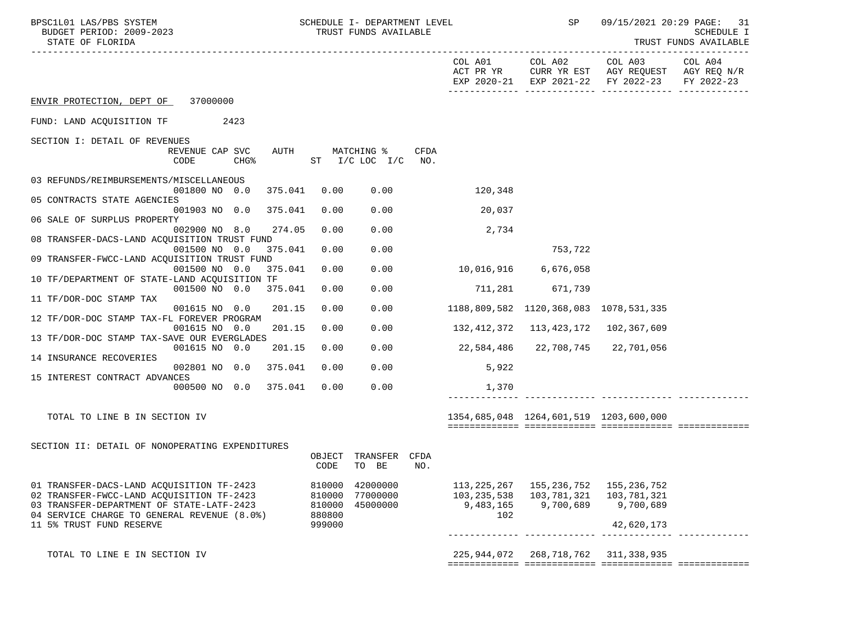| BPSC1L01 LAS/PBS SYSTEM<br>BUDGET PERIOD: 2009-2023<br>STATE OF FLORIDA                  |                                     |         |                  | SCHEDULE I- DEPARTMENT LEVEL<br>TRUST FUNDS AVAILABLE |      |                  | SP                                        | 09/15/2021 20:29 PAGE: 31                                                                              | <b>SCHEDULE I</b><br>TRUST FUNDS AVAILABLE |
|------------------------------------------------------------------------------------------|-------------------------------------|---------|------------------|-------------------------------------------------------|------|------------------|-------------------------------------------|--------------------------------------------------------------------------------------------------------|--------------------------------------------|
|                                                                                          |                                     |         |                  |                                                       |      | COL A01          |                                           | COL A02 COL A03<br>ACT PR YR CURR YR EST AGY REQUEST AGY REQ N/R<br>EXP 2020-21 EXP 2021-22 FY 2022-23 | COL A04<br>FY 2022-23                      |
| ENVIR PROTECTION, DEPT OF 37000000                                                       |                                     |         |                  |                                                       |      |                  |                                           |                                                                                                        |                                            |
| FUND: LAND ACQUISITION TF 2423                                                           |                                     |         |                  |                                                       |      |                  |                                           |                                                                                                        |                                            |
| SECTION I: DETAIL OF REVENUES                                                            |                                     |         |                  |                                                       |      |                  |                                           |                                                                                                        |                                            |
| CODE                                                                                     | REVENUE CAP SVC<br>CHG <sup>8</sup> | AUTH    |                  | MATCHING %<br>ST I/C LOC I/C NO.                      | CFDA |                  |                                           |                                                                                                        |                                            |
| 03 REFUNDS/REIMBURSEMENTS/MISCELLANEOUS                                                  | 001800 NO 0.0                       | 375.041 | 0.00             | 0.00                                                  |      | 120,348          |                                           |                                                                                                        |                                            |
| 05 CONTRACTS STATE AGENCIES                                                              |                                     |         |                  |                                                       |      |                  |                                           |                                                                                                        |                                            |
| 06 SALE OF SURPLUS PROPERTY                                                              | 001903 NO 0.0                       | 375.041 | 0.00             | 0.00                                                  |      | 20,037           |                                           |                                                                                                        |                                            |
|                                                                                          | 002900 NO 8.0                       | 274.05  | 0.00             | 0.00                                                  |      | 2,734            |                                           |                                                                                                        |                                            |
| 08 TRANSFER-DACS-LAND ACQUISITION TRUST FUND                                             | 001500 NO 0.0 375.041               |         | 0.00             | 0.00                                                  |      |                  | 753,722                                   |                                                                                                        |                                            |
| 09 TRANSFER-FWCC-LAND ACQUISITION TRUST FUND                                             |                                     |         |                  |                                                       |      |                  |                                           |                                                                                                        |                                            |
|                                                                                          | 001500 NO 0.0                       | 375.041 | 0.00             | 0.00                                                  |      |                  |                                           |                                                                                                        |                                            |
| 10 TF/DEPARTMENT OF STATE-LAND ACQUISITION TF                                            | 001500 NO 0.0                       | 375.041 | 0.00             | 0.00                                                  |      |                  | 711,281 671,739                           |                                                                                                        |                                            |
| 11 TF/DOR-DOC STAMP TAX                                                                  |                                     |         |                  |                                                       |      |                  |                                           |                                                                                                        |                                            |
|                                                                                          | 001615 NO 0.0                       | 201.15  | 0.00             | 0.00                                                  |      |                  | 1188,809,582 1120,368,083 1078,531,335    |                                                                                                        |                                            |
| 12 TF/DOR-DOC STAMP TAX-FL FOREVER PROGRAM                                               | 001615 NO 0.0                       | 201.15  | 0.00             | 0.00                                                  |      |                  | 132, 412, 372 113, 423, 172 102, 367, 609 |                                                                                                        |                                            |
| 13 TF/DOR-DOC STAMP TAX-SAVE OUR EVERGLADES                                              |                                     |         |                  |                                                       |      |                  |                                           |                                                                                                        |                                            |
|                                                                                          | 001615 NO 0.0                       | 201.15  | 0.00             | 0.00                                                  |      | 22,584,486       | 22,708,745                                | 22,701,056                                                                                             |                                            |
| 14 INSURANCE RECOVERIES                                                                  |                                     |         |                  |                                                       |      |                  |                                           |                                                                                                        |                                            |
| 15 INTEREST CONTRACT ADVANCES                                                            | 002801 NO 0.0                       | 375.041 | 0.00             | 0.00                                                  |      | 5,922            |                                           |                                                                                                        |                                            |
|                                                                                          | 000500 NO 0.0                       | 375.041 | 0.00             | 0.00                                                  |      | 1,370            |                                           |                                                                                                        |                                            |
|                                                                                          |                                     |         |                  |                                                       |      |                  |                                           |                                                                                                        |                                            |
| TOTAL TO LINE B IN SECTION IV                                                            |                                     |         |                  |                                                       |      |                  | 1354,685,048  1264,601,519  1203,600,000  |                                                                                                        |                                            |
|                                                                                          |                                     |         |                  |                                                       |      |                  |                                           |                                                                                                        |                                            |
| SECTION II: DETAIL OF NONOPERATING EXPENDITURES                                          |                                     |         |                  |                                                       |      |                  |                                           |                                                                                                        |                                            |
|                                                                                          |                                     |         | OBJECT<br>CODE   | TRANSFER CFDA<br>TO BE                                | NO.  |                  |                                           |                                                                                                        |                                            |
| 01 TRANSFER-DACS-LAND ACQUISITION TF-2423                                                |                                     |         |                  | 810000 42000000                                       |      | 113,225,267      | 155,236,752                               | 155,236,752                                                                                            |                                            |
| 02 TRANSFER-FWCC-LAND ACOUISITION TF-2423                                                |                                     |         | 810000           | 77000000                                              |      | 103,235,538      | 103,781,321                               | 103,781,321                                                                                            |                                            |
| 03 TRANSFER-DEPARTMENT OF STATE-LATF-2423<br>04 SERVICE CHARGE TO GENERAL REVENUE (8.0%) |                                     |         | 810000<br>880800 | 45000000                                              |      | 9,483,165<br>102 | 9,700,689                                 | 9,700,689                                                                                              |                                            |
| 11 5% TRUST FUND RESERVE                                                                 |                                     |         | 999000           |                                                       |      |                  |                                           | 42,620,173                                                                                             |                                            |
|                                                                                          |                                     |         |                  |                                                       |      |                  |                                           |                                                                                                        |                                            |
| TOTAL TO LINE E IN SECTION IV                                                            |                                     |         |                  |                                                       |      |                  | 225, 944, 072 268, 718, 762 311, 338, 935 |                                                                                                        |                                            |
|                                                                                          |                                     |         |                  |                                                       |      |                  |                                           |                                                                                                        |                                            |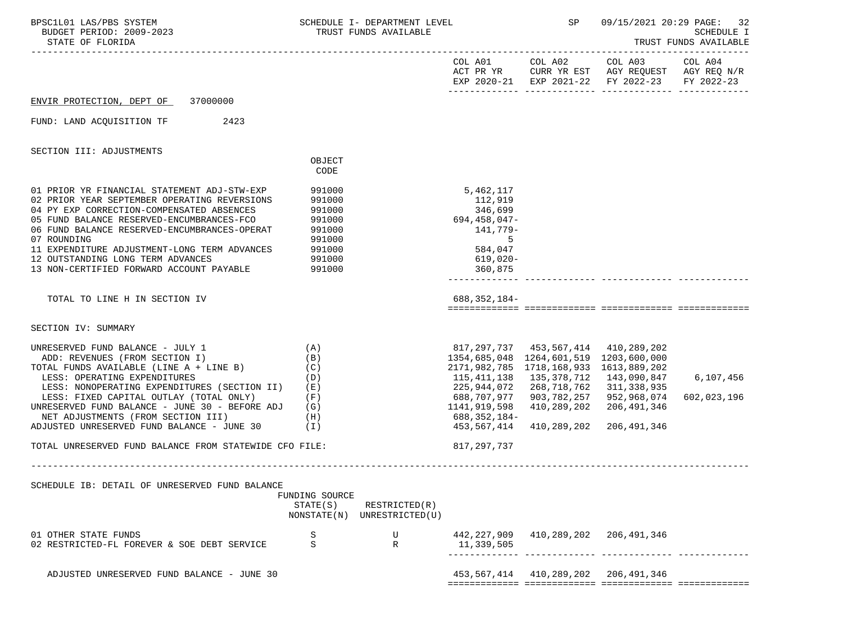| BPSC1L01 LAS/PBS SYSTEM<br>BUDGET PERIOD: 2009-2023<br>STATE OF FLORIDA                                                                                                                                                                                                                                                                                                                      |                                                                                        | SCHEDULE I- DEPARTMENT LEVEL<br>TRUST FUNDS AVAILABLE |                                                                                                                                                                                        | <b>SP</b>                                                                        | 09/15/2021 20:29 PAGE:                                                                                                            | 32<br><b>SCHEDULE I</b><br>TRUST FUNDS AVAILABLE |
|----------------------------------------------------------------------------------------------------------------------------------------------------------------------------------------------------------------------------------------------------------------------------------------------------------------------------------------------------------------------------------------------|----------------------------------------------------------------------------------------|-------------------------------------------------------|----------------------------------------------------------------------------------------------------------------------------------------------------------------------------------------|----------------------------------------------------------------------------------|-----------------------------------------------------------------------------------------------------------------------------------|--------------------------------------------------|
|                                                                                                                                                                                                                                                                                                                                                                                              |                                                                                        |                                                       |                                                                                                                                                                                        |                                                                                  | COL A01 COL A02 COL A03 COL A04<br>ACT PR YR CURR YR EST AGY REQUEST AGY REQ N/R<br>EXP 2020-21 EXP 2021-22 FY 2022-23 FY 2022-23 |                                                  |
| ENVIR PROTECTION, DEPT OF 37000000                                                                                                                                                                                                                                                                                                                                                           |                                                                                        |                                                       |                                                                                                                                                                                        |                                                                                  |                                                                                                                                   |                                                  |
| FUND: LAND ACOUISITION TF<br>2423                                                                                                                                                                                                                                                                                                                                                            |                                                                                        |                                                       |                                                                                                                                                                                        |                                                                                  |                                                                                                                                   |                                                  |
| SECTION III: ADJUSTMENTS                                                                                                                                                                                                                                                                                                                                                                     |                                                                                        |                                                       |                                                                                                                                                                                        |                                                                                  |                                                                                                                                   |                                                  |
|                                                                                                                                                                                                                                                                                                                                                                                              | OBJECT<br>CODE                                                                         |                                                       |                                                                                                                                                                                        |                                                                                  |                                                                                                                                   |                                                  |
| 01 PRIOR YR FINANCIAL STATEMENT ADJ-STW-EXP<br>02 PRIOR YEAR SEPTEMBER OPERATING REVERSIONS<br>04 PY EXP CORRECTION-COMPENSATED ABSENCES<br>05 FUND BALANCE RESERVED-ENCUMBRANCES-FCO<br>06 FUND BALANCE RESERVED-ENCUMBRANCES-OPERAT<br>07 ROUNDING<br>11 EXPENDITURE ADJUSTMENT-LONG TERM ADVANCES<br>12 OUTSTANDING LONG TERM ADVANCES<br>13 NON-CERTIFIED FORWARD ACCOUNT PAYABLE        | 991000<br>991000<br>991000<br>991000<br>991000<br>991000<br>991000<br>991000<br>991000 |                                                       | 5,462,117<br>112,919<br>346,699<br>694,458,047-<br>141,779-<br>5<br>584,047<br>619,020-<br>360,875                                                                                     |                                                                                  |                                                                                                                                   |                                                  |
| TOTAL TO LINE H IN SECTION IV                                                                                                                                                                                                                                                                                                                                                                |                                                                                        |                                                       | 688,352,184-                                                                                                                                                                           |                                                                                  |                                                                                                                                   |                                                  |
| SECTION IV: SUMMARY                                                                                                                                                                                                                                                                                                                                                                          |                                                                                        |                                                       |                                                                                                                                                                                        |                                                                                  |                                                                                                                                   |                                                  |
| UNRESERVED FUND BALANCE - JULY $1$ (A)<br>ADD: REVENUES (FROM SECTION I)<br>TOTAL FUNDS AVAILABLE (LINE A + LINE B)<br>LESS: OPERATING EXPENDITURES<br>LESS: NONOPERATING EXPENDITURES (SECTION II) (E)<br>LESS: FIXED CAPITAL OUTLAY (TOTAL ONLY)<br>UNRESERVED FUND BALANCE - JUNE 30 - BEFORE ADJ<br>NET ADJUSTMENTS (FROM SECTION III) (H)<br>ADJUSTED UNRESERVED FUND BALANCE - JUNE 30 | (B)<br>(C)<br>(D)<br>(F)<br>(G)<br>(I)                                                 | 1141, 919, 598                                        | 817,297,737 453,567,414 410,289,202<br>1354,685,048  1264,601,519  1203,600,000<br>2171,982,785 1718,168,933 1613,889,202<br>225,944,072<br>688,707,977<br>688,352,184-<br>453,567,414 | 268,718,762 311,338,935<br>903,782,257<br>410,289,202<br>410,289,202 206,491,346 | 952,968,074<br>206,491,346                                                                                                        | 6,107,456<br>602,023,196                         |
| TOTAL UNRESERVED FUND BALANCE FROM STATEWIDE CFO FILE:                                                                                                                                                                                                                                                                                                                                       |                                                                                        |                                                       | 817, 297, 737                                                                                                                                                                          |                                                                                  |                                                                                                                                   |                                                  |
|                                                                                                                                                                                                                                                                                                                                                                                              |                                                                                        |                                                       |                                                                                                                                                                                        |                                                                                  |                                                                                                                                   |                                                  |
| SCHEDULE IB: DETAIL OF UNRESERVED FUND BALANCE                                                                                                                                                                                                                                                                                                                                               | FUNDING SOURCE<br>STATE(S)                                                             | RESTRICTED(R)<br>NONSTATE(N) UNRESTRICTED(U)          |                                                                                                                                                                                        |                                                                                  |                                                                                                                                   |                                                  |
| 01 OTHER STATE FUNDS<br>02 RESTRICTED-FL FOREVER & SOE DEBT SERVICE                                                                                                                                                                                                                                                                                                                          | S<br>S                                                                                 | U<br>R                                                | 442,227,909<br>11,339,505                                                                                                                                                              | 410,289,202 206,491,346                                                          |                                                                                                                                   |                                                  |
| ADJUSTED UNRESERVED FUND BALANCE - JUNE 30                                                                                                                                                                                                                                                                                                                                                   |                                                                                        |                                                       |                                                                                                                                                                                        | 453, 567, 414 410, 289, 202 206, 491, 346                                        |                                                                                                                                   |                                                  |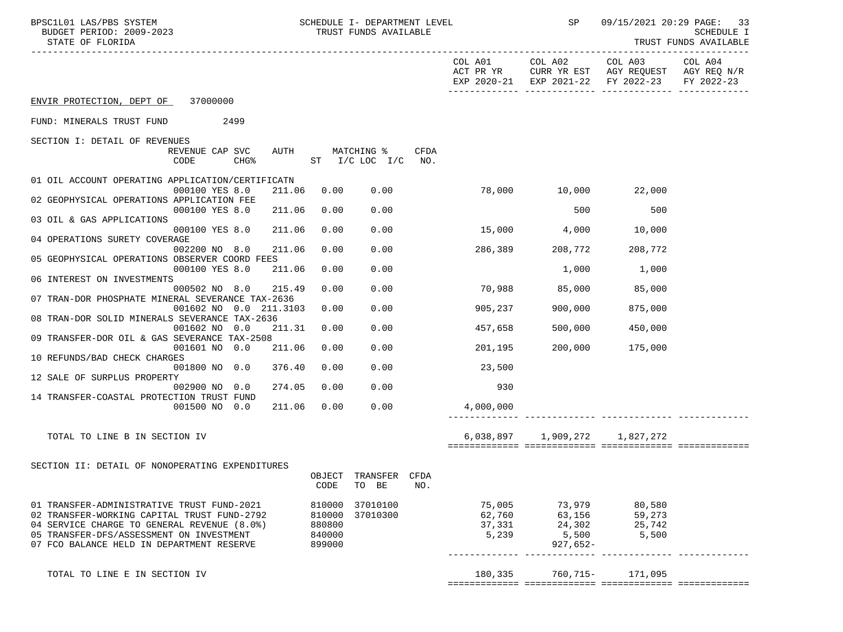| BPSC1L01 LAS/PBS SYSTEM<br>BUDGET PERIOD: 2009-2023<br>STATE OF FLORIDA                    |                  | SCHEDULE I- DEPARTMENT LEVEL<br>TRUST FUNDS AVAILABLE |             |                  | <b>SP</b>                     | 09/15/2021 20:29 PAGE:                                                                                 | -33<br><b>SCHEDULE I</b><br>TRUST FUNDS AVAILABLE |
|--------------------------------------------------------------------------------------------|------------------|-------------------------------------------------------|-------------|------------------|-------------------------------|--------------------------------------------------------------------------------------------------------|---------------------------------------------------|
|                                                                                            |                  |                                                       |             |                  | COL A01 COL A02               | COL A03 COL A04<br>ACT PR YR CURR YR EST AGY REQUEST AGY REQ N/R<br>EXP 2020-21 EXP 2021-22 FY 2022-23 | FY 2022-23                                        |
| ENVIR PROTECTION, DEPT OF 37000000                                                         |                  |                                                       |             |                  |                               |                                                                                                        |                                                   |
| FUND: MINERALS TRUST FUND<br>2499                                                          |                  |                                                       |             |                  |                               |                                                                                                        |                                                   |
| SECTION I: DETAIL OF REVENUES                                                              |                  |                                                       |             |                  |                               |                                                                                                        |                                                   |
| REVENUE CAP SVC<br>CODE<br>CHG <sup>8</sup>                                                | AUTH             | MATCHING %<br>ST I/C LOC I/C                          | CFDA<br>NO. |                  |                               |                                                                                                        |                                                   |
| 01 OIL ACCOUNT OPERATING APPLICATION/CERTIFICATN<br>000100 YES 8.0<br>211.06               | 0.00             | 0.00                                                  |             |                  | 78,000 10,000                 | 22,000                                                                                                 |                                                   |
| 02 GEOPHYSICAL OPERATIONS APPLICATION FEE                                                  |                  |                                                       |             |                  |                               |                                                                                                        |                                                   |
| 000100 YES 8.0<br>211.06<br>03 OIL & GAS APPLICATIONS                                      | 0.00             | 0.00                                                  |             |                  | 500                           | 500                                                                                                    |                                                   |
| 211.06<br>000100 YES 8.0<br>04 OPERATIONS SURETY COVERAGE                                  | 0.00             | 0.00                                                  |             | $15,000$ 4,000   |                               | 10,000                                                                                                 |                                                   |
| 002200 NO 8.0<br>211.06<br>05 GEOPHYSICAL OPERATIONS OBSERVER COORD FEES                   | 0.00             | 0.00                                                  |             | 286,389          | 208,772                       | 208,772                                                                                                |                                                   |
| 000100 YES 8.0<br>211.06                                                                   | 0.00             | 0.00                                                  |             |                  | 1,000                         | 1,000                                                                                                  |                                                   |
| 06 INTEREST ON INVESTMENTS<br>000502 NO 8.0<br>215.49                                      | 0.00             | 0.00                                                  |             | 70,988           | 85,000                        | 85,000                                                                                                 |                                                   |
| 07 TRAN-DOR PHOSPHATE MINERAL SEVERANCE TAX-2636<br>001602 NO 0.0 211.3103                 | 0.00             | 0.00                                                  |             | 905,237          | 900,000                       | 875,000                                                                                                |                                                   |
| 08 TRAN-DOR SOLID MINERALS SEVERANCE TAX-2636<br>001602 NO 0.0<br>211.31                   | 0.00             | 0.00                                                  |             | 457,658          | 500,000                       | 450,000                                                                                                |                                                   |
| 09 TRANSFER-DOR OIL & GAS SEVERANCE TAX-2508                                               |                  |                                                       |             |                  |                               |                                                                                                        |                                                   |
| 001601 NO 0.0<br>211.06<br>10 REFUNDS/BAD CHECK CHARGES                                    | 0.00             | 0.00                                                  |             | 201,195          | 200,000                       | 175,000                                                                                                |                                                   |
| 001800 NO 0.0<br>376.40<br>12 SALE OF SURPLUS PROPERTY                                     | 0.00             | 0.00                                                  |             | 23,500           |                               |                                                                                                        |                                                   |
| 274.05<br>002900 NO 0.0<br>14 TRANSFER-COASTAL PROTECTION TRUST FUND                       | 0.00             | 0.00                                                  |             | 930              |                               |                                                                                                        |                                                   |
| 001500 NO 0.0<br>211.06                                                                    | 0.00             | 0.00                                                  |             | 4,000,000        |                               |                                                                                                        |                                                   |
| TOTAL TO LINE B IN SECTION IV                                                              |                  |                                                       |             |                  | 6,038,897 1,909,272 1,827,272 |                                                                                                        |                                                   |
|                                                                                            |                  |                                                       |             |                  |                               |                                                                                                        |                                                   |
| SECTION II: DETAIL OF NONOPERATING EXPENDITURES                                            |                  | OBJECT TRANSFER CFDA                                  |             |                  |                               |                                                                                                        |                                                   |
|                                                                                            | CODE             | TO BE                                                 | NO.         |                  |                               |                                                                                                        |                                                   |
| 01 TRANSFER-ADMINISTRATIVE TRUST FUND-2021                                                 | 810000           | 37010100<br>37010300                                  |             | 75,005           | 73,979                        | 80,580                                                                                                 |                                                   |
| 02 TRANSFER-WORKING CAPITAL TRUST FUND-2792<br>04 SERVICE CHARGE TO GENERAL REVENUE (8.0%) | 810000<br>880800 |                                                       |             | 62,760<br>37,331 | 63,156<br>24,302              | 59,273                                                                                                 |                                                   |
| 05 TRANSFER-DFS/ASSESSMENT ON INVESTMENT<br>07 FCO BALANCE HELD IN DEPARTMENT RESERVE      | 840000<br>899000 |                                                       |             | 5,239            | 5,500<br>$927,652-$           | $25,7$<br>5,500                                                                                        |                                                   |
|                                                                                            |                  |                                                       |             |                  |                               |                                                                                                        |                                                   |
| TOTAL TO LINE E IN SECTION IV                                                              |                  |                                                       |             | 180,335          | 760,715-                      | 171,095                                                                                                |                                                   |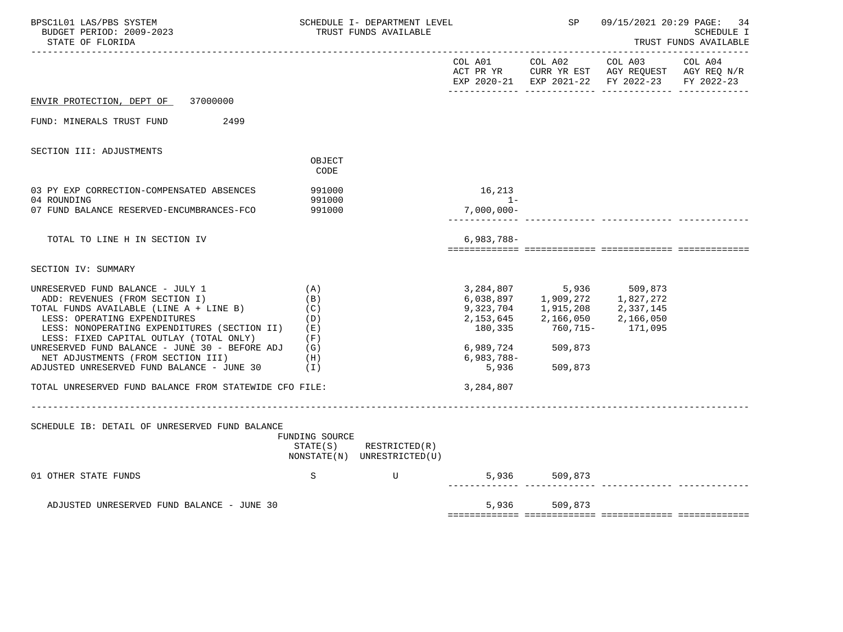| BPSC1L01 LAS/PBS SYSTEM<br>BUDGET PERIOD: 2009-2023<br>STATE OF FLORIDA                                                                                                                                                                                                                                                                                                                |                                               | SCHEDULE I- DEPARTMENT LEVEL<br>TRUST FUNDS AVAILABLE |                     | SP                                                                               |                                                                                                                                                                                                                                               | 09/15/2021 20:29 PAGE: 34<br>SCHEDULE I<br>TRUST FUNDS AVAILABLE |
|----------------------------------------------------------------------------------------------------------------------------------------------------------------------------------------------------------------------------------------------------------------------------------------------------------------------------------------------------------------------------------------|-----------------------------------------------|-------------------------------------------------------|---------------------|----------------------------------------------------------------------------------|-----------------------------------------------------------------------------------------------------------------------------------------------------------------------------------------------------------------------------------------------|------------------------------------------------------------------|
|                                                                                                                                                                                                                                                                                                                                                                                        |                                               |                                                       |                     |                                                                                  | COL A01 COL A02 COL A03 COL A04<br>ACT PR YR CURR YR EST AGY REQUEST AGY REQ N/R<br>EXP 2020-21 EXP 2021-22 FY 2022-23 FY 2022-23                                                                                                             |                                                                  |
| ENVIR PROTECTION, DEPT OF 37000000                                                                                                                                                                                                                                                                                                                                                     |                                               |                                                       |                     |                                                                                  |                                                                                                                                                                                                                                               |                                                                  |
| FUND: MINERALS TRUST FUND<br>2499                                                                                                                                                                                                                                                                                                                                                      |                                               |                                                       |                     |                                                                                  |                                                                                                                                                                                                                                               |                                                                  |
| SECTION III: ADJUSTMENTS                                                                                                                                                                                                                                                                                                                                                               | OBJECT<br>CODE                                |                                                       |                     |                                                                                  |                                                                                                                                                                                                                                               |                                                                  |
| 03 PY EXP CORRECTION-COMPENSATED ABSENCES<br>04 ROUNDING                                                                                                                                                                                                                                                                                                                               | 991000<br>991000                              |                                                       | 16,213<br>$1-$      |                                                                                  |                                                                                                                                                                                                                                               |                                                                  |
| 07 FUND BALANCE RESERVED-ENCUMBRANCES-FCO                                                                                                                                                                                                                                                                                                                                              | 991000                                        |                                                       | $7,000,000-$        |                                                                                  |                                                                                                                                                                                                                                               |                                                                  |
| TOTAL TO LINE H IN SECTION IV                                                                                                                                                                                                                                                                                                                                                          |                                               |                                                       | $6,983,788-$        |                                                                                  |                                                                                                                                                                                                                                               |                                                                  |
| SECTION IV: SUMMARY                                                                                                                                                                                                                                                                                                                                                                    |                                               |                                                       |                     |                                                                                  |                                                                                                                                                                                                                                               |                                                                  |
| UNRESERVED FUND BALANCE - JULY 1<br>ADD: REVENUES (FROM SECTION I)<br>TOTAL FUNDS AVAILABLE (LINE A + LINE B)<br>LESS: OPERATING EXPENDITURES<br>LESS: NONOPERATING EXPENDITURES (SECTION II)<br>LESS: FIXED CAPITAL OUTLAY (TOTAL ONLY)<br>UNRESERVED FUND BALANCE - JUNE 30 - BEFORE ADJ (G)<br>NET ADJUSTMENTS (FROM SECTION III)<br>ADJUSTED UNRESERVED FUND BALANCE - JUNE 30 (I) | (A)<br>(B)<br>(C)<br>(D)<br>(E)<br>(F)<br>(H) |                                                       | 6,983,788-<br>5,936 | 2, 153, 645<br>180, 335<br>760, 715-<br>171, 095<br>6,989,724 509,873<br>509,873 | $\begin{array}{llll} 3\,, 284\,, 807 & \qquad & 5\,, 936 & \qquad & 509\,, 873 \\ 6\,, 038\,, 897 & \qquad & 1\,, 909\,, 272 & \qquad & 1\,, 827\,, 272 \\ 9\,, 323\,, 704 & \qquad & 1\,, 915\,, 208 & \qquad & 2\,, 337\,, 145 \end{array}$ |                                                                  |
| TOTAL UNRESERVED FUND BALANCE FROM STATEWIDE CFO FILE:                                                                                                                                                                                                                                                                                                                                 |                                               |                                                       | 3,284,807           |                                                                                  |                                                                                                                                                                                                                                               |                                                                  |
| SCHEDULE IB: DETAIL OF UNRESERVED FUND BALANCE                                                                                                                                                                                                                                                                                                                                         | FUNDING SOURCE                                | STATE(S) RESTRICTED(R)<br>NONSTATE(N) UNRESTRICTED(U) |                     |                                                                                  |                                                                                                                                                                                                                                               |                                                                  |
| 01 OTHER STATE FUNDS                                                                                                                                                                                                                                                                                                                                                                   | S                                             | U                                                     |                     | 5,936 509,873                                                                    |                                                                                                                                                                                                                                               |                                                                  |
| ADJUSTED UNRESERVED FUND BALANCE - JUNE 30                                                                                                                                                                                                                                                                                                                                             |                                               |                                                       |                     | 5,936 509,873                                                                    |                                                                                                                                                                                                                                               |                                                                  |
|                                                                                                                                                                                                                                                                                                                                                                                        |                                               |                                                       |                     |                                                                                  |                                                                                                                                                                                                                                               |                                                                  |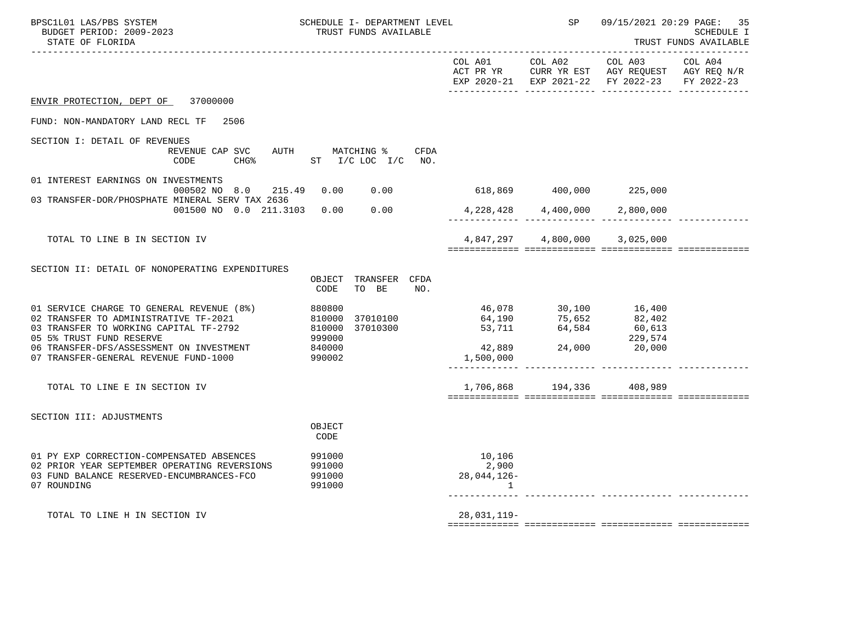| BPSC1L01 LAS/PBS SYSTEM<br>BUDGET PERIOD: 2009-2023<br>STATE OF FLORIDA                                                                                                                                                                       | SCHEDULE I- DEPARTMENT LEVEL<br>TRUST FUNDS AVAILABLE                                      |                                         | SP                                                                   |                                                                                                                               | 09/15/2021 20:29 PAGE: 35<br><b>SCHEDULE I</b><br>TRUST FUNDS AVAILABLE |
|-----------------------------------------------------------------------------------------------------------------------------------------------------------------------------------------------------------------------------------------------|--------------------------------------------------------------------------------------------|-----------------------------------------|----------------------------------------------------------------------|-------------------------------------------------------------------------------------------------------------------------------|-------------------------------------------------------------------------|
|                                                                                                                                                                                                                                               |                                                                                            | COL A01 COL A02                         |                                                                      | COL A03<br>ACT PR YR $\,$ CURR YR EST $\,$ AGY REQUEST $\,$ AGY REQ N/R $\,$<br>EXP 2020-21 EXP 2021-22 FY 2022-23 FY 2022-23 | COL A04                                                                 |
| ENVIR PROTECTION, DEPT OF 37000000                                                                                                                                                                                                            |                                                                                            |                                         |                                                                      |                                                                                                                               |                                                                         |
| FUND: NON-MANDATORY LAND RECL TF 2506                                                                                                                                                                                                         |                                                                                            |                                         |                                                                      |                                                                                                                               |                                                                         |
| SECTION I: DETAIL OF REVENUES<br>REVENUE CAP SVC<br>CODE                                                                                                                                                                                      | AUTH MATCHING %<br>CFDA<br>CHG <sup>%</sup> ST I/C LOC I/C NO.                             |                                         |                                                                      |                                                                                                                               |                                                                         |
| 01 INTEREST EARNINGS ON INVESTMENTS<br>000502 NO 8.0                                                                                                                                                                                          | 215.49  0.00  0.00                                                                         | $618,869$ $400,000$ $225,000$           |                                                                      |                                                                                                                               |                                                                         |
| 03 TRANSFER-DOR/PHOSPHATE MINERAL SERV TAX 2636<br>001500 NO 0.0 211.3103 0.00 0.00                                                                                                                                                           |                                                                                            | $4,228,428$ $4,400,000$ $2,800,000$     |                                                                      |                                                                                                                               |                                                                         |
|                                                                                                                                                                                                                                               |                                                                                            |                                         |                                                                      |                                                                                                                               |                                                                         |
| TOTAL TO LINE B IN SECTION IV                                                                                                                                                                                                                 |                                                                                            |                                         | 4,847,297    4,800,000    3,025,000                                  |                                                                                                                               |                                                                         |
| SECTION II: DETAIL OF NONOPERATING EXPENDITURES                                                                                                                                                                                               | OBJECT TRANSFER CFDA<br>TO BE<br>CODE<br>NO.                                               |                                         |                                                                      |                                                                                                                               |                                                                         |
| 01 SERVICE CHARGE TO GENERAL REVENUE (8%)<br>02 TRANSFER TO ADMINISTRATIVE TF-2021<br>03 TRANSFER TO WORKING CAPITAL TF-2792<br>05 5% TRUST FUND RESERVE<br>06 TRANSFER-DFS/ASSESSMENT ON INVESTMENT<br>07 TRANSFER-GENERAL REVENUE FUND-1000 | 880800<br>37010100<br>810000<br>810000<br>810000<br>37010300<br>999000<br>840000<br>990002 | $42,889$ $24,000$ $20,000$<br>1,500,000 | 46,078 30,100 16,400<br>64,190 75,652 82,402<br>53,711 64,584 60,613 | 229,574                                                                                                                       |                                                                         |
| TOTAL TO LINE E IN SECTION IV                                                                                                                                                                                                                 |                                                                                            |                                         | 1,706,868 194,336 408,989                                            |                                                                                                                               |                                                                         |
| SECTION III: ADJUSTMENTS                                                                                                                                                                                                                      | OBJECT<br>CODE                                                                             |                                         |                                                                      |                                                                                                                               |                                                                         |
| 01 PY EXP CORRECTION-COMPENSATED ABSENCES<br>02 PRIOR YEAR SEPTEMBER OPERATING REVERSIONS<br>03 FUND BALANCE RESERVED-ENCUMBRANCES-FCO<br>07 ROUNDING                                                                                         | 991000<br>991000<br>991000<br>991000                                                       | 10,106<br>2,900<br>28,044,126-<br>1     |                                                                      |                                                                                                                               |                                                                         |
| TOTAL TO LINE H IN SECTION IV                                                                                                                                                                                                                 |                                                                                            | 28,031,119-                             |                                                                      |                                                                                                                               |                                                                         |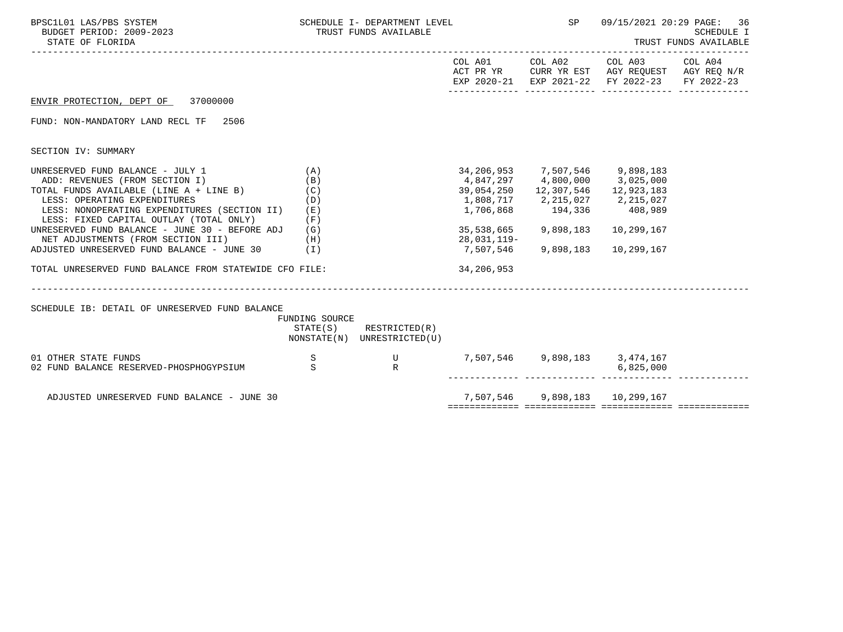| BPSC1L01 LAS/PBS SYSTEM<br>BUDGET PERIOD: 2009-2023<br>STATE OF FLORIDA                                                                                                                                                                                                                                                                                                                                                                                                     |                   | SCHEDULE I- DEPARTMENT LEVEL<br>TRUST FUNDS AVAILABLE      |                                                                                                                                                                      | SP <sub>3</sub>     | 09/15/2021 20:29 PAGE:                                                                                 | -36<br>SCHEDULE I<br>TRUST FUNDS AVAILABLE |
|-----------------------------------------------------------------------------------------------------------------------------------------------------------------------------------------------------------------------------------------------------------------------------------------------------------------------------------------------------------------------------------------------------------------------------------------------------------------------------|-------------------|------------------------------------------------------------|----------------------------------------------------------------------------------------------------------------------------------------------------------------------|---------------------|--------------------------------------------------------------------------------------------------------|--------------------------------------------|
|                                                                                                                                                                                                                                                                                                                                                                                                                                                                             |                   |                                                            |                                                                                                                                                                      | COL A01 COL A02     | COL A03 COL A04<br>ACT PR YR CURR YR EST AGY REQUEST AGY REQ N/R<br>EXP 2020-21 EXP 2021-22 FY 2022-23 | FY 2022-23                                 |
| ENVIR PROTECTION, DEPT OF 37000000                                                                                                                                                                                                                                                                                                                                                                                                                                          |                   |                                                            |                                                                                                                                                                      |                     |                                                                                                        |                                            |
| FUND: NON-MANDATORY LAND RECL TF<br>2506                                                                                                                                                                                                                                                                                                                                                                                                                                    |                   |                                                            |                                                                                                                                                                      |                     |                                                                                                        |                                            |
| SECTION IV: SUMMARY                                                                                                                                                                                                                                                                                                                                                                                                                                                         |                   |                                                            |                                                                                                                                                                      |                     |                                                                                                        |                                            |
| UNRESERVED FUND BALANCE - JULY 1<br>(A)<br>ADD: REVENUES (FROM SECTION I)<br>TOTAL FUNDS AVAILABLE (LINE $A + LINE B$ ) (C)<br>LESS: OPERATING EXPENDITURES<br>LESS: NONOPERATING EXPENDITURES (SECTION II) (E)<br>LESS: FIXED CAPITAL OUTLAY (TOTAL ONLY)<br>UNRESERVED FUND BALANCE - JUNE 30 - BEFORE ADJ (G)<br>NET ADJUSTMENTS (FROM SECTION III)<br>(H)<br>ADJUSTED UNRESERVED FUND BALANCE - JUNE 30 $(1)$<br>TOTAL UNRESERVED FUND BALANCE FROM STATEWIDE CFO FILE: | (B)<br>(D)<br>(F) |                                                            | 34,206,953 7,507,546 9,898,183<br>$4,847,297$ $4,800,000$ $3,025,000$<br>39,054,250    12,307,546    12,923,183<br>35,538,665 9,898,183<br>28,031,119-<br>34,206,953 | 7,507,546 9,898,183 | 10,299,167<br>10,299,167                                                                               |                                            |
| SCHEDULE IB: DETAIL OF UNRESERVED FUND BALANCE                                                                                                                                                                                                                                                                                                                                                                                                                              | FUNDING SOURCE    | $STATE(S)$ RESTRICTED $(R)$<br>NONSTATE(N) UNRESTRICTED(U) |                                                                                                                                                                      |                     |                                                                                                        |                                            |
| 01 OTHER STATE FUNDS<br>02 FUND BALANCE RESERVED-PHOSPHOGYPSIUM S                                                                                                                                                                                                                                                                                                                                                                                                           | S                 | 7,507,546 9,898,183 3,474,167<br>R<br>R                    |                                                                                                                                                                      |                     | 6,825,000                                                                                              |                                            |
| ADJUSTED UNRESERVED FUND BALANCE - JUNE 30                                                                                                                                                                                                                                                                                                                                                                                                                                  |                   |                                                            |                                                                                                                                                                      |                     | 7,507,546 9,898,183 10,299,167                                                                         |                                            |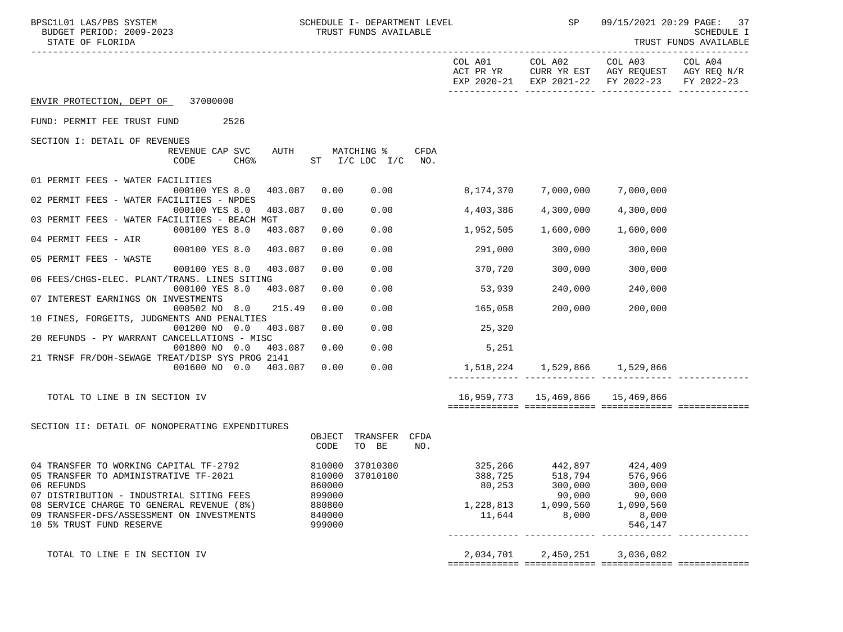| BPSC1L01 LAS/PBS SYSTEM<br>BUDGET PERIOD: 2009-2023<br>STATE OF FLORIDA    |                 | SCHEDULE I- DEPARTMENT LEVEL<br>TRUST FUNDS AVAILABLE |      |                      | SP                                   | 09/15/2021 20:29 PAGE: 37<br>SCHEDULE I<br>TRUST FUNDS AVAILABLE<br>---------                |            |  |
|----------------------------------------------------------------------------|-----------------|-------------------------------------------------------|------|----------------------|--------------------------------------|----------------------------------------------------------------------------------------------|------------|--|
|                                                                            |                 |                                                       |      | COL A01<br>ACT PR YR | COL A02                              | COL A03 COL A04<br>CURR YR EST AGY REQUEST AGY REQ N/R<br>EXP 2020-21 EXP 2021-22 FY 2022-23 | FY 2022-23 |  |
| ENVIR PROTECTION, DEPT OF 37000000                                         |                 |                                                       |      |                      |                                      |                                                                                              |            |  |
| 2526<br>FUND: PERMIT FEE TRUST FUND                                        |                 |                                                       |      |                      |                                      |                                                                                              |            |  |
| SECTION I: DETAIL OF REVENUES                                              |                 |                                                       |      |                      |                                      |                                                                                              |            |  |
| REVENUE CAP SVC                                                            | AUTH MATCHING % |                                                       | CFDA |                      |                                      |                                                                                              |            |  |
| CODE<br><b>CHG&amp;</b>                                                    |                 | ST $I/C$ LOC $I/C$                                    | NO.  |                      |                                      |                                                                                              |            |  |
| 01 PERMIT FEES - WATER FACILITIES<br>403.087<br>000100 YES 8.0             | 0.00            | 0.00                                                  |      | 8,174,370            | 7,000,000                            | 7,000,000                                                                                    |            |  |
| 02 PERMIT FEES - WATER FACILITIES - NPDES                                  |                 |                                                       |      |                      |                                      |                                                                                              |            |  |
| 000100 YES 8.0<br>403.087<br>03 PERMIT FEES - WATER FACILITIES - BEACH MGT | 0.00            | 0.00                                                  |      | 4,403,386            | 4,300,000                            | 4,300,000                                                                                    |            |  |
| 000100 YES 8.0<br>403.087                                                  | 0.00            | 0.00                                                  |      | 1,952,505            | 1,600,000                            | 1,600,000                                                                                    |            |  |
| 04 PERMIT FEES - AIR<br>000100 YES 8.0<br>403.087                          | 0.00            | 0.00                                                  |      | 291,000              | 300,000                              | 300,000                                                                                      |            |  |
| 05 PERMIT FEES - WASTE                                                     |                 |                                                       |      |                      |                                      |                                                                                              |            |  |
| 000100 YES 8.0<br>403.087                                                  | 0.00            | 0.00                                                  |      | 370,720              | 300,000                              | 300,000                                                                                      |            |  |
| 06 FEES/CHGS-ELEC. PLANT/TRANS. LINES SITING<br>000100 YES 8.0<br>403.087  | 0.00            | 0.00                                                  |      | 53,939               | 240,000                              | 240,000                                                                                      |            |  |
| 07 INTEREST EARNINGS ON INVESTMENTS                                        |                 |                                                       |      |                      |                                      |                                                                                              |            |  |
| 000502 NO 8.0<br>215.49<br>10 FINES, FORGEITS, JUDGMENTS AND PENALTIES     | 0.00            | 0.00                                                  |      | 165,058              | 200,000                              | 200,000                                                                                      |            |  |
| 001200 NO 0.0<br>403.087                                                   | 0.00            | 0.00                                                  |      | 25,320               |                                      |                                                                                              |            |  |
| 20 REFUNDS - PY WARRANT CANCELLATIONS - MISC                               |                 |                                                       |      |                      |                                      |                                                                                              |            |  |
| 001800 NO 0.0 403.087<br>21 TRNSF FR/DOH-SEWAGE TREAT/DISP SYS PROG 2141   | 0.00            | 0.00                                                  |      | 5,251                |                                      |                                                                                              |            |  |
| 001600 NO 0.0 403.087                                                      | 0.00            | 0.00                                                  |      |                      | 1,518,224 1,529,866 1,529,866        |                                                                                              |            |  |
|                                                                            |                 |                                                       |      |                      |                                      |                                                                                              |            |  |
| TOTAL TO LINE B IN SECTION IV                                              |                 |                                                       |      |                      | 16,959,773   15,469,866   15,469,866 |                                                                                              |            |  |
|                                                                            |                 |                                                       |      |                      |                                      |                                                                                              |            |  |
| SECTION II: DETAIL OF NONOPERATING EXPENDITURES                            |                 |                                                       |      |                      |                                      |                                                                                              |            |  |
|                                                                            | OBJECT          | TRANSFER CFDA                                         |      |                      |                                      |                                                                                              |            |  |
|                                                                            | CODE            | TO BE                                                 | NO.  |                      |                                      |                                                                                              |            |  |
| 04 TRANSFER TO WORKING CAPITAL TF-2792                                     |                 | 810000 37010300                                       |      | 325,266              | 442,897 424,409                      |                                                                                              |            |  |
| 05 TRANSFER TO ADMINISTRATIVE TF-2021                                      |                 | 810000 37010100                                       |      |                      |                                      | 388,725 518,794 576,966                                                                      |            |  |
| 06 REFUNDS                                                                 | 860000          |                                                       |      | 80,253               | 300,000                              | 300,000                                                                                      |            |  |
| 07 DISTRIBUTION - INDUSTRIAL SITING FEES                                   | 899000          |                                                       |      |                      | 90,000                               | 90,000                                                                                       |            |  |
| 08 SERVICE CHARGE TO GENERAL REVENUE (8%)                                  | 880800          |                                                       |      | 1,228,813            | 1,090,560                            | 1,090,560                                                                                    |            |  |
| 09 TRANSFER-DFS/ASSESSMENT ON INVESTMENTS                                  | 840000          |                                                       |      | 11,644               | 8,000                                | 8,000                                                                                        |            |  |
| 10 5% TRUST FUND RESERVE                                                   | 999000          |                                                       |      |                      | ---------- -------------             | 546,147                                                                                      |            |  |
|                                                                            |                 |                                                       |      |                      |                                      |                                                                                              |            |  |
| TOTAL TO LINE E IN SECTION IV                                              |                 |                                                       |      | 2,034,701            | 2,450,251                            | 3,036,082                                                                                    |            |  |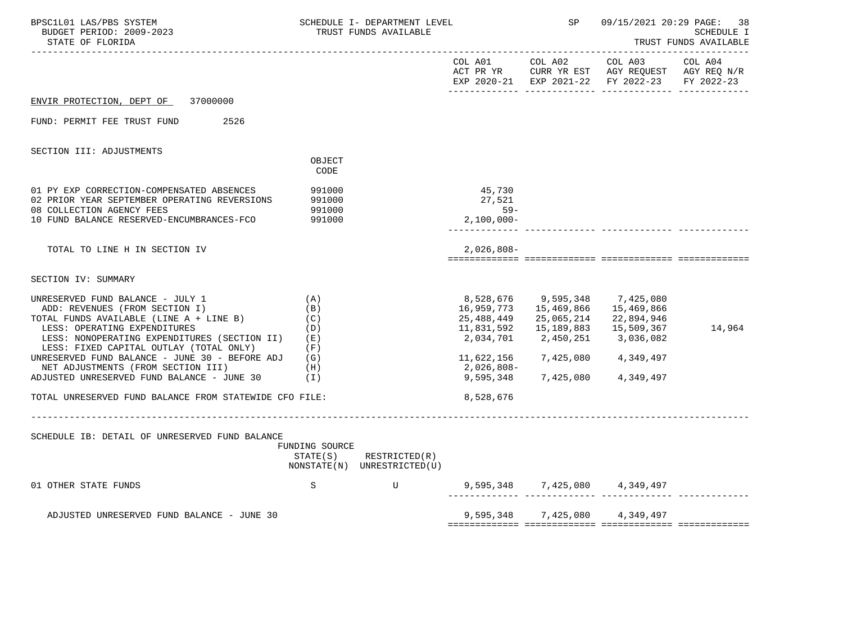| BPSC1L01 LAS/PBS SYSTEM<br>BUDGET PERIOD: 2009-2023<br>STATE OF FLORIDA                                                                                                                                                                  |                                                 | SCHEDULE I- DEPARTMENT LEVEL<br>TRUST FUNDS AVAILABLE |                                                     | SP                                                  |                                                                                                                               | 09/15/2021 20:29 PAGE: 38<br><b>SCHEDULE I</b><br>TRUST FUNDS AVAILABLE |
|------------------------------------------------------------------------------------------------------------------------------------------------------------------------------------------------------------------------------------------|-------------------------------------------------|-------------------------------------------------------|-----------------------------------------------------|-----------------------------------------------------|-------------------------------------------------------------------------------------------------------------------------------|-------------------------------------------------------------------------|
|                                                                                                                                                                                                                                          |                                                 |                                                       | COL A01                                             | COL A02                                             | COL A03<br>ACT PR YR $\,$ CURR YR EST $\,$ AGY REQUEST $\,$ AGY REQ N/R $\,$<br>EXP 2020-21 EXP 2021-22 FY 2022-23 FY 2022-23 | COL A04                                                                 |
| ENVIR PROTECTION, DEPT OF 37000000                                                                                                                                                                                                       |                                                 |                                                       |                                                     |                                                     |                                                                                                                               |                                                                         |
| FUND: PERMIT FEE TRUST FUND<br>2526                                                                                                                                                                                                      |                                                 |                                                       |                                                     |                                                     |                                                                                                                               |                                                                         |
| SECTION III: ADJUSTMENTS                                                                                                                                                                                                                 |                                                 |                                                       |                                                     |                                                     |                                                                                                                               |                                                                         |
|                                                                                                                                                                                                                                          | OBJECT<br>CODE                                  |                                                       |                                                     |                                                     |                                                                                                                               |                                                                         |
| 01 PY EXP CORRECTION-COMPENSATED ABSENCES<br>02 PRIOR YEAR SEPTEMBER OPERATING REVERSIONS<br>08 COLLECTION AGENCY FEES<br>10 FUND BALANCE RESERVED-ENCUMBRANCES-FCO                                                                      | 991000<br>991000<br>991000<br>991000            |                                                       | 45,730<br>27,521<br>$59 -$<br>$2,100,000 -$         |                                                     |                                                                                                                               |                                                                         |
| TOTAL TO LINE H IN SECTION IV                                                                                                                                                                                                            |                                                 |                                                       | $2,026,808-$                                        |                                                     |                                                                                                                               |                                                                         |
| SECTION IV: SUMMARY                                                                                                                                                                                                                      |                                                 |                                                       |                                                     |                                                     |                                                                                                                               |                                                                         |
| UNRESERVED FUND BALANCE - JULY 1<br>ADD: REVENUES (FROM SECTION I)<br>TOTAL FUNDS AVAILABLE (LINE A + LINE B)<br>LESS: OPERATING EXPENDITURES<br>LESS: NONOPERATING EXPENDITURES (SECTION II)<br>LESS: FIXED CAPITAL OUTLAY (TOTAL ONLY) | (A)<br>(B)<br>(C)<br>(D)<br>( E )<br>(F)        |                                                       | 8,528,676<br>16,959,773<br>25,488,449<br>11,831,592 | 9,595,348<br>15,469,866<br>25,065,214<br>15,189,883 | 7,425,080<br>15,469,866<br>22,894,946<br>15,509,367                                                                           | 14,964                                                                  |
| UNRESERVED FUND BALANCE - JUNE 30 - BEFORE ADJ<br>NET ADJUSTMENTS (FROM SECTION III)                                                                                                                                                     | (G)<br>(H)                                      |                                                       | 11,622,156<br>2,026,808-                            | 7,425,080 4,349,497                                 |                                                                                                                               |                                                                         |
| ADJUSTED UNRESERVED FUND BALANCE - JUNE 30<br>TOTAL UNRESERVED FUND BALANCE FROM STATEWIDE CFO FILE:                                                                                                                                     | ( I )                                           |                                                       | 9,595,348<br>8,528,676                              | 7,425,080 4,349,497                                 |                                                                                                                               |                                                                         |
| SCHEDULE IB: DETAIL OF UNRESERVED FUND BALANCE                                                                                                                                                                                           | _________________<br>FUNDING SOURCE<br>STATE(S) | RESTRICTED(R)<br>NONSTATE(N) UNRESTRICTED(U)          |                                                     |                                                     |                                                                                                                               |                                                                         |
| 01 OTHER STATE FUNDS                                                                                                                                                                                                                     | S                                               |                                                       | U 9,595,348 7,425,080 4,349,497                     |                                                     |                                                                                                                               |                                                                         |
| ADJUSTED UNRESERVED FUND BALANCE - JUNE 30                                                                                                                                                                                               |                                                 |                                                       |                                                     |                                                     | 9,595,348 7,425,080 4,349,497                                                                                                 |                                                                         |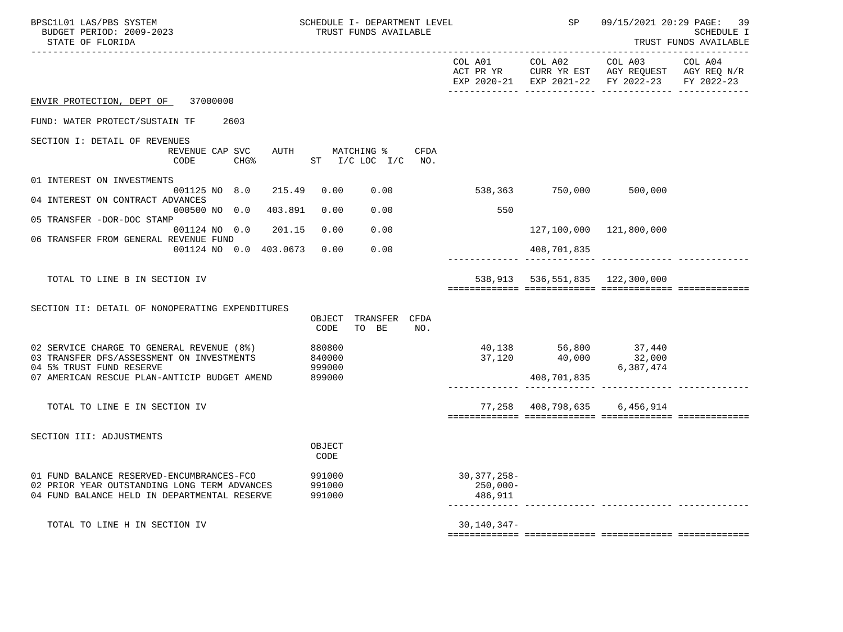| BPSC1L01 LAS/PBS SYSTEM<br>BUDGET PERIOD: 2009-2023<br>STATE OF FLORIDA                                                                                            | SCHEDULE I- DEPARTMENT LEVEL<br>TRUST FUNDS AVAILABLE |                                       | SP                                                   | 09/15/2021 20:29 PAGE: 39                                                                                               | <b>SCHEDULE I</b><br>TRUST FUNDS AVAILABLE<br>---------- |
|--------------------------------------------------------------------------------------------------------------------------------------------------------------------|-------------------------------------------------------|---------------------------------------|------------------------------------------------------|-------------------------------------------------------------------------------------------------------------------------|----------------------------------------------------------|
|                                                                                                                                                                    |                                                       | COL A01                               | COL A02                                              | COL A03<br>ACT PR YR $\,$ CURR YR EST $\,$ AGY REQUEST $\,$ AGY REQ $\,$ N/R $\,$<br>EXP 2020-21 EXP 2021-22 FY 2022-23 | COL A04<br>FY 2022-23                                    |
| 37000000<br>ENVIR PROTECTION, DEPT OF                                                                                                                              |                                                       |                                       |                                                      |                                                                                                                         |                                                          |
| FUND: WATER PROTECT/SUSTAIN TF<br>2603                                                                                                                             |                                                       |                                       |                                                      |                                                                                                                         |                                                          |
| SECTION I: DETAIL OF REVENUES<br>REVENUE CAP SVC<br>AUTH<br><b>CHG%</b><br>CODE                                                                                    | CFDA<br>MATCHING %<br>ST I/C LOC I/C NO.              |                                       |                                                      |                                                                                                                         |                                                          |
| 01 INTEREST ON INVESTMENTS<br>215.49<br>001125 NO 8.0                                                                                                              | 0.00<br>0.00                                          |                                       | 538,363 750,000 500,000                              |                                                                                                                         |                                                          |
| 04 INTEREST ON CONTRACT ADVANCES<br>000500 NO 0.0<br>403.891<br>05 TRANSFER -DOR-DOC STAMP                                                                         | 0.00<br>0.00                                          | 550                                   |                                                      |                                                                                                                         |                                                          |
| 001124 NO 0.0<br>201.15<br>06 TRANSFER FROM GENERAL REVENUE FUND                                                                                                   | 0.00<br>0.00                                          |                                       |                                                      | 127,100,000 121,800,000                                                                                                 |                                                          |
| 001124 NO 0.0 403.0673                                                                                                                                             | 0.00<br>0.00                                          |                                       | 408,701,835                                          |                                                                                                                         |                                                          |
| TOTAL TO LINE B IN SECTION IV                                                                                                                                      |                                                       |                                       | 538,913 536,551,835 122,300,000                      |                                                                                                                         |                                                          |
| SECTION II: DETAIL OF NONOPERATING EXPENDITURES                                                                                                                    | TRANSFER CFDA<br>OBJECT<br>TO BE<br>CODE<br>NO.       |                                       |                                                      |                                                                                                                         |                                                          |
| 02 SERVICE CHARGE TO GENERAL REVENUE (8%)<br>03 TRANSFER DFS/ASSESSMENT ON INVESTMENTS<br>04 5% TRUST FUND RESERVE<br>07 AMERICAN RESCUE PLAN-ANTICIP BUDGET AMEND | 880800<br>840000<br>999000<br>899000                  |                                       | 40,138 56,800 37,440<br>37,120 40,000<br>408,701,835 | 32,000<br>6,387,474                                                                                                     |                                                          |
| TOTAL TO LINE E IN SECTION IV                                                                                                                                      |                                                       |                                       | 77,258 408,798,635 6,456,914                         |                                                                                                                         |                                                          |
| SECTION III: ADJUSTMENTS                                                                                                                                           | OBJECT<br>CODE                                        |                                       |                                                      |                                                                                                                         |                                                          |
| 01 FUND BALANCE RESERVED-ENCUMBRANCES-FCO<br>02 PRIOR YEAR OUTSTANDING LONG TERM ADVANCES<br>04 FUND BALANCE HELD IN DEPARTMENTAL RESERVE                          | 991000<br>991000<br>991000                            | $30,377,258 -$<br>250,000-<br>486,911 |                                                      |                                                                                                                         |                                                          |
| TOTAL TO LINE H IN SECTION IV                                                                                                                                      |                                                       | $30, 140, 347 -$                      |                                                      |                                                                                                                         |                                                          |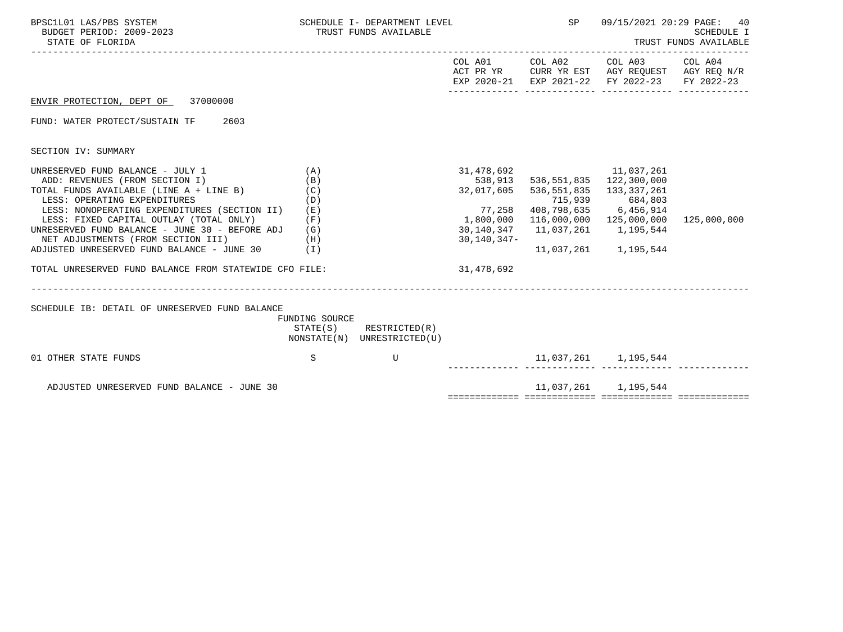| BPSC1L01 LAS/PBS SYSTEM<br>BUDGET PERIOD: 2009-2023<br>STATE OF FLORIDA                                                                                                                                                                                                                                                                                                                                                                                     |                                 | SCHEDULE I- DEPARTMENT LEVEL<br>TRUST FUNDS AVAILABLE      |                                                                                                       | SP                        | 09/15/2021 20:29 PAGE:<br>40<br>SCHEDULE I<br>TRUST FUNDS AVAILABLE                                                                                           |             |  |
|-------------------------------------------------------------------------------------------------------------------------------------------------------------------------------------------------------------------------------------------------------------------------------------------------------------------------------------------------------------------------------------------------------------------------------------------------------------|---------------------------------|------------------------------------------------------------|-------------------------------------------------------------------------------------------------------|---------------------------|---------------------------------------------------------------------------------------------------------------------------------------------------------------|-------------|--|
|                                                                                                                                                                                                                                                                                                                                                                                                                                                             |                                 |                                                            |                                                                                                       | COL A01 COL A02           | COL A03 COL A04<br>ACT PR YR CURR YR EST AGY REQUEST AGY REQ N/R<br>EXP 2020-21 EXP 2021-22 FY 2022-23 FY 2022-23                                             |             |  |
| ENVIR PROTECTION, DEPT OF 37000000                                                                                                                                                                                                                                                                                                                                                                                                                          |                                 |                                                            |                                                                                                       |                           |                                                                                                                                                               |             |  |
| FUND: WATER PROTECT/SUSTAIN TF<br>2603                                                                                                                                                                                                                                                                                                                                                                                                                      |                                 |                                                            |                                                                                                       |                           |                                                                                                                                                               |             |  |
| SECTION IV: SUMMARY                                                                                                                                                                                                                                                                                                                                                                                                                                         |                                 |                                                            |                                                                                                       |                           |                                                                                                                                                               |             |  |
| UNRESERVED FUND BALANCE - JULY 1<br>ADD: REVENUES (FROM SECTION I)<br>TOTAL FUNDS AVAILABLE (LINE A + LINE B)<br>LESS: OPERATING EXPENDITURES<br>LESS: NONOPERATING EXPENDITURES (SECTION II) (E)<br>LESS: FIXED CAPITAL OUTLAY (TOTAL ONLY)<br>UNRESERVED FUND BALANCE - JUNE 30 - BEFORE ADJ (G)<br>NET ADJUSTMENTS (FROM SECTION III)<br>(H)<br>ADJUSTED UNRESERVED FUND BALANCE - JUNE 30 (I)<br>TOTAL UNRESERVED FUND BALANCE FROM STATEWIDE CFO FILE: | (A)<br>(B)<br>(C)<br>(D)<br>(F) |                                                            | 31,478,692<br>538,913<br>32,017,605<br>77,258<br>1,800,000<br>30,140,347<br>30,140,347-<br>31,478,692 | 11,037,261<br>536,551,835 | 536,551,835 122,300,000<br>133,337,261<br>715,939 684,803<br>408,798,635 6,456,914<br>116,000,000 125,000,000<br>11,037,261 1,195,544<br>11,037,261 1,195,544 | 125,000,000 |  |
|                                                                                                                                                                                                                                                                                                                                                                                                                                                             |                                 |                                                            |                                                                                                       |                           |                                                                                                                                                               |             |  |
| SCHEDULE IB: DETAIL OF UNRESERVED FUND BALANCE                                                                                                                                                                                                                                                                                                                                                                                                              | FUNDING SOURCE                  | $STATE(S)$ RESTRICTED $(R)$<br>NONSTATE(N) UNRESTRICTED(U) |                                                                                                       |                           |                                                                                                                                                               |             |  |
| 01 OTHER STATE FUNDS                                                                                                                                                                                                                                                                                                                                                                                                                                        | S                               | U                                                          |                                                                                                       |                           | 11,037,261 1,195,544<br>.__________ ______________ _________                                                                                                  |             |  |
| ADJUSTED UNRESERVED FUND BALANCE - JUNE 30                                                                                                                                                                                                                                                                                                                                                                                                                  |                                 |                                                            |                                                                                                       |                           | 11,037,261 1,195,544                                                                                                                                          |             |  |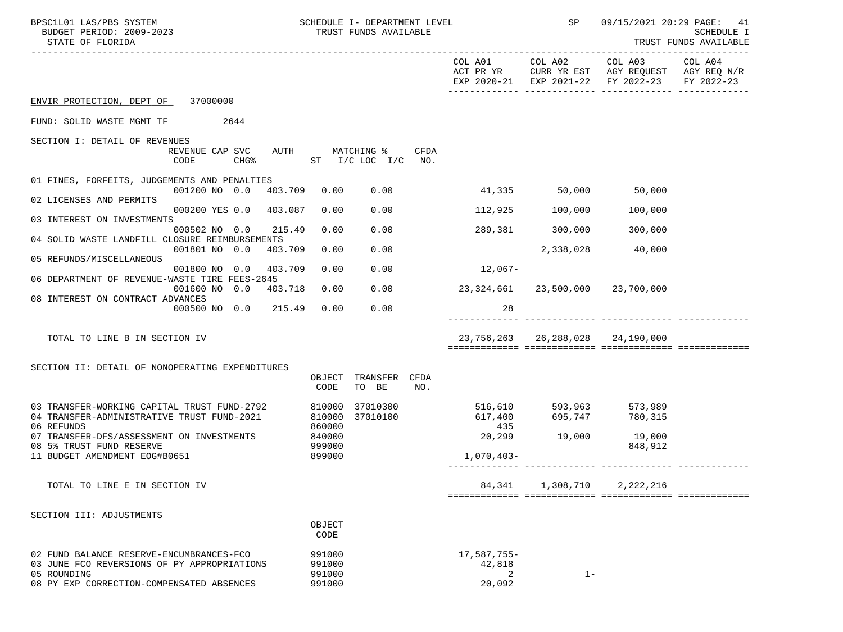| BPSC1L01 LAS/PBS SYSTEM<br>BUDGET PERIOD: 2009-2023<br>STATE OF FLORIDA                   |                  | SCHEDULE I- DEPARTMENT LEVEL<br>TRUST FUNDS AVAILABLE |      |                                  | SP                               |                                                                                                        | 09/15/2021 20:29 PAGE: 41<br><b>SCHEDULE I</b><br>TRUST FUNDS AVAILABLE |
|-------------------------------------------------------------------------------------------|------------------|-------------------------------------------------------|------|----------------------------------|----------------------------------|--------------------------------------------------------------------------------------------------------|-------------------------------------------------------------------------|
|                                                                                           |                  |                                                       |      | COL A01                          |                                  | COL A02 COL A03<br>ACT PR YR CURR YR EST AGY REQUEST AGY REQ N/R<br>EXP 2020-21 EXP 2021-22 FY 2022-23 | COL A04<br>FY 2022-23                                                   |
| ENVIR PROTECTION, DEPT OF 37000000                                                        |                  |                                                       |      |                                  |                                  |                                                                                                        |                                                                         |
| FUND: SOLID WASTE MGMT TF<br>2644                                                         |                  |                                                       |      |                                  |                                  |                                                                                                        |                                                                         |
| SECTION I: DETAIL OF REVENUES                                                             |                  |                                                       |      |                                  |                                  |                                                                                                        |                                                                         |
| REVENUE CAP SVC<br>AUTH<br>CHG% ST I/C LOC I/C NO.<br>CODE                                |                  | MATCHING %                                            | CFDA |                                  |                                  |                                                                                                        |                                                                         |
| 01 FINES, FORFEITS, JUDGEMENTS AND PENALTIES                                              |                  |                                                       |      |                                  |                                  |                                                                                                        |                                                                         |
| 001200 NO 0.0<br>403.709<br>02 LICENSES AND PERMITS                                       | 0.00             | 0.00                                                  |      | 41,335 50,000 50,000             |                                  |                                                                                                        |                                                                         |
| 000200 YES 0.0 403.087<br>03 INTEREST ON INVESTMENTS                                      | 0.00             | 0.00                                                  |      |                                  | 112,925 100,000                  | 100,000                                                                                                |                                                                         |
| 000502 NO 0.0 215.49                                                                      | 0.00             | 0.00                                                  |      |                                  | 289,381 300,000                  | 300,000                                                                                                |                                                                         |
| 04 SOLID WASTE LANDFILL CLOSURE REIMBURSEMENTS<br>403.709<br>001801 NO 0.0                | 0.00             | 0.00                                                  |      |                                  |                                  | 2,338,028 40,000                                                                                       |                                                                         |
| 05 REFUNDS/MISCELLANEOUS<br>001800 NO 0.0<br>403.709                                      | 0.00             | 0.00                                                  |      | $12,067-$                        |                                  |                                                                                                        |                                                                         |
| 06 DEPARTMENT OF REVENUE-WASTE TIRE FEES-2645                                             |                  |                                                       |      |                                  |                                  |                                                                                                        |                                                                         |
| 001600 NO 0.0<br>403.718<br>08 INTEREST ON CONTRACT ADVANCES                              | 0.00             | 0.00                                                  |      | 23,324,661 23,500,000 23,700,000 |                                  |                                                                                                        |                                                                         |
| 000500 NO 0.0 215.49                                                                      | 0.00             | 0.00                                                  |      | 28                               |                                  |                                                                                                        |                                                                         |
| TOTAL TO LINE B IN SECTION IV                                                             |                  |                                                       |      |                                  | 23,756,263 26,288,028 24,190,000 |                                                                                                        |                                                                         |
|                                                                                           |                  |                                                       |      |                                  |                                  |                                                                                                        |                                                                         |
| SECTION II: DETAIL OF NONOPERATING EXPENDITURES                                           | OBJECT           | TRANSFER CFDA                                         |      |                                  |                                  |                                                                                                        |                                                                         |
|                                                                                           | CODE             | TO BE                                                 | NO.  |                                  |                                  |                                                                                                        |                                                                         |
| 03 TRANSFER-WORKING CAPITAL TRUST FUND-2792<br>04 TRANSFER-ADMINISTRATIVE TRUST FUND-2021 | 810000<br>810000 | 37010300<br>37010100                                  |      |                                  |                                  |                                                                                                        |                                                                         |
| 06 REFUNDS                                                                                | 860000<br>840000 |                                                       |      | 435<br>20,299                    |                                  | 19,000                                                                                                 |                                                                         |
| 07 TRANSFER-DFS/ASSESSMENT ON INVESTMENTS<br>08 5% TRUST FUND RESERVE                     | 999000           |                                                       |      |                                  | 19,000                           | 848,912                                                                                                |                                                                         |
| 11 BUDGET AMENDMENT EOG#B0651                                                             | 899000           |                                                       |      | 1,070,403-                       |                                  |                                                                                                        |                                                                         |
| TOTAL TO LINE E IN SECTION IV                                                             |                  |                                                       |      | 84,341                           | 1,308,710                        | 2,222,216                                                                                              |                                                                         |
|                                                                                           |                  |                                                       |      |                                  |                                  |                                                                                                        |                                                                         |
| SECTION III: ADJUSTMENTS                                                                  | OBJECT           |                                                       |      |                                  |                                  |                                                                                                        |                                                                         |
|                                                                                           | CODE             |                                                       |      |                                  |                                  |                                                                                                        |                                                                         |
| 02 FUND BALANCE RESERVE-ENCUMBRANCES-FCO<br>03 JUNE FCO REVERSIONS OF PY APPROPRIATIONS   | 991000<br>991000 |                                                       |      | $17,587,755-$<br>42,818          |                                  |                                                                                                        |                                                                         |
| 05 ROUNDING                                                                               | 991000           |                                                       |      | 2                                | $1 -$                            |                                                                                                        |                                                                         |
| 08 PY EXP CORRECTION-COMPENSATED ABSENCES                                                 | 991000           |                                                       |      | 20,092                           |                                  |                                                                                                        |                                                                         |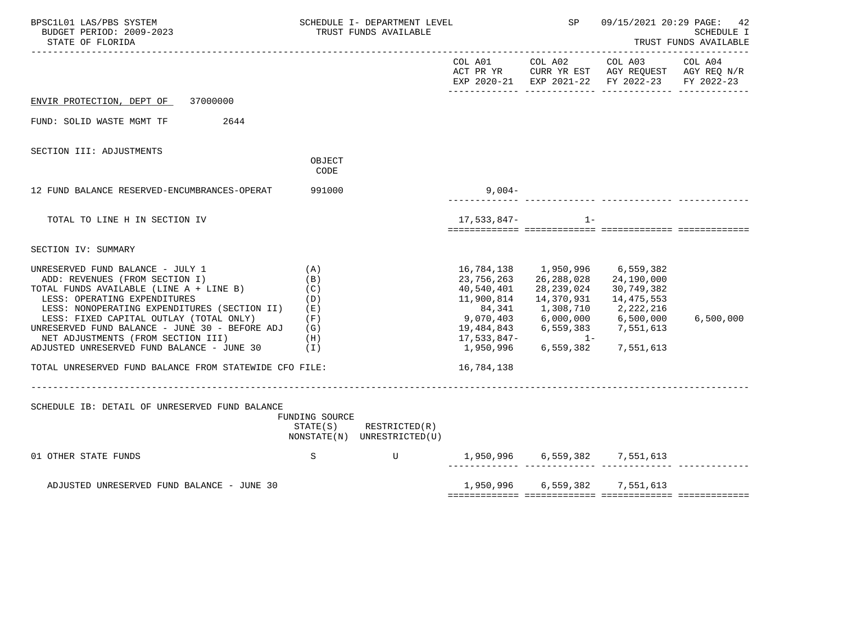| BPSC1L01 LAS/PBS SYSTEM<br>BUDGET PERIOD: 2009-2023<br>STATE OF FLORIDA                                                                                                                                                                                                                                                                                                                                                                                 |                                        | SCHEDULE I- DEPARTMENT LEVEL<br>TRUST FUNDS AVAILABLE |                                                      | SP                                                                                      |                                                                                                                                                                                       | 09/15/2021 20:29 PAGE: 42<br><b>SCHEDULE I</b><br>TRUST FUNDS AVAILABLE |
|---------------------------------------------------------------------------------------------------------------------------------------------------------------------------------------------------------------------------------------------------------------------------------------------------------------------------------------------------------------------------------------------------------------------------------------------------------|----------------------------------------|-------------------------------------------------------|------------------------------------------------------|-----------------------------------------------------------------------------------------|---------------------------------------------------------------------------------------------------------------------------------------------------------------------------------------|-------------------------------------------------------------------------|
|                                                                                                                                                                                                                                                                                                                                                                                                                                                         |                                        |                                                       |                                                      |                                                                                         | COL A01 COL A02 COL A03<br>ACT PR YR CURR YR EST AGY REQUEST AGY REQ N/R<br>EXP 2020-21 EXP 2021-22 FY 2022-23                                                                        | COL A04<br>FY 2022-23                                                   |
| ENVIR PROTECTION, DEPT OF 37000000                                                                                                                                                                                                                                                                                                                                                                                                                      |                                        |                                                       |                                                      |                                                                                         |                                                                                                                                                                                       |                                                                         |
| FUND: SOLID WASTE MGMT TF 2644                                                                                                                                                                                                                                                                                                                                                                                                                          |                                        |                                                       |                                                      |                                                                                         |                                                                                                                                                                                       |                                                                         |
| SECTION III: ADJUSTMENTS                                                                                                                                                                                                                                                                                                                                                                                                                                | OBJECT<br>CODE                         |                                                       |                                                      |                                                                                         |                                                                                                                                                                                       |                                                                         |
| 12 FUND BALANCE RESERVED-ENCUMBRANCES-OPERAT                                                                                                                                                                                                                                                                                                                                                                                                            | 991000                                 |                                                       | $9,004-$                                             |                                                                                         |                                                                                                                                                                                       |                                                                         |
| TOTAL TO LINE H IN SECTION IV                                                                                                                                                                                                                                                                                                                                                                                                                           |                                        |                                                       | 17,533,847-                                          | $1 -$                                                                                   |                                                                                                                                                                                       |                                                                         |
| SECTION IV: SUMMARY                                                                                                                                                                                                                                                                                                                                                                                                                                     |                                        |                                                       |                                                      |                                                                                         |                                                                                                                                                                                       |                                                                         |
| UNRESERVED FUND BALANCE - JULY 1<br>ADD: REVENUES (FROM SECTION I)<br>TOTAL FUNDS AVAILABLE (LINE A + LINE B)<br>LESS: OPERATING EXPENDITURES<br>LESS: NONOPERATING EXPENDITURES (SECTION II)<br>LESS: FIXED CAPITAL OUTLAY (TOTAL ONLY)<br>UNRESERVED FUND BALANCE - JUNE 30 - BEFORE ADJ (G)<br>(H)<br>NET ADJUSTMENTS (FROM SECTION III)<br>ADJUSTED UNRESERVED FUND BALANCE - JUNE 30 (I)<br>TOTAL UNRESERVED FUND BALANCE FROM STATEWIDE CFO FILE: | (A)<br>(B)<br>(C)<br>(D)<br>(E)<br>(F) |                                                       | 23,756,263<br>40,540,401<br>11,900,814<br>16,784,138 | 16,784,138    1,950,996<br>26, 288, 028<br>28,239,024<br>14,370,931<br>84,341 1,308,710 | 6,559,382<br>24,190,000<br>30,749,382<br>14,475,553<br>2,222,216<br>9,070,403 6,000,000 6,500,000<br>19,484,843 6,559,383 7,551,613<br>$17,533,847-$<br>1,950,996 6,559,382 7,551,613 | 6,500,000                                                               |
| SCHEDULE IB: DETAIL OF UNRESERVED FUND BALANCE                                                                                                                                                                                                                                                                                                                                                                                                          | FUNDING SOURCE                         | STATE(S) RESTRICTED(R)<br>NONSTATE(N) UNRESTRICTED(U) |                                                      |                                                                                         |                                                                                                                                                                                       |                                                                         |
| 01 OTHER STATE FUNDS                                                                                                                                                                                                                                                                                                                                                                                                                                    | S                                      | U 1,950,996 6,559,382 7,551,613                       |                                                      |                                                                                         |                                                                                                                                                                                       |                                                                         |
| ADJUSTED UNRESERVED FUND BALANCE - JUNE 30                                                                                                                                                                                                                                                                                                                                                                                                              |                                        |                                                       |                                                      |                                                                                         | 1,950,996 6,559,382 7,551,613                                                                                                                                                         |                                                                         |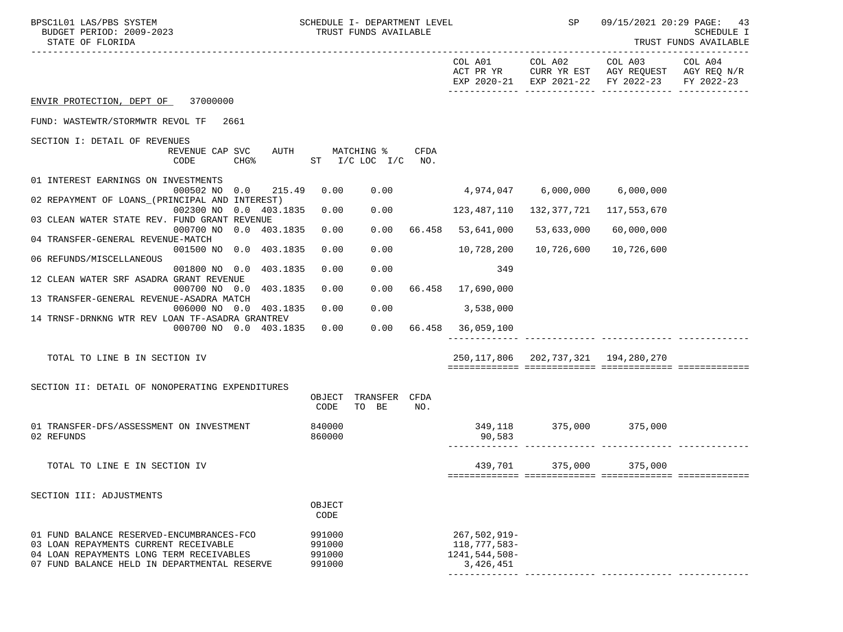| COL A01 COL A02 COL A03 COL A04<br>ACT PR YR CURR YR EST AGY REQUEST AGY REQ N/R<br>EXP 2020-21 EXP 2021-22 FY 2022-23<br>ENVIR PROTECTION, DEPT OF 37000000<br>FUND: WASTEWTR/STORMWTR REVOL TF<br>2661<br>SECTION I: DETAIL OF REVENUES<br>AUTH MATCHING %<br>CFDA<br>REVENUE CAP SVC<br>ST I/C LOC I/C NO.<br>CODE<br>CHG%<br>01 INTEREST EARNINGS ON INVESTMENTS<br>$0.00$ 4,974,047 6,000,000 6,000,000<br>000502 NO 0.0 215.49<br>0.00<br>02 REPAYMENT OF LOANS_(PRINCIPAL AND INTEREST)<br>002300 NO 0.0 403.1835<br>0.00<br>0.00<br>123,487,110<br>132,377,721<br>117,553,670<br>03 CLEAN WATER STATE REV. FUND GRANT REVENUE<br>000700 NO 0.0 403.1835<br>0.00<br>0.00<br>66.458 53,641,000<br>53,633,000<br>60,000,000<br>04 TRANSFER-GENERAL REVENUE-MATCH<br>001500 NO 0.0 403.1835<br>0.00<br>10,726,600<br>0.00<br>10,728,200<br>10,726,600<br>06 REFUNDS/MISCELLANEOUS<br>0.00<br>349<br>001800 NO 0.0 403.1835<br>0.00<br>12 CLEAN WATER SRF ASADRA GRANT REVENUE<br>000700 NO 0.0 403.1835<br>$0.00$ 66.458 17,690,000<br>0.00<br>13 TRANSFER-GENERAL REVENUE-ASADRA MATCH<br>0.00<br>0.00<br>006000 NO 0.0 403.1835<br>3,538,000<br>14 TRNSF-DRNKNG WTR REV LOAN TF-ASADRA GRANTREV<br>$0.00$ 66.458 36,059,100<br>000700 NO 0.0 403.1835<br>0.00<br>250, 117, 806 202, 737, 321 194, 280, 270<br>TOTAL TO LINE B IN SECTION IV<br>SECTION II: DETAIL OF NONOPERATING EXPENDITURES<br>TRANSFER<br>CFDA<br>OBJECT<br>CODE<br>TO BE<br>NO.<br>375,000 375,000<br>01 TRANSFER-DFS/ASSESSMENT ON INVESTMENT<br>840000<br>349,118<br>860000<br>02 REFUNDS<br>90,583<br>439,701 375,000<br>375,000<br>TOTAL TO LINE E IN SECTION IV | BPSC1L01 LAS/PBS SYSTEM<br>BUDGET PERIOD: 2009-2023<br>STATE OF FLORIDA |  | SCHEDULE I- DEPARTMENT LEVEL<br>TRUST FUNDS AVAILABLE |  | SP | 09/15/2021 20:29 PAGE: 43 | SCHEDULE I<br>TRUST FUNDS AVAILABLE |
|-------------------------------------------------------------------------------------------------------------------------------------------------------------------------------------------------------------------------------------------------------------------------------------------------------------------------------------------------------------------------------------------------------------------------------------------------------------------------------------------------------------------------------------------------------------------------------------------------------------------------------------------------------------------------------------------------------------------------------------------------------------------------------------------------------------------------------------------------------------------------------------------------------------------------------------------------------------------------------------------------------------------------------------------------------------------------------------------------------------------------------------------------------------------------------------------------------------------------------------------------------------------------------------------------------------------------------------------------------------------------------------------------------------------------------------------------------------------------------------------------------------------------------------------------------------------------------------------------------------------------------------------------|-------------------------------------------------------------------------|--|-------------------------------------------------------|--|----|---------------------------|-------------------------------------|
|                                                                                                                                                                                                                                                                                                                                                                                                                                                                                                                                                                                                                                                                                                                                                                                                                                                                                                                                                                                                                                                                                                                                                                                                                                                                                                                                                                                                                                                                                                                                                                                                                                                 |                                                                         |  |                                                       |  |    |                           | FY 2022-23                          |
|                                                                                                                                                                                                                                                                                                                                                                                                                                                                                                                                                                                                                                                                                                                                                                                                                                                                                                                                                                                                                                                                                                                                                                                                                                                                                                                                                                                                                                                                                                                                                                                                                                                 |                                                                         |  |                                                       |  |    |                           |                                     |
|                                                                                                                                                                                                                                                                                                                                                                                                                                                                                                                                                                                                                                                                                                                                                                                                                                                                                                                                                                                                                                                                                                                                                                                                                                                                                                                                                                                                                                                                                                                                                                                                                                                 |                                                                         |  |                                                       |  |    |                           |                                     |
|                                                                                                                                                                                                                                                                                                                                                                                                                                                                                                                                                                                                                                                                                                                                                                                                                                                                                                                                                                                                                                                                                                                                                                                                                                                                                                                                                                                                                                                                                                                                                                                                                                                 |                                                                         |  |                                                       |  |    |                           |                                     |
|                                                                                                                                                                                                                                                                                                                                                                                                                                                                                                                                                                                                                                                                                                                                                                                                                                                                                                                                                                                                                                                                                                                                                                                                                                                                                                                                                                                                                                                                                                                                                                                                                                                 |                                                                         |  |                                                       |  |    |                           |                                     |
|                                                                                                                                                                                                                                                                                                                                                                                                                                                                                                                                                                                                                                                                                                                                                                                                                                                                                                                                                                                                                                                                                                                                                                                                                                                                                                                                                                                                                                                                                                                                                                                                                                                 |                                                                         |  |                                                       |  |    |                           |                                     |
|                                                                                                                                                                                                                                                                                                                                                                                                                                                                                                                                                                                                                                                                                                                                                                                                                                                                                                                                                                                                                                                                                                                                                                                                                                                                                                                                                                                                                                                                                                                                                                                                                                                 |                                                                         |  |                                                       |  |    |                           |                                     |
|                                                                                                                                                                                                                                                                                                                                                                                                                                                                                                                                                                                                                                                                                                                                                                                                                                                                                                                                                                                                                                                                                                                                                                                                                                                                                                                                                                                                                                                                                                                                                                                                                                                 |                                                                         |  |                                                       |  |    |                           |                                     |
|                                                                                                                                                                                                                                                                                                                                                                                                                                                                                                                                                                                                                                                                                                                                                                                                                                                                                                                                                                                                                                                                                                                                                                                                                                                                                                                                                                                                                                                                                                                                                                                                                                                 |                                                                         |  |                                                       |  |    |                           |                                     |
|                                                                                                                                                                                                                                                                                                                                                                                                                                                                                                                                                                                                                                                                                                                                                                                                                                                                                                                                                                                                                                                                                                                                                                                                                                                                                                                                                                                                                                                                                                                                                                                                                                                 |                                                                         |  |                                                       |  |    |                           |                                     |
|                                                                                                                                                                                                                                                                                                                                                                                                                                                                                                                                                                                                                                                                                                                                                                                                                                                                                                                                                                                                                                                                                                                                                                                                                                                                                                                                                                                                                                                                                                                                                                                                                                                 |                                                                         |  |                                                       |  |    |                           |                                     |
|                                                                                                                                                                                                                                                                                                                                                                                                                                                                                                                                                                                                                                                                                                                                                                                                                                                                                                                                                                                                                                                                                                                                                                                                                                                                                                                                                                                                                                                                                                                                                                                                                                                 |                                                                         |  |                                                       |  |    |                           |                                     |
|                                                                                                                                                                                                                                                                                                                                                                                                                                                                                                                                                                                                                                                                                                                                                                                                                                                                                                                                                                                                                                                                                                                                                                                                                                                                                                                                                                                                                                                                                                                                                                                                                                                 |                                                                         |  |                                                       |  |    |                           |                                     |
|                                                                                                                                                                                                                                                                                                                                                                                                                                                                                                                                                                                                                                                                                                                                                                                                                                                                                                                                                                                                                                                                                                                                                                                                                                                                                                                                                                                                                                                                                                                                                                                                                                                 |                                                                         |  |                                                       |  |    |                           |                                     |
|                                                                                                                                                                                                                                                                                                                                                                                                                                                                                                                                                                                                                                                                                                                                                                                                                                                                                                                                                                                                                                                                                                                                                                                                                                                                                                                                                                                                                                                                                                                                                                                                                                                 |                                                                         |  |                                                       |  |    |                           |                                     |
|                                                                                                                                                                                                                                                                                                                                                                                                                                                                                                                                                                                                                                                                                                                                                                                                                                                                                                                                                                                                                                                                                                                                                                                                                                                                                                                                                                                                                                                                                                                                                                                                                                                 |                                                                         |  |                                                       |  |    |                           |                                     |
|                                                                                                                                                                                                                                                                                                                                                                                                                                                                                                                                                                                                                                                                                                                                                                                                                                                                                                                                                                                                                                                                                                                                                                                                                                                                                                                                                                                                                                                                                                                                                                                                                                                 |                                                                         |  |                                                       |  |    |                           |                                     |
|                                                                                                                                                                                                                                                                                                                                                                                                                                                                                                                                                                                                                                                                                                                                                                                                                                                                                                                                                                                                                                                                                                                                                                                                                                                                                                                                                                                                                                                                                                                                                                                                                                                 |                                                                         |  |                                                       |  |    |                           |                                     |
|                                                                                                                                                                                                                                                                                                                                                                                                                                                                                                                                                                                                                                                                                                                                                                                                                                                                                                                                                                                                                                                                                                                                                                                                                                                                                                                                                                                                                                                                                                                                                                                                                                                 |                                                                         |  |                                                       |  |    |                           |                                     |
|                                                                                                                                                                                                                                                                                                                                                                                                                                                                                                                                                                                                                                                                                                                                                                                                                                                                                                                                                                                                                                                                                                                                                                                                                                                                                                                                                                                                                                                                                                                                                                                                                                                 |                                                                         |  |                                                       |  |    |                           |                                     |
|                                                                                                                                                                                                                                                                                                                                                                                                                                                                                                                                                                                                                                                                                                                                                                                                                                                                                                                                                                                                                                                                                                                                                                                                                                                                                                                                                                                                                                                                                                                                                                                                                                                 |                                                                         |  |                                                       |  |    |                           |                                     |
|                                                                                                                                                                                                                                                                                                                                                                                                                                                                                                                                                                                                                                                                                                                                                                                                                                                                                                                                                                                                                                                                                                                                                                                                                                                                                                                                                                                                                                                                                                                                                                                                                                                 |                                                                         |  |                                                       |  |    |                           |                                     |
|                                                                                                                                                                                                                                                                                                                                                                                                                                                                                                                                                                                                                                                                                                                                                                                                                                                                                                                                                                                                                                                                                                                                                                                                                                                                                                                                                                                                                                                                                                                                                                                                                                                 | SECTION III: ADJUSTMENTS                                                |  |                                                       |  |    |                           |                                     |
| OBJECT<br>CODE                                                                                                                                                                                                                                                                                                                                                                                                                                                                                                                                                                                                                                                                                                                                                                                                                                                                                                                                                                                                                                                                                                                                                                                                                                                                                                                                                                                                                                                                                                                                                                                                                                  |                                                                         |  |                                                       |  |    |                           |                                     |
| $267,502,919-$<br>01 FUND BALANCE RESERVED-ENCUMBRANCES-FCO<br>991000<br>118,777,583-<br>03 LOAN REPAYMENTS CURRENT RECEIVABLE<br>991000<br>04 LOAN REPAYMENTS LONG TERM RECEIVABLES<br>1241,544,508-<br>991000<br>07 FUND BALANCE HELD IN DEPARTMENTAL RESERVE<br>991000<br>3,426,451                                                                                                                                                                                                                                                                                                                                                                                                                                                                                                                                                                                                                                                                                                                                                                                                                                                                                                                                                                                                                                                                                                                                                                                                                                                                                                                                                          |                                                                         |  |                                                       |  |    |                           |                                     |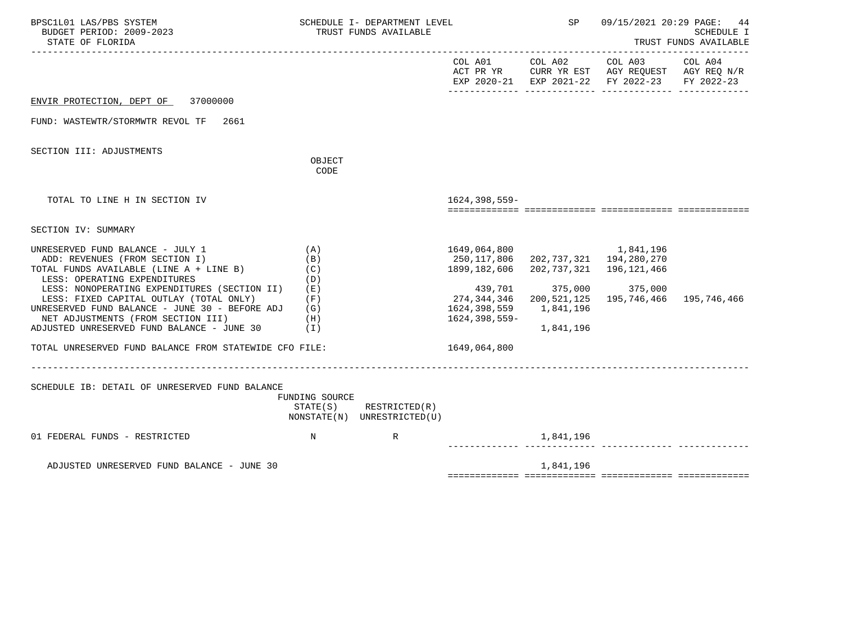| BPSC1L01 LAS/PBS SYSTEM<br>BUDGET PERIOD: 2009-2023<br>STATE OF FLORIDA                                                                                                                                                                                                                                                                                                                                                                            |                                                 | SCHEDULE I- DEPARTMENT LEVEL<br>TRUST FUNDS AVAILABLE      |                                                                                                                        | SP                                                                                                     |                                                                                                                | 09/15/2021 20:29 PAGE: 44<br><b>SCHEDULE I</b><br>TRUST FUNDS AVAILABLE |
|----------------------------------------------------------------------------------------------------------------------------------------------------------------------------------------------------------------------------------------------------------------------------------------------------------------------------------------------------------------------------------------------------------------------------------------------------|-------------------------------------------------|------------------------------------------------------------|------------------------------------------------------------------------------------------------------------------------|--------------------------------------------------------------------------------------------------------|----------------------------------------------------------------------------------------------------------------|-------------------------------------------------------------------------|
|                                                                                                                                                                                                                                                                                                                                                                                                                                                    |                                                 |                                                            |                                                                                                                        |                                                                                                        | COL A01 COL A02 COL A03<br>ACT PR YR CURR YR EST AGY REQUEST AGY REQ N/R<br>EXP 2020-21 EXP 2021-22 FY 2022-23 | COL A04<br>FY 2022-23                                                   |
| ENVIR PROTECTION, DEPT OF 37000000                                                                                                                                                                                                                                                                                                                                                                                                                 |                                                 |                                                            |                                                                                                                        |                                                                                                        |                                                                                                                |                                                                         |
| FUND: WASTEWTR/STORMWTR REVOL TF<br>2661                                                                                                                                                                                                                                                                                                                                                                                                           |                                                 |                                                            |                                                                                                                        |                                                                                                        |                                                                                                                |                                                                         |
| SECTION III: ADJUSTMENTS                                                                                                                                                                                                                                                                                                                                                                                                                           | OBJECT<br>CODE                                  |                                                            |                                                                                                                        |                                                                                                        |                                                                                                                |                                                                         |
| TOTAL TO LINE H IN SECTION IV                                                                                                                                                                                                                                                                                                                                                                                                                      |                                                 |                                                            | 1624, 398, 559-                                                                                                        |                                                                                                        |                                                                                                                |                                                                         |
| SECTION IV: SUMMARY                                                                                                                                                                                                                                                                                                                                                                                                                                |                                                 |                                                            |                                                                                                                        |                                                                                                        |                                                                                                                |                                                                         |
| UNRESERVED FUND BALANCE - JULY 1<br>ADD: REVENUES (FROM SECTION I)<br>TOTAL FUNDS AVAILABLE (LINE A + LINE B)<br>LESS: OPERATING EXPENDITURES<br>LESS: NONOPERATING EXPENDITURES (SECTION II)<br>LESS: FIXED CAPITAL OUTLAY (TOTAL ONLY)<br>UNRESERVED FUND BALANCE - JUNE 30 - BEFORE ADJ $(G)$<br>NET ADJUSTMENTS (FROM SECTION III)<br>ADJUSTED UNRESERVED FUND BALANCE - JUNE 30 (I)<br>TOTAL UNRESERVED FUND BALANCE FROM STATEWIDE CFO FILE: | (A)<br>(B)<br>(C)<br>(D)<br>( E )<br>(F)<br>(H) |                                                            | 1649,064,800<br>250,117,806<br>1899,182,606<br>439,701<br>274,344,346<br>1624,398,559<br>1624,398,559-<br>1649,064,800 | 202,737,321 194,280,270<br>202,737,321 196,121,466<br>375,000<br>200,521,125<br>1,841,196<br>1,841,196 | 1,841,196<br>375,000<br>195,746,466                                                                            | 195,746,466                                                             |
| SCHEDULE IB: DETAIL OF UNRESERVED FUND BALANCE                                                                                                                                                                                                                                                                                                                                                                                                     | FUNDING SOURCE                                  | $STATE(S)$ RESTRICTED $(R)$<br>NONSTATE(N) UNRESTRICTED(U) |                                                                                                                        |                                                                                                        |                                                                                                                |                                                                         |
| 01 FEDERAL FUNDS - RESTRICTED                                                                                                                                                                                                                                                                                                                                                                                                                      | $\mathbf N$                                     | R                                                          |                                                                                                                        | 1,841,196                                                                                              |                                                                                                                |                                                                         |
| ADJUSTED UNRESERVED FUND BALANCE - JUNE 30                                                                                                                                                                                                                                                                                                                                                                                                         |                                                 |                                                            |                                                                                                                        | 1,841,196                                                                                              |                                                                                                                |                                                                         |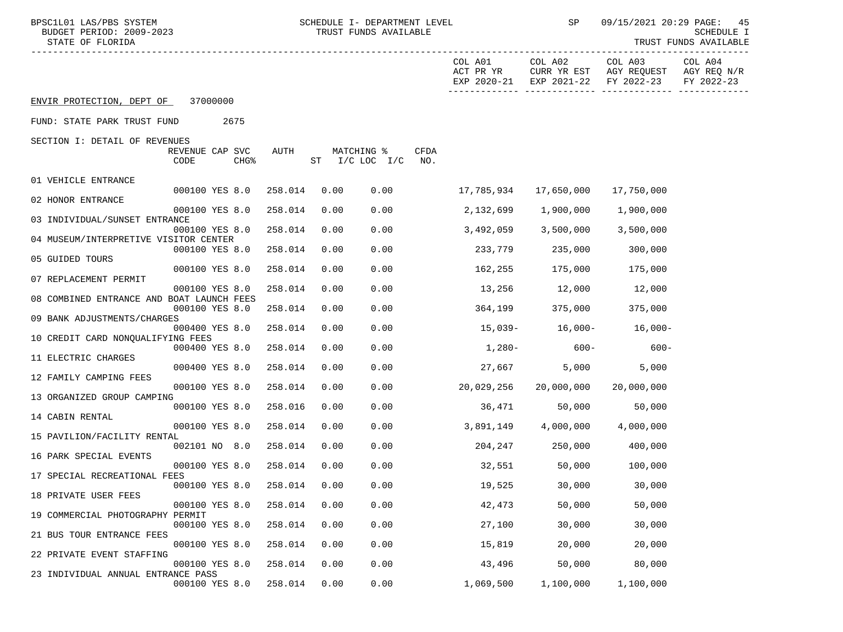| BPSC1L01 LAS/PBS SYSTEM<br>BUDGET PERIOD: 2009-2023<br>STATE OF FLORIDA |      |                                     |         |      | SCHEDULE I- DEPARTMENT LEVEL<br>TRUST FUNDS AVAILABLE |             |                                     | SP                     | 09/15/2021 20:29 PAGE:                           | 45<br>SCHEDULE I<br>TRUST FUNDS AVAILABLE |
|-------------------------------------------------------------------------|------|-------------------------------------|---------|------|-------------------------------------------------------|-------------|-------------------------------------|------------------------|--------------------------------------------------|-------------------------------------------|
|                                                                         |      |                                     |         |      |                                                       |             | COL A01<br>ACT PR YR<br>EXP 2020-21 | COL A02<br>EXP 2021-22 | COL A03<br>CURR YR EST AGY REQUEST<br>FY 2022-23 | COL A04<br>AGY REQ N/R<br>FY 2022-23      |
| ENVIR PROTECTION, DEPT OF 37000000                                      |      |                                     |         |      |                                                       |             |                                     |                        |                                                  |                                           |
| FUND: STATE PARK TRUST FUND                                             |      | 2675                                |         |      |                                                       |             |                                     |                        |                                                  |                                           |
| SECTION I: DETAIL OF REVENUES                                           | CODE | REVENUE CAP SVC<br>CHG <sup>8</sup> | AUTH    |      | MATCHING %<br>ST I/C LOC I/C                          | CFDA<br>NO. |                                     |                        |                                                  |                                           |
| 01 VEHICLE ENTRANCE                                                     |      |                                     |         |      |                                                       |             |                                     |                        |                                                  |                                           |
| 02 HONOR ENTRANCE                                                       |      | 000100 YES 8.0                      | 258.014 | 0.00 | 0.00                                                  |             | 17,785,934                          | 17,650,000             | 17,750,000                                       |                                           |
| 03 INDIVIDUAL/SUNSET ENTRANCE                                           |      | 000100 YES 8.0                      | 258.014 | 0.00 | 0.00                                                  |             | 2,132,699                           | 1,900,000              | 1,900,000                                        |                                           |
| 04 MUSEUM/INTERPRETIVE VISITOR CENTER                                   |      | 000100 YES 8.0                      | 258.014 | 0.00 | 0.00                                                  |             | 3,492,059                           | 3,500,000              | 3,500,000                                        |                                           |
|                                                                         |      | 000100 YES 8.0                      | 258.014 | 0.00 | 0.00                                                  |             | 233,779                             | 235,000                | 300,000                                          |                                           |
| 05 GUIDED TOURS                                                         |      | 000100 YES 8.0                      | 258.014 | 0.00 | 0.00                                                  |             | 162,255                             | 175,000                | 175,000                                          |                                           |
| 07 REPLACEMENT PERMIT                                                   |      | 000100 YES 8.0                      | 258.014 | 0.00 | 0.00                                                  |             |                                     | 13,256 12,000          | 12,000                                           |                                           |
| 08 COMBINED ENTRANCE AND BOAT LAUNCH FEES                               |      |                                     |         |      |                                                       |             |                                     |                        |                                                  |                                           |
| 09 BANK ADJUSTMENTS/CHARGES                                             |      | 000100 YES 8.0                      | 258.014 | 0.00 | 0.00                                                  |             | 364,199                             | 375,000                | 375,000                                          |                                           |
| 10 CREDIT CARD NONQUALIFYING FEES                                       |      | 000400 YES 8.0                      | 258.014 | 0.00 | 0.00                                                  |             | 15,039-                             | $16,000-$              | $16,000-$                                        |                                           |
|                                                                         |      | 000400 YES 8.0                      | 258.014 | 0.00 | 0.00                                                  |             | $1,280-$                            | $600 -$                | $600 -$                                          |                                           |
| 11 ELECTRIC CHARGES                                                     |      | 000400 YES 8.0                      | 258.014 | 0.00 | 0.00                                                  |             | 27,667                              | 5,000                  | 5,000                                            |                                           |
| 12 FAMILY CAMPING FEES                                                  |      | 000100 YES 8.0                      | 258.014 | 0.00 | 0.00                                                  |             | 20,029,256                          | 20,000,000             | 20,000,000                                       |                                           |
| 13 ORGANIZED GROUP CAMPING                                              |      |                                     |         |      |                                                       |             |                                     |                        |                                                  |                                           |
| 14 CABIN RENTAL                                                         |      | 000100 YES 8.0                      | 258.016 | 0.00 | 0.00                                                  |             | 36,471                              | 50,000                 | 50,000                                           |                                           |
| 15 PAVILION/FACILITY RENTAL                                             |      | 000100 YES 8.0                      | 258.014 | 0.00 | 0.00                                                  |             |                                     |                        |                                                  |                                           |
|                                                                         |      | 002101 NO 8.0                       | 258.014 | 0.00 | 0.00                                                  |             |                                     | 204,247 250,000        | 400,000                                          |                                           |
| 16 PARK SPECIAL EVENTS                                                  |      | 000100 YES 8.0                      | 258.014 | 0.00 | 0.00                                                  |             | 32,551                              | 50,000                 | 100,000                                          |                                           |
| 17 SPECIAL RECREATIONAL FEES                                            |      | 000100 YES 8.0                      | 258.014 | 0.00 | 0.00                                                  |             | 19,525                              | 30,000                 | 30,000                                           |                                           |
| 18 PRIVATE USER FEES                                                    |      |                                     |         |      |                                                       |             |                                     |                        |                                                  |                                           |
| 19 COMMERCIAL PHOTOGRAPHY PERMIT                                        |      | 000100 YES 8.0                      | 258.014 | 0.00 | 0.00                                                  |             | 42,473                              | 50,000                 | 50,000                                           |                                           |
| 21 BUS TOUR ENTRANCE FEES                                               |      | 000100 YES 8.0                      | 258.014 | 0.00 | 0.00                                                  |             | 27,100                              | 30,000                 | 30,000                                           |                                           |
|                                                                         |      | 000100 YES 8.0                      | 258.014 | 0.00 | 0.00                                                  |             | 15,819                              | 20,000                 | 20,000                                           |                                           |
| 22 PRIVATE EVENT STAFFING                                               |      | 000100 YES 8.0                      | 258.014 | 0.00 | 0.00                                                  |             | 43,496                              | 50,000                 | 80,000                                           |                                           |
| 23 INDIVIDUAL ANNUAL ENTRANCE PASS                                      |      | 000100 YES 8.0                      | 258.014 | 0.00 | 0.00                                                  |             | 1,069,500                           | 1,100,000              | 1,100,000                                        |                                           |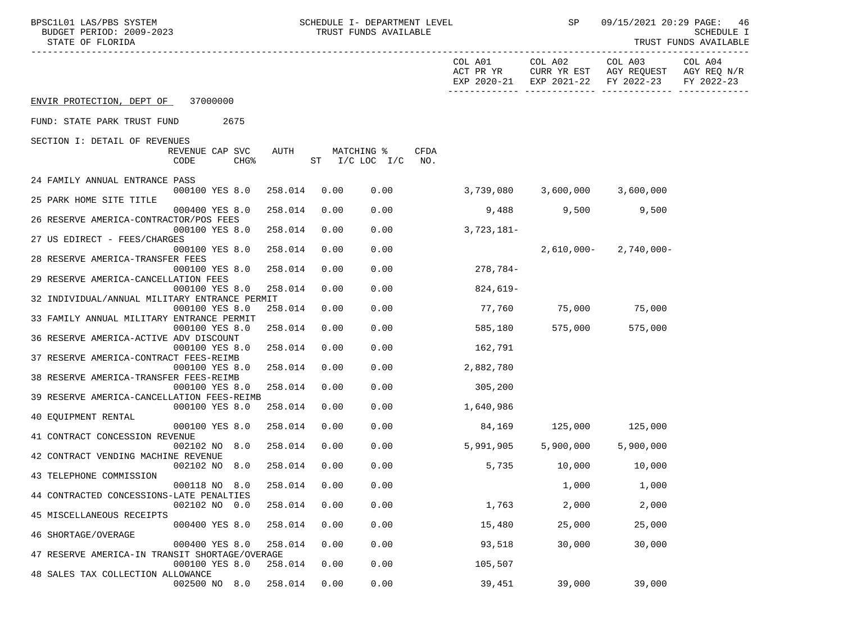| BPSC1L01 LAS/PBS SYSTEM<br>BUDGET PERIOD: 2009-2023<br>STATE OF FLORIDA |         |      | SCHEDULE I- DEPARTMENT LEVEL<br>TRUST FUNDS AVAILABLE |                      | SP                            | 09/15/2021 20:29 PAGE:                                                               | 46<br>SCHEDULE I<br>TRUST FUNDS AVAILABLE |
|-------------------------------------------------------------------------|---------|------|-------------------------------------------------------|----------------------|-------------------------------|--------------------------------------------------------------------------------------|-------------------------------------------|
|                                                                         |         |      |                                                       | COL A01<br>ACT PR YR | COL A02                       | COL A03<br>CURR YR EST AGY REQUEST AGY REQ N/R<br>EXP 2020-21 EXP 2021-22 FY 2022-23 | COL A04<br>FY 2022-23                     |
| ENVIR PROTECTION, DEPT OF 37000000                                      |         |      |                                                       |                      |                               |                                                                                      |                                           |
| FUND: STATE PARK TRUST FUND<br>2675                                     |         |      |                                                       |                      |                               |                                                                                      |                                           |
| SECTION I: DETAIL OF REVENUES                                           |         |      |                                                       |                      |                               |                                                                                      |                                           |
| REVENUE CAP SVC<br>CODE<br><b>CHG&amp;</b>                              | AUTH    |      | MATCHING %<br>$ST$ $I/C$ LOC $I/C$                    | CFDA<br>NO.          |                               |                                                                                      |                                           |
| 24 FAMILY ANNUAL ENTRANCE PASS                                          |         |      |                                                       |                      |                               |                                                                                      |                                           |
| 000100 YES 8.0                                                          | 258.014 | 0.00 | 0.00                                                  |                      | 3,739,080 3,600,000 3,600,000 |                                                                                      |                                           |
| 25 PARK HOME SITE TITLE<br>000400 YES 8.0                               | 258.014 | 0.00 | 0.00                                                  | 9,488                | 9,500                         | 9,500                                                                                |                                           |
| 26 RESERVE AMERICA-CONTRACTOR/POS FEES                                  |         |      |                                                       |                      |                               |                                                                                      |                                           |
| 000100 YES 8.0                                                          | 258.014 | 0.00 | 0.00                                                  | $3,723,181-$         |                               |                                                                                      |                                           |
| 27 US EDIRECT - FEES/CHARGES                                            |         |      | 0.00                                                  |                      |                               |                                                                                      |                                           |
| 000100 YES 8.0<br>28 RESERVE AMERICA-TRANSFER FEES                      | 258.014 | 0.00 |                                                       |                      | 2,610,000-                    | 2,740,000-                                                                           |                                           |
| 000100 YES 8.0                                                          | 258.014 | 0.00 | 0.00                                                  | 278,784-             |                               |                                                                                      |                                           |
| 29 RESERVE AMERICA-CANCELLATION FEES                                    |         |      |                                                       |                      |                               |                                                                                      |                                           |
| 000100 YES 8.0<br>32 INDIVIDUAL/ANNUAL MILITARY ENTRANCE PERMIT         | 258.014 | 0.00 | 0.00                                                  | 824,619-             |                               |                                                                                      |                                           |
| 000100 YES 8.0                                                          | 258.014 | 0.00 | 0.00                                                  |                      | 77,760 75,000 75,000          |                                                                                      |                                           |
| 33 FAMILY ANNUAL MILITARY ENTRANCE PERMIT                               |         |      |                                                       |                      |                               |                                                                                      |                                           |
| 000100 YES 8.0                                                          | 258.014 | 0.00 | 0.00                                                  | 585,180              | 575,000                       | 575,000                                                                              |                                           |
| 36 RESERVE AMERICA-ACTIVE ADV DISCOUNT                                  |         |      |                                                       |                      |                               |                                                                                      |                                           |
| 000100 YES 8.0<br>37 RESERVE AMERICA-CONTRACT FEES-REIMB                | 258.014 | 0.00 | 0.00                                                  | 162,791              |                               |                                                                                      |                                           |
| 000100 YES 8.0                                                          | 258.014 | 0.00 | 0.00                                                  | 2,882,780            |                               |                                                                                      |                                           |
| 38 RESERVE AMERICA-TRANSFER FEES-REIMB                                  |         |      |                                                       |                      |                               |                                                                                      |                                           |
| 000100 YES 8.0                                                          | 258.014 | 0.00 | 0.00                                                  | 305,200              |                               |                                                                                      |                                           |
| 39 RESERVE AMERICA-CANCELLATION FEES-REIMB<br>000100 YES 8.0            | 258.014 | 0.00 | 0.00                                                  | 1,640,986            |                               |                                                                                      |                                           |
| 40 EOUIPMENT RENTAL                                                     |         |      |                                                       |                      |                               |                                                                                      |                                           |
| 000100 YES 8.0                                                          | 258.014 | 0.00 | 0.00                                                  | 84,169               | 125,000 125,000               |                                                                                      |                                           |
| 41 CONTRACT CONCESSION REVENUE                                          |         |      |                                                       |                      |                               |                                                                                      |                                           |
| 002102 NO 8.0<br>42 CONTRACT VENDING MACHINE REVENUE                    | 258.014 | 0.00 | 0.00                                                  | 5,991,905            | 5,900,000                     | 5,900,000                                                                            |                                           |
| 002102 NO 8.0                                                           | 258.014 | 0.00 | 0.00                                                  | 5,735                | 10,000                        | 10,000                                                                               |                                           |
| 43 TELEPHONE COMMISSION                                                 |         |      |                                                       |                      |                               |                                                                                      |                                           |
| 000118 NO 8.0                                                           | 258.014 | 0.00 | 0.00                                                  |                      | 1,000                         | 1,000                                                                                |                                           |
| 44 CONTRACTED CONCESSIONS-LATE PENALTIES                                |         |      |                                                       |                      |                               |                                                                                      |                                           |
| 002102 NO 0.0<br>45 MISCELLANEOUS RECEIPTS                              | 258.014 | 0.00 | 0.00                                                  | 1,763                | 2,000                         | 2,000                                                                                |                                           |
| 000400 YES 8.0                                                          | 258.014 | 0.00 | 0.00                                                  | 15,480               | 25,000                        | 25,000                                                                               |                                           |
| 46 SHORTAGE/OVERAGE                                                     |         |      |                                                       |                      |                               |                                                                                      |                                           |
| 000400 YES 8.0                                                          | 258.014 | 0.00 | 0.00                                                  | 93,518               | 30,000                        | 30,000                                                                               |                                           |
| 47 RESERVE AMERICA-IN TRANSIT SHORTAGE/OVERAGE                          |         |      | 0.00                                                  |                      |                               |                                                                                      |                                           |
| 000100 YES 8.0<br>48 SALES TAX COLLECTION ALLOWANCE                     | 258.014 | 0.00 |                                                       | 105,507              |                               |                                                                                      |                                           |
| 002500 NO 8.0                                                           | 258.014 | 0.00 | 0.00                                                  | 39,451               | 39,000                        | 39,000                                                                               |                                           |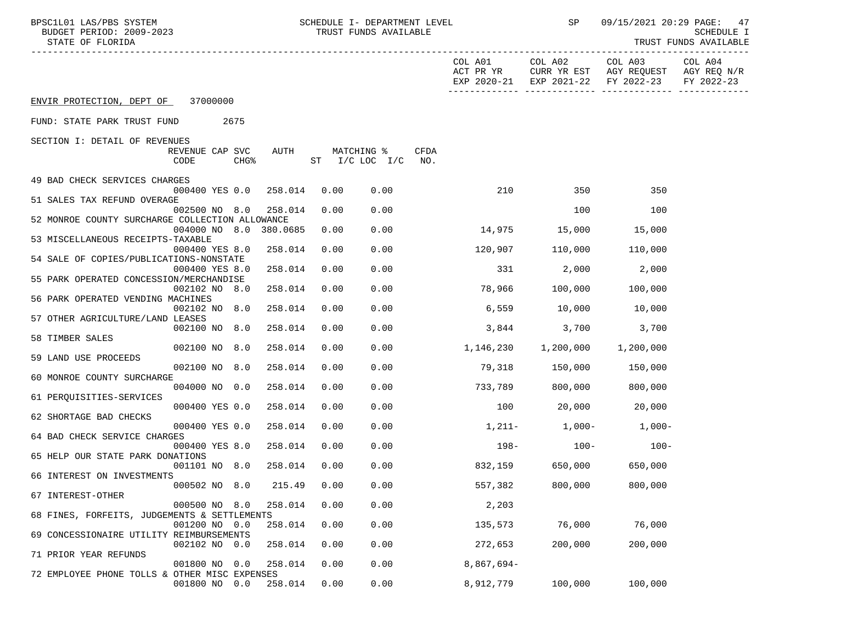| BPSC1L01 LAS/PBS SYSTEM<br>BUDGET PERIOD: 2009-2023<br>STATE OF FLORIDA     |      | SCHEDULE I- DEPARTMENT LEVEL<br>TRUST FUNDS AVAILABLE |                      | SP        | 09/15/2021 20:29 PAGE:                                                               | 47<br>SCHEDULE I<br>TRUST FUNDS AVAILABLE |
|-----------------------------------------------------------------------------|------|-------------------------------------------------------|----------------------|-----------|--------------------------------------------------------------------------------------|-------------------------------------------|
|                                                                             |      |                                                       | COL A01<br>ACT PR YR | COL A02   | COL A03<br>CURR YR EST AGY REQUEST AGY REQ N/R<br>EXP 2020-21 EXP 2021-22 FY 2022-23 | COL A04<br>FY 2022-23                     |
| 37000000<br>ENVIR PROTECTION, DEPT OF                                       |      |                                                       |                      |           |                                                                                      |                                           |
| 2675<br>FUND: STATE PARK TRUST FUND                                         |      |                                                       |                      |           |                                                                                      |                                           |
| SECTION I: DETAIL OF REVENUES                                               |      |                                                       |                      |           |                                                                                      |                                           |
| REVENUE CAP SVC<br>AUTH<br>CHG <sup>8</sup><br>CODE                         |      | MATCHING %<br>CFDA<br>ST I/C LOC I/C<br>NO.           |                      |           |                                                                                      |                                           |
| 49 BAD CHECK SERVICES CHARGES                                               |      |                                                       |                      |           |                                                                                      |                                           |
| 000400 YES 0.0<br>258.014<br>51 SALES TAX REFUND OVERAGE                    | 0.00 | 0.00                                                  | 210                  | 350       | 350                                                                                  |                                           |
| 258.014<br>002500 NO 8.0<br>52 MONROE COUNTY SURCHARGE COLLECTION ALLOWANCE | 0.00 | 0.00                                                  |                      | 100       | 100                                                                                  |                                           |
| 004000 NO 8.0 380.0685<br>53 MISCELLANEOUS RECEIPTS-TAXABLE                 | 0.00 | 0.00                                                  | 14,975 15,000        |           | 15,000                                                                               |                                           |
| 000400 YES 8.0<br>258.014                                                   | 0.00 | 0.00                                                  | 120,907              | 110,000   | 110,000                                                                              |                                           |
| 54 SALE OF COPIES/PUBLICATIONS-NONSTATE                                     |      |                                                       |                      |           |                                                                                      |                                           |
| 258.014<br>000400 YES 8.0<br>55 PARK OPERATED CONCESSION/MERCHANDISE        | 0.00 | 0.00                                                  | 331                  | 2,000     | 2,000                                                                                |                                           |
| 002102 NO 8.0<br>258.014                                                    | 0.00 | 0.00                                                  | 78,966               | 100,000   | 100,000                                                                              |                                           |
| 56 PARK OPERATED VENDING MACHINES                                           |      |                                                       |                      |           |                                                                                      |                                           |
| 002102 NO 8.0<br>258.014<br>57 OTHER AGRICULTURE/LAND LEASES                | 0.00 | 0.00                                                  | 6,559                | 10,000    | 10,000                                                                               |                                           |
| 002100 NO 8.0<br>258.014                                                    | 0.00 | 0.00                                                  | 3,844                | 3,700     | 3,700                                                                                |                                           |
| 58 TIMBER SALES                                                             |      |                                                       |                      |           |                                                                                      |                                           |
| 002100 NO 8.0<br>258.014<br>59 LAND USE PROCEEDS                            | 0.00 | 0.00                                                  | 1,146,230            | 1,200,000 | 1,200,000                                                                            |                                           |
| 002100 NO 8.0<br>258.014                                                    | 0.00 | 0.00                                                  | 79,318               | 150,000   | 150,000                                                                              |                                           |
| 60 MONROE COUNTY SURCHARGE<br>258.014                                       | 0.00 | 0.00                                                  |                      |           |                                                                                      |                                           |
| 004000 NO 0.0<br>61 PERQUISITIES-SERVICES                                   |      |                                                       | 733,789              | 800,000   | 800,000                                                                              |                                           |
| 000400 YES 0.0<br>258.014                                                   | 0.00 | 0.00                                                  | 100                  | 20,000    | 20,000                                                                               |                                           |
| 62 SHORTAGE BAD CHECKS<br>000400 YES 0.0<br>258.014                         | 0.00 | 0.00                                                  |                      |           | $1,211-1,000-1,000-$                                                                 |                                           |
| 64 BAD CHECK SERVICE CHARGES                                                |      |                                                       |                      |           |                                                                                      |                                           |
| 000400 YES 8.0<br>258.014                                                   | 0.00 | 0.00                                                  | 198-                 | $100-$    | $100-$                                                                               |                                           |
| 65 HELP OUR STATE PARK DONATIONS                                            | 0.00 | 0.00                                                  | 832,159              | 650,000   | 650,000                                                                              |                                           |
| 258.014<br>001101 NO 8.0<br>66 INTEREST ON INVESTMENTS                      |      |                                                       |                      |           |                                                                                      |                                           |
| 000502 NO 8.0<br>215.49                                                     | 0.00 | 0.00                                                  | 557,382              | 800,000   | 800,000                                                                              |                                           |
| 67 INTEREST-OTHER<br>8.0<br>258.014<br>000500 NO                            | 0.00 | 0.00                                                  | 2,203                |           |                                                                                      |                                           |
| 68 FINES, FORFEITS, JUDGEMENTS & SETTLEMENTS                                |      |                                                       |                      |           |                                                                                      |                                           |
| 001200 NO<br>0.0<br>258.014                                                 | 0.00 | 0.00                                                  | 135,573              | 76,000    | 76,000                                                                               |                                           |
| 69 CONCESSIONAIRE UTILITY REIMBURSEMENTS<br>002102 NO<br>258.014<br>0.0     | 0.00 | 0.00                                                  | 272,653              | 200,000   | 200,000                                                                              |                                           |
| 71 PRIOR YEAR REFUNDS                                                       |      |                                                       |                      |           |                                                                                      |                                           |
| 258.014<br>001800 NO<br>0.0                                                 | 0.00 | 0.00                                                  | $8,867,694-$         |           |                                                                                      |                                           |
| 72 EMPLOYEE PHONE TOLLS & OTHER MISC EXPENSES<br>001800 NO 0.0<br>258.014   | 0.00 | 0.00                                                  | 8,912,779            | 100,000   | 100,000                                                                              |                                           |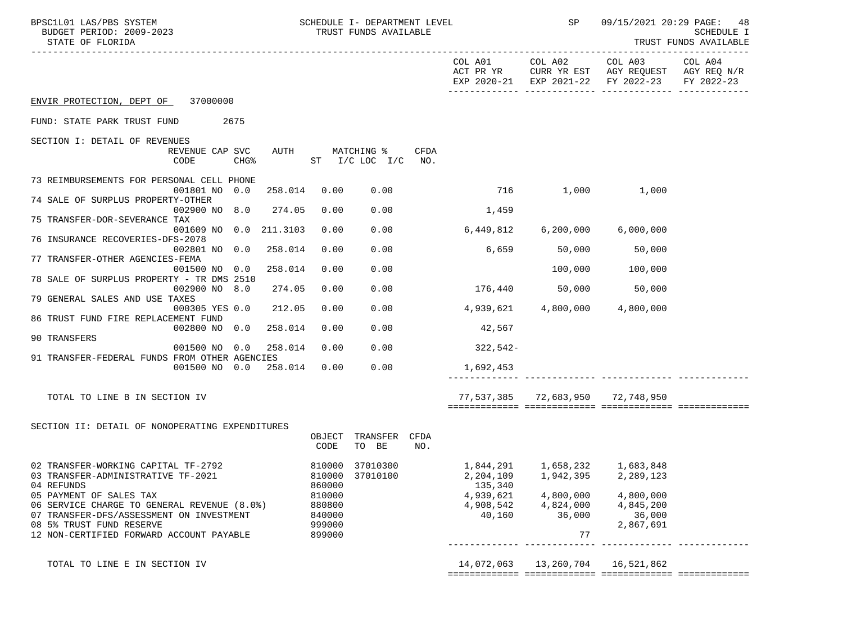| BPSC1L01 LAS/PBS SYSTEM<br>BUDGET PERIOD: 2009-2023<br>STATE OF FLORIDA   |                  | SCHEDULE I- DEPARTMENT LEVEL<br>TRUST FUNDS AVAILABLE |      |                        | SP                     |                                                                                                        | 09/15/2021 20:29 PAGE: 48<br>SCHEDULE I<br>TRUST FUNDS AVAILABLE |
|---------------------------------------------------------------------------|------------------|-------------------------------------------------------|------|------------------------|------------------------|--------------------------------------------------------------------------------------------------------|------------------------------------------------------------------|
|                                                                           |                  |                                                       |      | COL A01                |                        | COL A02 COL A03<br>ACT PR YR CURR YR EST AGY REQUEST AGY REQ N/R<br>EXP 2020-21 EXP 2021-22 FY 2022-23 | COL A04<br>FY 2022-23                                            |
| ENVIR PROTECTION, DEPT OF 37000000                                        |                  |                                                       |      |                        |                        |                                                                                                        |                                                                  |
| FUND: STATE PARK TRUST FUND<br>2675                                       |                  |                                                       |      |                        |                        |                                                                                                        |                                                                  |
| SECTION I: DETAIL OF REVENUES                                             |                  |                                                       |      |                        |                        |                                                                                                        |                                                                  |
| REVENUE CAP SVC<br>AUTH<br>CODE<br>$CHG\$                                 |                  | MATCHING %<br>ST $I/C$ LOC $I/C$ NO.                  | CFDA |                        |                        |                                                                                                        |                                                                  |
| 73 REIMBURSEMENTS FOR PERSONAL CELL PHONE<br>001801 NO 0.0<br>258.014     | 0.00             | 0.00                                                  |      |                        |                        | 716 1,000 1,000                                                                                        |                                                                  |
| 74 SALE OF SURPLUS PROPERTY-OTHER<br>002900 NO 8.0<br>274.05              | 0.00             | 0.00                                                  |      | 1,459                  |                        |                                                                                                        |                                                                  |
| 75 TRANSFER-DOR-SEVERANCE TAX                                             | 0.00             | 0.00                                                  |      | 6,449,812              |                        |                                                                                                        |                                                                  |
| 001609 NO 0.0 211.3103<br>76 INSURANCE RECOVERIES-DFS-2078                |                  |                                                       |      |                        | 6,200,000              | 6,000,000                                                                                              |                                                                  |
| 258.014<br>002801 NO 0.0<br>77 TRANSFER-OTHER AGENCIES-FEMA               | 0.00             | 0.00                                                  |      | 6,659                  | 50,000                 | 50,000                                                                                                 |                                                                  |
| 258.014<br>001500 NO 0.0                                                  | 0.00             | 0.00                                                  |      |                        |                        | 100,000 100,000                                                                                        |                                                                  |
| 78 SALE OF SURPLUS PROPERTY - TR DMS 2510                                 | 0.00             | 0.00                                                  |      |                        |                        | 176,440 50,000 50,000                                                                                  |                                                                  |
| 002900 NO 8.0<br>274.05<br>79 GENERAL SALES AND USE TAXES                 |                  |                                                       |      |                        |                        |                                                                                                        |                                                                  |
| 000305 YES 0.0<br>212.05                                                  | 0.00             | 0.00                                                  |      | 4,939,621              | 4,800,000              | 4,800,000                                                                                              |                                                                  |
| 86 TRUST FUND FIRE REPLACEMENT FUND<br>002800 NO 0.0<br>258.014           | 0.00             | 0.00                                                  |      | 42,567                 |                        |                                                                                                        |                                                                  |
| 90 TRANSFERS                                                              |                  |                                                       |      |                        |                        |                                                                                                        |                                                                  |
| 001500 NO 0.0<br>258.014<br>91 TRANSFER-FEDERAL FUNDS FROM OTHER AGENCIES | 0.00             | 0.00                                                  |      | $322,542-$             |                        |                                                                                                        |                                                                  |
| 001500 NO 0.0 258.014 0.00                                                |                  | 0.00                                                  |      | 1,692,453              |                        |                                                                                                        |                                                                  |
|                                                                           |                  |                                                       |      |                        |                        |                                                                                                        |                                                                  |
| TOTAL TO LINE B IN SECTION IV                                             |                  |                                                       |      |                        |                        | 77,537,385 72,683,950 72,748,950                                                                       |                                                                  |
| SECTION II: DETAIL OF NONOPERATING EXPENDITURES                           |                  |                                                       |      |                        |                        |                                                                                                        |                                                                  |
|                                                                           | OBJECT<br>CODE   | TRANSFER CFDA<br>TO BE                                | NO.  |                        |                        |                                                                                                        |                                                                  |
| 02 TRANSFER-WORKING CAPITAL TF-2792                                       |                  | 810000 37010300                                       |      |                        |                        |                                                                                                        |                                                                  |
| 03 TRANSFER-ADMINISTRATIVE TF-2021                                        | 810000           | 37010100                                              |      | 2,204,109              | 1,942,395              | 2,289,123                                                                                              |                                                                  |
| 04 REFUNDS                                                                | 860000           |                                                       |      | 135,340                |                        |                                                                                                        |                                                                  |
| 05 PAYMENT OF SALES TAX<br>06 SERVICE CHARGE TO GENERAL REVENUE (8.0%)    | 810000           |                                                       |      | 4,939,621<br>4,908,542 | 4,800,000<br>4,824,000 | 4,800,000                                                                                              |                                                                  |
| 07 TRANSFER-DFS/ASSESSMENT ON INVESTMENT                                  | 880800<br>840000 |                                                       |      | 40,160                 | 36,000                 | 4,845,200<br>36,000                                                                                    |                                                                  |
| 08 5% TRUST FUND RESERVE                                                  | 999000           |                                                       |      |                        |                        | 2,867,691                                                                                              |                                                                  |
| 12 NON-CERTIFIED FORWARD ACCOUNT PAYABLE                                  | 899000           |                                                       |      |                        | 77                     |                                                                                                        |                                                                  |
|                                                                           |                  |                                                       |      |                        |                        |                                                                                                        |                                                                  |
| TOTAL TO LINE E IN SECTION IV                                             |                  |                                                       |      | 14,072,063             | 13,260,704             | 16,521,862                                                                                             |                                                                  |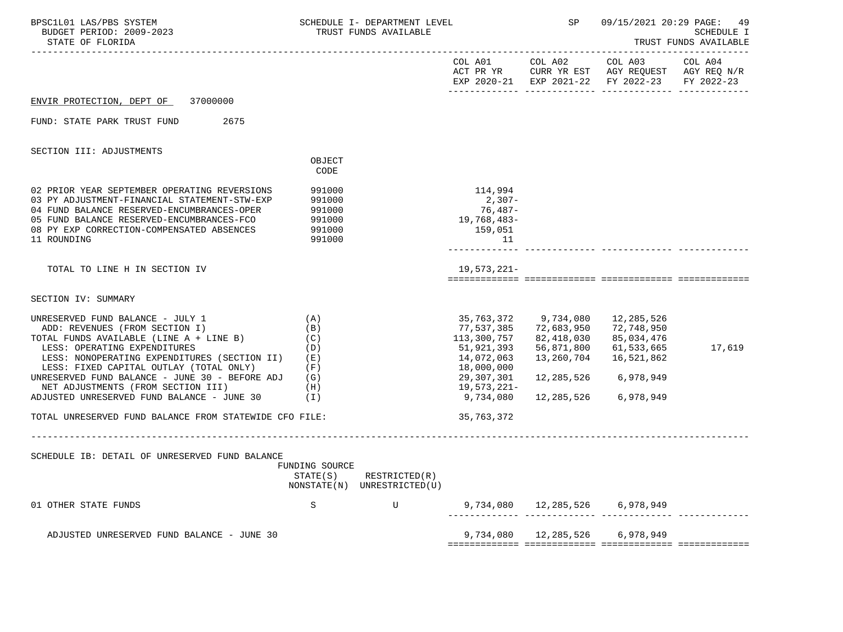| COL A01 COL A02 COL A03 COL A04<br>ACT PR YR CURR YR EST AGY REQUEST AGY REQ N/R<br>EXP 2020-21 EXP 2021-22 FY 2022-23<br>FY 2022-23<br>ENVIR PROTECTION, DEPT OF<br>37000000<br>FUND: STATE PARK TRUST FUND<br>2675<br>SECTION III: ADJUSTMENTS<br>OBJECT<br>CODE<br>02 PRIOR YEAR SEPTEMBER OPERATING REVERSIONS<br>991000<br>114,994<br>$2,307-$<br>03 PY ADJUSTMENT-FINANCIAL STATEMENT-STW-EXP<br>991000<br>04 FUND BALANCE RESERVED-ENCUMBRANCES-OPER<br>991000<br>76,487-<br>05 FUND BALANCE RESERVED-ENCUMBRANCES-FCO<br>19,768,483-<br>991000<br>08 PY EXP CORRECTION-COMPENSATED ABSENCES<br>159,051<br>991000<br>11 ROUNDING<br>991000<br>11<br>TOTAL TO LINE H IN SECTION IV<br>19,573,221-<br>SECTION IV: SUMMARY<br>35,763,372 9,734,080<br>UNRESERVED FUND BALANCE - JULY 1<br>(A)<br>12,285,526<br>72,683,950<br>77,537,385<br>72,748,950<br>ADD: REVENUES (FROM SECTION I)<br>(B)<br>TOTAL FUNDS AVAILABLE (LINE $A + LINE B$ ) (C)<br>113,300,757<br>82,418,030<br>85,034,476<br>LESS: OPERATING EXPENDITURES<br>51,921,393<br>56,871,800<br>61,533,665<br>17,619<br>(D)<br>13,260,704<br>LESS: NONOPERATING EXPENDITURES (SECTION II)<br>14,072,063<br>16,521,862<br>(E)<br>LESS: FIXED CAPITAL OUTLAY (TOTAL ONLY)<br>$(\nabla)$<br>18,000,000<br>12,285,526 6,978,949<br>UNRESERVED FUND BALANCE - JUNE 30 - BEFORE ADJ $(G)$<br>29,307,301<br>NET ADJUSTMENTS (FROM SECTION III)<br>19,573,221-<br>(H)<br>12,285,526<br>ADJUSTED UNRESERVED FUND BALANCE - JUNE 30 $(1)$<br>9,734,080<br>6,978,949<br>TOTAL UNRESERVED FUND BALANCE FROM STATEWIDE CFO FILE:<br>35,763,372<br>______________________<br>SCHEDULE IB: DETAIL OF UNRESERVED FUND BALANCE<br>FUNDING SOURCE<br>STATE(S)<br>RESTRICTED(R)<br>NONSTATE(N)<br>UNRESTRICTED(U)<br>9,734,080 12,285,526 6,978,949<br>01 OTHER STATE FUNDS<br>S<br>U<br>9,734,080<br>12,285,526<br>6,978,949<br>ADJUSTED UNRESERVED FUND BALANCE - JUNE 30 | BPSC1L01 LAS/PBS SYSTEM<br>BUDGET PERIOD: 2009-2023<br>STATE OF FLORIDA | SCHEDULE I- DEPARTMENT LEVEL<br>TRUST FUNDS AVAILABLE | SP | 09/15/2021 20:29 PAGE: 49<br>SCHEDULE I<br>TRUST FUNDS AVAILABLE |
|-------------------------------------------------------------------------------------------------------------------------------------------------------------------------------------------------------------------------------------------------------------------------------------------------------------------------------------------------------------------------------------------------------------------------------------------------------------------------------------------------------------------------------------------------------------------------------------------------------------------------------------------------------------------------------------------------------------------------------------------------------------------------------------------------------------------------------------------------------------------------------------------------------------------------------------------------------------------------------------------------------------------------------------------------------------------------------------------------------------------------------------------------------------------------------------------------------------------------------------------------------------------------------------------------------------------------------------------------------------------------------------------------------------------------------------------------------------------------------------------------------------------------------------------------------------------------------------------------------------------------------------------------------------------------------------------------------------------------------------------------------------------------------------------------------------------------------------------------------------------------------------------------------------------------|-------------------------------------------------------------------------|-------------------------------------------------------|----|------------------------------------------------------------------|
|                                                                                                                                                                                                                                                                                                                                                                                                                                                                                                                                                                                                                                                                                                                                                                                                                                                                                                                                                                                                                                                                                                                                                                                                                                                                                                                                                                                                                                                                                                                                                                                                                                                                                                                                                                                                                                                                                                                         |                                                                         |                                                       |    |                                                                  |
|                                                                                                                                                                                                                                                                                                                                                                                                                                                                                                                                                                                                                                                                                                                                                                                                                                                                                                                                                                                                                                                                                                                                                                                                                                                                                                                                                                                                                                                                                                                                                                                                                                                                                                                                                                                                                                                                                                                         |                                                                         |                                                       |    |                                                                  |
|                                                                                                                                                                                                                                                                                                                                                                                                                                                                                                                                                                                                                                                                                                                                                                                                                                                                                                                                                                                                                                                                                                                                                                                                                                                                                                                                                                                                                                                                                                                                                                                                                                                                                                                                                                                                                                                                                                                         |                                                                         |                                                       |    |                                                                  |
|                                                                                                                                                                                                                                                                                                                                                                                                                                                                                                                                                                                                                                                                                                                                                                                                                                                                                                                                                                                                                                                                                                                                                                                                                                                                                                                                                                                                                                                                                                                                                                                                                                                                                                                                                                                                                                                                                                                         |                                                                         |                                                       |    |                                                                  |
|                                                                                                                                                                                                                                                                                                                                                                                                                                                                                                                                                                                                                                                                                                                                                                                                                                                                                                                                                                                                                                                                                                                                                                                                                                                                                                                                                                                                                                                                                                                                                                                                                                                                                                                                                                                                                                                                                                                         |                                                                         |                                                       |    |                                                                  |
|                                                                                                                                                                                                                                                                                                                                                                                                                                                                                                                                                                                                                                                                                                                                                                                                                                                                                                                                                                                                                                                                                                                                                                                                                                                                                                                                                                                                                                                                                                                                                                                                                                                                                                                                                                                                                                                                                                                         |                                                                         |                                                       |    |                                                                  |
|                                                                                                                                                                                                                                                                                                                                                                                                                                                                                                                                                                                                                                                                                                                                                                                                                                                                                                                                                                                                                                                                                                                                                                                                                                                                                                                                                                                                                                                                                                                                                                                                                                                                                                                                                                                                                                                                                                                         |                                                                         |                                                       |    |                                                                  |
|                                                                                                                                                                                                                                                                                                                                                                                                                                                                                                                                                                                                                                                                                                                                                                                                                                                                                                                                                                                                                                                                                                                                                                                                                                                                                                                                                                                                                                                                                                                                                                                                                                                                                                                                                                                                                                                                                                                         |                                                                         |                                                       |    |                                                                  |
|                                                                                                                                                                                                                                                                                                                                                                                                                                                                                                                                                                                                                                                                                                                                                                                                                                                                                                                                                                                                                                                                                                                                                                                                                                                                                                                                                                                                                                                                                                                                                                                                                                                                                                                                                                                                                                                                                                                         |                                                                         |                                                       |    |                                                                  |
|                                                                                                                                                                                                                                                                                                                                                                                                                                                                                                                                                                                                                                                                                                                                                                                                                                                                                                                                                                                                                                                                                                                                                                                                                                                                                                                                                                                                                                                                                                                                                                                                                                                                                                                                                                                                                                                                                                                         |                                                                         |                                                       |    |                                                                  |
|                                                                                                                                                                                                                                                                                                                                                                                                                                                                                                                                                                                                                                                                                                                                                                                                                                                                                                                                                                                                                                                                                                                                                                                                                                                                                                                                                                                                                                                                                                                                                                                                                                                                                                                                                                                                                                                                                                                         |                                                                         |                                                       |    |                                                                  |
|                                                                                                                                                                                                                                                                                                                                                                                                                                                                                                                                                                                                                                                                                                                                                                                                                                                                                                                                                                                                                                                                                                                                                                                                                                                                                                                                                                                                                                                                                                                                                                                                                                                                                                                                                                                                                                                                                                                         |                                                                         |                                                       |    |                                                                  |
|                                                                                                                                                                                                                                                                                                                                                                                                                                                                                                                                                                                                                                                                                                                                                                                                                                                                                                                                                                                                                                                                                                                                                                                                                                                                                                                                                                                                                                                                                                                                                                                                                                                                                                                                                                                                                                                                                                                         |                                                                         |                                                       |    |                                                                  |
|                                                                                                                                                                                                                                                                                                                                                                                                                                                                                                                                                                                                                                                                                                                                                                                                                                                                                                                                                                                                                                                                                                                                                                                                                                                                                                                                                                                                                                                                                                                                                                                                                                                                                                                                                                                                                                                                                                                         |                                                                         |                                                       |    |                                                                  |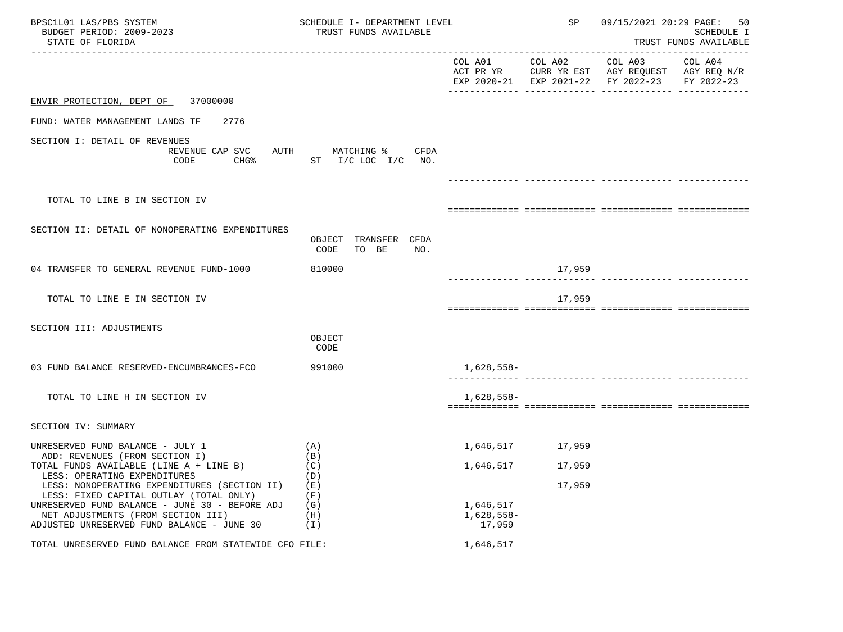| BPSC1L01 LAS/PBS SYSTEM<br>BUDGET PERIOD: 2009-2023<br>STATE OF FLORIDA                 | SCHEDULE I- DEPARTMENT LEVEL<br>TRUST FUNDS AVAILABLE |                           | SP                                 |                                                              | 09/15/2021 20:29 PAGE: 50<br>SCHEDULE I<br>TRUST FUNDS AVAILABLE |
|-----------------------------------------------------------------------------------------|-------------------------------------------------------|---------------------------|------------------------------------|--------------------------------------------------------------|------------------------------------------------------------------|
|                                                                                         |                                                       | COL A01<br>ACT PR YR      | COL A02<br>EXP 2020-21 EXP 2021-22 | COL A03<br>CURR YR EST AGY REQUEST AGY REQ N/R<br>FY 2022-23 | COL A04<br>FY 2022-23                                            |
| 37000000<br>ENVIR PROTECTION, DEPT OF                                                   |                                                       |                           |                                    |                                                              |                                                                  |
| FUND: WATER MANAGEMENT LANDS TF<br>2776                                                 |                                                       |                           |                                    |                                                              |                                                                  |
| SECTION I: DETAIL OF REVENUES<br>REVENUE CAP SVC<br>AUTH<br>CHG%<br>CODE                | CFDA<br>MATCHING %<br>ST $I/C$ LOC $I/C$ NO.          |                           |                                    |                                                              |                                                                  |
| TOTAL TO LINE B IN SECTION IV                                                           |                                                       |                           |                                    |                                                              |                                                                  |
|                                                                                         |                                                       |                           |                                    |                                                              |                                                                  |
| SECTION II: DETAIL OF NONOPERATING EXPENDITURES                                         | OBJECT TRANSFER CFDA<br>TO BE<br>CODE<br>NO.          |                           |                                    |                                                              |                                                                  |
| 04 TRANSFER TO GENERAL REVENUE FUND-1000                                                | 810000                                                |                           | 17,959                             |                                                              |                                                                  |
| TOTAL TO LINE E IN SECTION IV                                                           |                                                       |                           | 17,959                             |                                                              |                                                                  |
| SECTION III: ADJUSTMENTS                                                                | OBJECT<br>CODE                                        |                           |                                    |                                                              |                                                                  |
| 03 FUND BALANCE RESERVED-ENCUMBRANCES-FCO                                               | 991000                                                | $1,628,558-$              |                                    |                                                              |                                                                  |
| TOTAL TO LINE H IN SECTION IV                                                           |                                                       | 1,628,558-                |                                    |                                                              |                                                                  |
| SECTION IV: SUMMARY                                                                     |                                                       |                           |                                    |                                                              |                                                                  |
| UNRESERVED FUND BALANCE - JULY 1<br>ADD: REVENUES (FROM SECTION I)                      | (A)<br>(B)                                            | 1,646,517                 | 17,959                             |                                                              |                                                                  |
| TOTAL FUNDS AVAILABLE (LINE A + LINE B)<br>LESS: OPERATING EXPENDITURES                 | (C)<br>(D)                                            | 1,646,517                 | 17,959                             |                                                              |                                                                  |
| LESS: NONOPERATING EXPENDITURES (SECTION II)<br>LESS: FIXED CAPITAL OUTLAY (TOTAL ONLY) | (E)<br>(F)                                            |                           | 17,959                             |                                                              |                                                                  |
| UNRESERVED FUND BALANCE - JUNE 30 - BEFORE ADJ<br>NET ADJUSTMENTS (FROM SECTION III)    | (G)<br>(H)                                            | 1,646,517<br>$1,628,558-$ |                                    |                                                              |                                                                  |
| ADJUSTED UNRESERVED FUND BALANCE - JUNE 30                                              | (I)                                                   | 17,959                    |                                    |                                                              |                                                                  |
| TOTAL UNRESERVED FUND BALANCE FROM STATEWIDE CFO FILE:                                  |                                                       | 1,646,517                 |                                    |                                                              |                                                                  |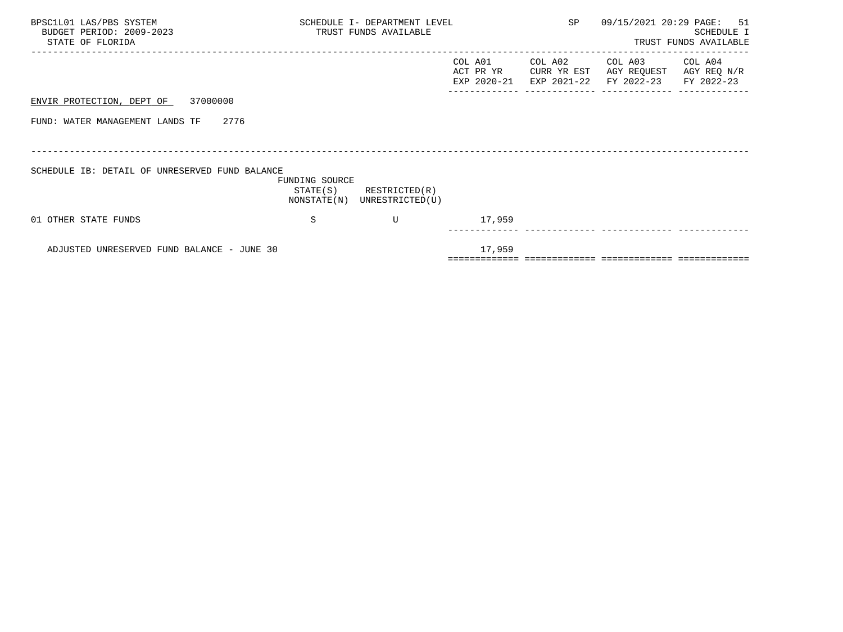| BPSC1L01 LAS/PBS SYSTEM<br>BUDGET PERIOD: 2009-2023<br>STATE OF FLORIDA |                | SCHEDULE I- DEPARTMENT LEVEL<br>TRUST FUNDS AVAILABLE      |                                     |                                       | 09/15/2021 20:29 PAGE: 51<br>SCHEDULE I<br>TRUST FUNDS AVAILABLE |                                      |  |
|-------------------------------------------------------------------------|----------------|------------------------------------------------------------|-------------------------------------|---------------------------------------|------------------------------------------------------------------|--------------------------------------|--|
|                                                                         |                |                                                            | COL A01<br>ACT PR YR<br>EXP 2020-21 | COL A02<br>CURR YR EST<br>EXP 2021-22 | COL A03<br>AGY REQUEST<br>FY 2022-23                             | COL A04<br>AGY REQ N/R<br>FY 2022-23 |  |
| ENVIR PROTECTION, DEPT OF 37000000                                      |                |                                                            |                                     |                                       |                                                                  |                                      |  |
| FUND: WATER MANAGEMENT LANDS TF 2776                                    |                |                                                            |                                     |                                       |                                                                  |                                      |  |
|                                                                         |                |                                                            |                                     |                                       |                                                                  |                                      |  |
| SCHEDULE IB: DETAIL OF UNRESERVED FUND BALANCE                          | FUNDING SOURCE | $STATE(S)$ RESTRICTED $(R)$<br>NONSTATE(N) UNRESTRICTED(U) |                                     |                                       |                                                                  |                                      |  |
| 01 OTHER STATE FUNDS                                                    | S              | U                                                          | 17,959                              |                                       |                                                                  |                                      |  |
| ADJUSTED UNRESERVED FUND BALANCE - JUNE 30                              |                |                                                            | 17,959                              |                                       |                                                                  |                                      |  |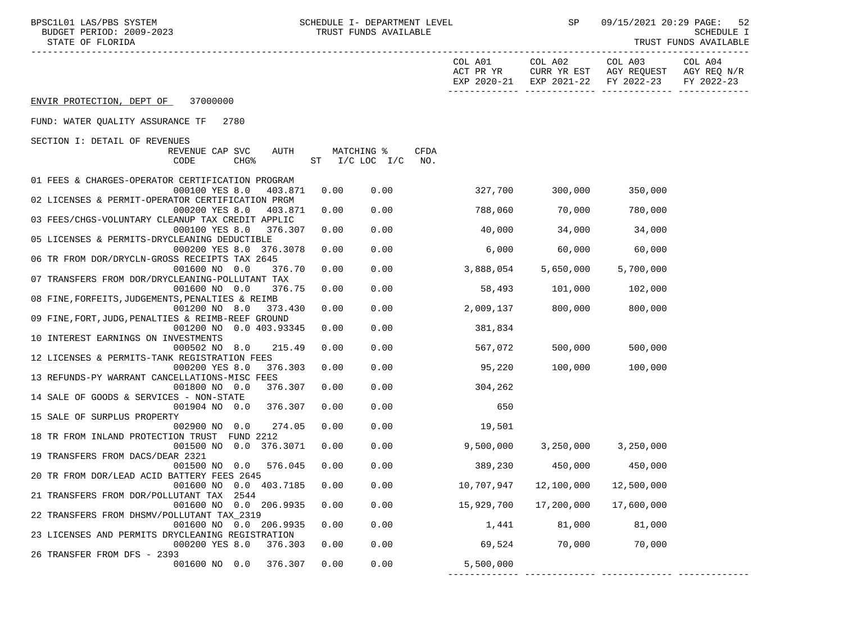| BPSC1L01 LAS/PBS SYSTEM<br>BUDGET PERIOD: 2009-2023<br>STATE OF FLORIDA       | SCHEDULE I- DEPARTMENT LEVEL<br>TRUST FUNDS AVAILABLE |                |      |                                     | SP                                    |                                                              | 09/15/2021 20:29 PAGE:<br>-52<br>SCHEDULE I<br>TRUST FUNDS AVAILABLE<br>------------ |  |
|-------------------------------------------------------------------------------|-------------------------------------------------------|----------------|------|-------------------------------------|---------------------------------------|--------------------------------------------------------------|--------------------------------------------------------------------------------------|--|
|                                                                               |                                                       |                |      | COL A01<br>ACT PR YR<br>EXP 2020-21 | COL A02<br>EXP 2021-22                | COL A03<br>CURR YR EST AGY REQUEST AGY REQ N/R<br>FY 2022-23 | COL A04<br>FY 2022-23                                                                |  |
| ENVIR PROTECTION, DEPT OF 37000000                                            |                                                       |                |      |                                     |                                       |                                                              |                                                                                      |  |
| FUND: WATER QUALITY ASSURANCE TF<br>2780                                      |                                                       |                |      |                                     |                                       |                                                              |                                                                                      |  |
| SECTION I: DETAIL OF REVENUES<br>REVENUE CAP SVC<br>AUTH                      |                                                       | MATCHING %     | CFDA |                                     |                                       |                                                              |                                                                                      |  |
| CODE<br>CHG <sup>8</sup>                                                      |                                                       | ST I/C LOC I/C | NO.  |                                     |                                       |                                                              |                                                                                      |  |
| 01 FEES & CHARGES-OPERATOR CERTIFICATION PROGRAM<br>000100 YES 8.0<br>403.871 | 0.00                                                  | 0.00           |      | 327,700                             | 300,000                               | 350,000                                                      |                                                                                      |  |
| 02 LICENSES & PERMIT-OPERATOR CERTIFICATION PRGM                              |                                                       |                |      |                                     |                                       |                                                              |                                                                                      |  |
| 000200 YES 8.0<br>403.871<br>03 FEES/CHGS-VOLUNTARY CLEANUP TAX CREDIT APPLIC | 0.00                                                  | 0.00           |      | 788,060                             | 70,000                                | 780,000                                                      |                                                                                      |  |
| 000100 YES 8.0<br>376.307                                                     | 0.00                                                  | 0.00           |      | 40,000                              | 34,000                                | 34,000                                                       |                                                                                      |  |
| 05 LICENSES & PERMITS-DRYCLEANING DEDUCTIBLE<br>000200 YES 8.0 376.3078       | 0.00                                                  | 0.00           |      | 6,000                               | 60,000                                | 60,000                                                       |                                                                                      |  |
| 06 TR FROM DOR/DRYCLN-GROSS RECEIPTS TAX 2645                                 |                                                       |                |      |                                     |                                       |                                                              |                                                                                      |  |
| 001600 NO 0.0<br>376.70<br>07 TRANSFERS FROM DOR/DRYCLEANING-POLLUTANT TAX    | 0.00                                                  | 0.00           |      | 3,888,054                           | 5,650,000                             | 5,700,000                                                    |                                                                                      |  |
| 001600 NO 0.0<br>376.75                                                       | 0.00                                                  | 0.00           |      | 58,493                              | 101,000                               | 102,000                                                      |                                                                                      |  |
| 08 FINE, FORFEITS, JUDGEMENTS, PENALTIES & REIMB<br>001200 NO 8.0<br>373.430  | 0.00                                                  | 0.00           |      | 2,009,137                           | 800,000                               | 800,000                                                      |                                                                                      |  |
| 09 FINE, FORT, JUDG, PENALTIES & REIMB-REEF GROUND                            |                                                       |                |      |                                     |                                       |                                                              |                                                                                      |  |
| 001200 NO 0.0 403.93345<br>10 INTEREST EARNINGS ON INVESTMENTS                | 0.00                                                  | 0.00           |      | 381,834                             |                                       |                                                              |                                                                                      |  |
| 000502 NO 8.0<br>215.49                                                       | 0.00                                                  | 0.00           |      | 567,072                             | 500,000                               | 500,000                                                      |                                                                                      |  |
| 12 LICENSES & PERMITS-TANK REGISTRATION FEES<br>000200 YES 8.0<br>376.303     | 0.00                                                  | 0.00           |      | 95,220                              | 100,000                               | 100,000                                                      |                                                                                      |  |
| 13 REFUNDS-PY WARRANT CANCELLATIONS-MISC FEES                                 |                                                       |                |      |                                     |                                       |                                                              |                                                                                      |  |
| 001800 NO 0.0<br>376.307                                                      | 0.00                                                  | 0.00           |      | 304,262                             |                                       |                                                              |                                                                                      |  |
| 14 SALE OF GOODS & SERVICES - NON-STATE<br>001904 NO 0.0<br>376.307           | 0.00                                                  | 0.00           |      | 650                                 |                                       |                                                              |                                                                                      |  |
| 15 SALE OF SURPLUS PROPERTY                                                   |                                                       |                |      |                                     |                                       |                                                              |                                                                                      |  |
| 002900 NO 0.0<br>274.05<br>18 TR FROM INLAND PROTECTION TRUST FUND 2212       | 0.00                                                  | 0.00           |      | 19,501                              |                                       |                                                              |                                                                                      |  |
| 001500 NO 0.0 376.3071                                                        | 0.00                                                  | 0.00           |      | 9,500,000                           |                                       | 3,250,000 3,250,000                                          |                                                                                      |  |
| 19 TRANSFERS FROM DACS/DEAR 2321                                              |                                                       |                |      |                                     |                                       |                                                              |                                                                                      |  |
| 001500 NO 0.0 576.045<br>20 TR FROM DOR/LEAD ACID BATTERY FEES 2645           | 0.00                                                  | 0.00           |      | 389,230                             | 450,000                               | 450,000                                                      |                                                                                      |  |
| 001600 NO 0.0 403.7185                                                        | 0.00                                                  | 0.00           |      | 10,707,947                          | 12,100,000                            | 12,500,000                                                   |                                                                                      |  |
| 21 TRANSFERS FROM DOR/POLLUTANT TAX 2544<br>001600 NO 0.0 206.9935            | 0.00                                                  | 0.00           |      | 15,929,700                          | 17,200,000                            | 17,600,000                                                   |                                                                                      |  |
| 22 TRANSFERS FROM DHSMV/POLLUTANT TAX_2319                                    |                                                       |                |      |                                     |                                       |                                                              |                                                                                      |  |
| 001600 NO 0.0 206.9935<br>23 LICENSES AND PERMITS DRYCLEANING REGISTRATION    | 0.00                                                  | 0.00           |      | 1,441                               | 81,000                                | 81,000                                                       |                                                                                      |  |
| 000200 YES 8.0<br>376.303                                                     | 0.00                                                  | 0.00           |      | 69,524                              | 70,000                                | 70,000                                                       |                                                                                      |  |
| 26 TRANSFER FROM DFS - 2393<br>001600 NO 0.0<br>376.307                       | 0.00                                                  | 0.00           |      |                                     |                                       |                                                              |                                                                                      |  |
|                                                                               |                                                       |                |      | 5,500,000                           | ------------- ------------- --------- |                                                              |                                                                                      |  |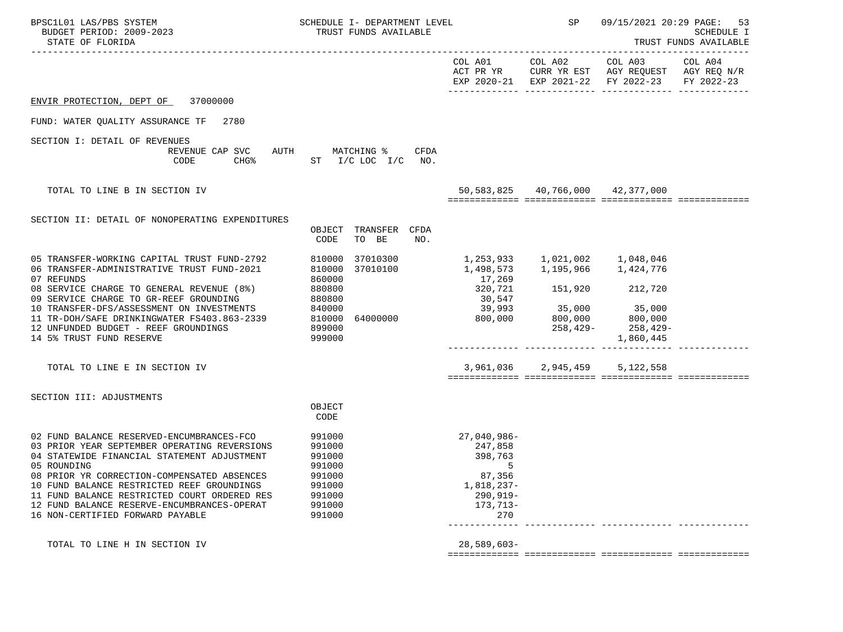| BPSC1L01 LAS/PBS SYSTEM<br>BUDGET PERIOD: 2009-2023<br>STATE OF FLORIDA                                                                                                                  | SCHEDULE I- DEPARTMENT LEVEL<br>TRUST FUNDS AVAILABLE |                                                  | SP                               | 09/15/2021 20:29 PAGE:                                                                                                            | 53<br>SCHEDULE I<br>TRUST FUNDS AVAILABLE |
|------------------------------------------------------------------------------------------------------------------------------------------------------------------------------------------|-------------------------------------------------------|--------------------------------------------------|----------------------------------|-----------------------------------------------------------------------------------------------------------------------------------|-------------------------------------------|
|                                                                                                                                                                                          |                                                       |                                                  |                                  | COL A01 COL A02 COL A03 COL A04<br>ACT PR YR CURR YR EST AGY REQUEST AGY REQ N/R<br>EXP 2020-21 EXP 2021-22 FY 2022-23 FY 2022-23 |                                           |
| ENVIR PROTECTION, DEPT OF<br>37000000                                                                                                                                                    |                                                       |                                                  |                                  |                                                                                                                                   |                                           |
| FUND: WATER OUALITY ASSURANCE TF<br>2780                                                                                                                                                 |                                                       |                                                  |                                  |                                                                                                                                   |                                           |
| SECTION I: DETAIL OF REVENUES<br>REVENUE CAP SVC AUTH MATCHING %<br>CODE                                                                                                                 | CFDA<br>CHG <sup>&amp;</sup> ST I/C LOC I/C<br>NO.    |                                                  |                                  |                                                                                                                                   |                                           |
| TOTAL TO LINE B IN SECTION IV                                                                                                                                                            |                                                       |                                                  | 50,583,825 40,766,000 42,377,000 |                                                                                                                                   |                                           |
| SECTION II: DETAIL OF NONOPERATING EXPENDITURES                                                                                                                                          | OBJECT TRANSFER CFDA<br>CODE<br>TO BE<br>NO.          |                                                  |                                  |                                                                                                                                   |                                           |
| 05 TRANSFER-WORKING CAPITAL TRUST FUND-2792<br>06 TRANSFER-ADMINISTRATIVE TRUST FUND-2021<br>07 REFUNDS                                                                                  | 810000<br>37010300<br>37010100<br>810000<br>860000    | 1, 253, 933 1, 021, 002 1, 048, 046<br>17,269    | 1,498,573 1,195,966 1,424,776    |                                                                                                                                   |                                           |
| 08 SERVICE CHARGE TO GENERAL REVENUE (8%)<br>09 SERVICE CHARGE TO GR-REEF GROUNDING<br>10 TRANSFER-DFS/ASSESSMENT ON INVESTMENTS 840000                                                  | 880800<br>880800                                      | 320,721<br>30,547<br>39,993                      | 151,920 212,720<br>35,000 35,000 |                                                                                                                                   |                                           |
| 11 TR-DOH/SAFE DRINKINGWATER FS403.863-2339 810000<br>12 UNFUNDED BUDGET - REEF GROUNDINGS<br>14 5% TRUST FUND RESERVE                                                                   | 64000000<br>899000<br>999000                          | 800,000                                          |                                  | 800,000 800,000<br>258,429- 258,429<br>258,429-<br>1,860,445                                                                      |                                           |
| TOTAL TO LINE E IN SECTION IV                                                                                                                                                            |                                                       |                                                  | 3,961,036 2,945,459 5,122,558    |                                                                                                                                   |                                           |
| SECTION III: ADJUSTMENTS                                                                                                                                                                 | OBJECT                                                |                                                  |                                  |                                                                                                                                   |                                           |
|                                                                                                                                                                                          | CODE                                                  |                                                  |                                  |                                                                                                                                   |                                           |
| 02 FUND BALANCE RESERVED-ENCUMBRANCES-FCO<br>03 PRIOR YEAR SEPTEMBER OPERATING REVERSIONS<br>04 STATEWIDE FINANCIAL STATEMENT ADJUSTMENT<br>05 ROUNDING                                  | 991000<br>991000<br>991000<br>991000                  | 27,040,986-<br>247,858<br>398,763<br>5           |                                  |                                                                                                                                   |                                           |
| 08 PRIOR YR CORRECTION-COMPENSATED ABSENCES<br>10 FUND BALANCE RESTRICTED REEF GROUNDINGS<br>11 FUND BALANCE RESTRICTED COURT ORDERED RES<br>12 FUND BALANCE RESERVE-ENCUMBRANCES-OPERAT | 991000<br>991000<br>991000<br>991000                  | 87,356<br>1,818,237-<br>$290, 919 -$<br>173,713- |                                  |                                                                                                                                   |                                           |
| 16 NON-CERTIFIED FORWARD PAYABLE                                                                                                                                                         | 991000                                                | 270                                              |                                  |                                                                                                                                   |                                           |
| TOTAL TO LINE H IN SECTION IV                                                                                                                                                            |                                                       | $28,589,603-$                                    |                                  |                                                                                                                                   |                                           |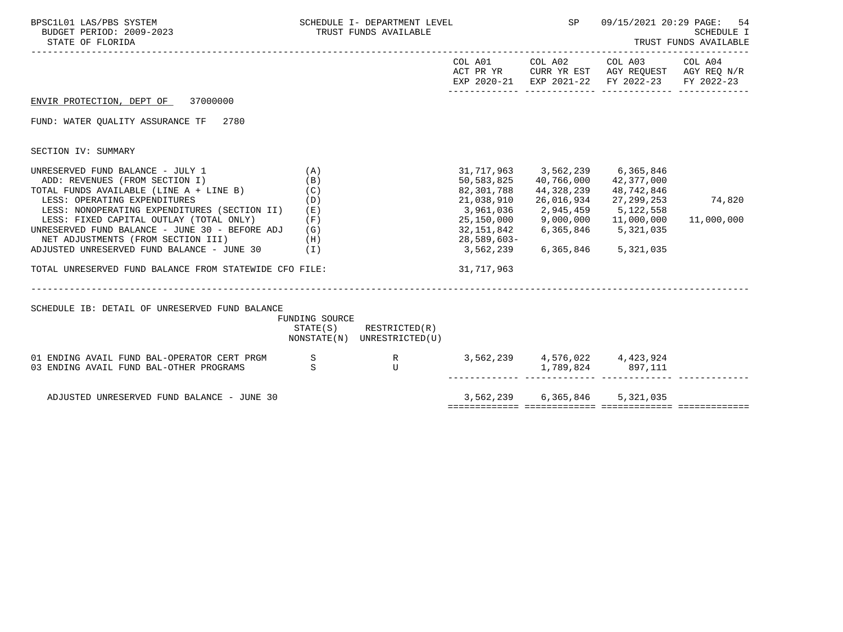| BPSC1L01 LAS/PBS SYSTEM<br>BUDGET PERIOD: 2009-2023<br>STATE OF FLORIDA                                                                                                                                                                                                                                                                                                                                                                                     |                                 | SCHEDULE I- DEPARTMENT LEVEL<br>TRUST FUNDS AVAILABLE      |                                                                                                                                                                                      | SP                                                                         | 09/15/2021 20:29 PAGE:<br>54<br>SCHEDULE I<br>TRUST FUNDS AVAILABLE                                    |                      |  |
|-------------------------------------------------------------------------------------------------------------------------------------------------------------------------------------------------------------------------------------------------------------------------------------------------------------------------------------------------------------------------------------------------------------------------------------------------------------|---------------------------------|------------------------------------------------------------|--------------------------------------------------------------------------------------------------------------------------------------------------------------------------------------|----------------------------------------------------------------------------|--------------------------------------------------------------------------------------------------------|----------------------|--|
|                                                                                                                                                                                                                                                                                                                                                                                                                                                             |                                 |                                                            |                                                                                                                                                                                      | COL A01 COL A02                                                            | COL A03 COL A04<br>ACT PR YR CURR YR EST AGY REQUEST AGY REQ N/R<br>EXP 2020-21 EXP 2021-22 FY 2022-23 | FY 2022-23           |  |
| ENVIR PROTECTION, DEPT OF 37000000                                                                                                                                                                                                                                                                                                                                                                                                                          |                                 |                                                            |                                                                                                                                                                                      |                                                                            |                                                                                                        |                      |  |
| FUND: WATER QUALITY ASSURANCE TF 2780                                                                                                                                                                                                                                                                                                                                                                                                                       |                                 |                                                            |                                                                                                                                                                                      |                                                                            |                                                                                                        |                      |  |
| SECTION IV: SUMMARY                                                                                                                                                                                                                                                                                                                                                                                                                                         |                                 |                                                            |                                                                                                                                                                                      |                                                                            |                                                                                                        |                      |  |
| UNRESERVED FUND BALANCE - JULY 1<br>(A)<br>ADD: REVENUES (FROM SECTION I)<br>TOTAL FUNDS AVAILABLE (LINE A + LINE B)<br>LESS: OPERATING EXPENDITURES<br>LESS: NONOPERATING EXPENDITURES (SECTION II) (E)<br>LESS: FIXED CAPITAL OUTLAY (TOTAL ONLY)<br>UNRESERVED FUND BALANCE - JUNE 30 - BEFORE ADJ (G)<br>NET ADJUSTMENTS (FROM SECTION III)<br>ADJUSTED UNRESERVED FUND BALANCE - JUNE 30 (I)<br>TOTAL UNRESERVED FUND BALANCE FROM STATEWIDE CFO FILE: | (B)<br>(C)<br>(D)<br>(F)<br>(H) |                                                            | 31,717,963 3,562,239 6,365,846<br>50,583,825   40,766,000   42,377,000<br>82,301,788<br>21,038,910<br>3,961,036<br>32, 151, 842 6, 365, 846 5, 321, 035<br>28,589,603-<br>31,717,963 | 44,328,239<br>2,945,459<br>$25,150,000$ $9,000,000$<br>3,562,239 6,365,846 | 48,742,846<br>26,016,934 27,299,253<br>5, 122, 558<br>11,000,000<br>5,321,035                          | 74,820<br>11,000,000 |  |
| SCHEDULE IB: DETAIL OF UNRESERVED FUND BALANCE                                                                                                                                                                                                                                                                                                                                                                                                              | FUNDING SOURCE                  | $STATE(S)$ RESTRICTED $(R)$<br>NONSTATE(N) UNRESTRICTED(U) |                                                                                                                                                                                      |                                                                            |                                                                                                        |                      |  |
| 01 ENDING AVAIL FUND BAL-OPERATOR CERT PRGM S<br>03 ENDING AVAIL FUND BAL-OTHER PROGRAMS                                                                                                                                                                                                                                                                                                                                                                    | $\mathbf S$                     | $\mathbf{U}$                                               |                                                                                                                                                                                      |                                                                            | 3,562,239 4,576,022 4,423,924<br>1,789,824 897,111                                                     |                      |  |
| ADJUSTED UNRESERVED FUND BALANCE - JUNE 30                                                                                                                                                                                                                                                                                                                                                                                                                  |                                 |                                                            |                                                                                                                                                                                      |                                                                            | 3,562,239 6,365,846 5,321,035                                                                          |                      |  |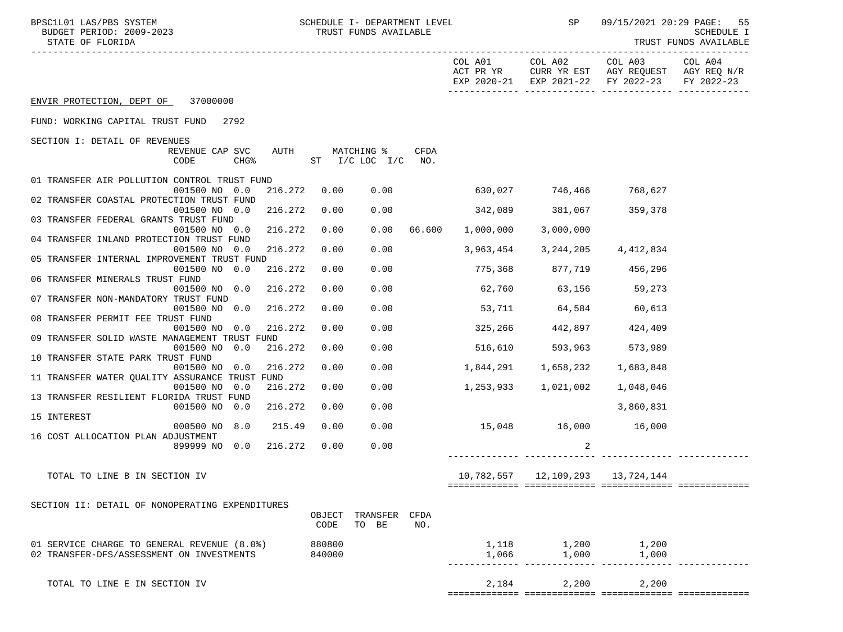| SCHEDULE I- DEPARTMENT LEVEL<br>BPSC1L01 LAS/PBS SYSTEM<br>BUDGET PERIOD: 2009-2023<br>STATE OF FLORIDA |                  | TRUST FUNDS AVAILABLE             |             |                          |                         | SP 09/15/2021 20:29 PAGE:                                                                                              | -55<br>SCHEDULE I<br>TRUST FUNDS AVAILABLE |
|---------------------------------------------------------------------------------------------------------|------------------|-----------------------------------|-------------|--------------------------|-------------------------|------------------------------------------------------------------------------------------------------------------------|--------------------------------------------|
|                                                                                                         |                  |                                   |             |                          |                         | COL A01 COL A02 COL A03 COL A04<br>ACT PR YR CURR YR EST AGY REQUEST AGY REQ N/R<br>EXP 2020-21 EXP 2021-22 FY 2022-23 | FY 2022-23                                 |
| ENVIR PROTECTION, DEPT OF 37000000                                                                      |                  |                                   |             |                          |                         |                                                                                                                        |                                            |
| FUND: WORKING CAPITAL TRUST FUND 2792                                                                   |                  |                                   |             |                          |                         |                                                                                                                        |                                            |
| SECTION I: DETAIL OF REVENUES                                                                           |                  |                                   |             |                          |                         |                                                                                                                        |                                            |
| REVENUE CAP SVC<br>CODE<br>$CHG\$                                                                       |                  | AUTH MATCHING %<br>ST I/C LOC I/C | CFDA<br>NO. |                          |                         |                                                                                                                        |                                            |
| 01 TRANSFER AIR POLLUTION CONTROL TRUST FUND                                                            |                  |                                   |             |                          |                         |                                                                                                                        |                                            |
| 001500 NO 0.0<br>216.272<br>02 TRANSFER COASTAL PROTECTION TRUST FUND                                   | 0.00             | 0.00                              |             | 630,027 746,466 768,627  |                         |                                                                                                                        |                                            |
| 001500 NO 0.0<br>216.272                                                                                | 0.00             | 0.00                              |             | 342,089 381,067 359,378  |                         |                                                                                                                        |                                            |
| 03 TRANSFER FEDERAL GRANTS TRUST FUND<br>001500 NO 0.0<br>216.272                                       | 0.00             | 0.00                              | 66.600      | 1.000.000                | 3,000,000               |                                                                                                                        |                                            |
| 04 TRANSFER INLAND PROTECTION TRUST FUND<br>001500 NO 0.0<br>216.272                                    | 0.00             | 0.00                              |             | 3,963,454                | 3,244,205               | 4,412,834                                                                                                              |                                            |
| 05 TRANSFER INTERNAL IMPROVEMENT TRUST FUND                                                             |                  |                                   |             |                          |                         |                                                                                                                        |                                            |
| 001500 NO 0.0<br>216.272<br>06 TRANSFER MINERALS TRUST FUND                                             | 0.00             | 0.00                              |             |                          | 775,368 877,719 456,296 |                                                                                                                        |                                            |
| 216.272<br>001500 NO 0.0<br>07 TRANSFER NON-MANDATORY TRUST FUND                                        | 0.00             | 0.00                              |             | $62,760$ $63,156$ 59,273 |                         |                                                                                                                        |                                            |
| 216.272<br>001500 NO 0.0                                                                                | 0.00             | 0.00                              |             | 53,711 64,584 60,613     |                         |                                                                                                                        |                                            |
| 08 TRANSFER PERMIT FEE TRUST FUND<br>001500 NO 0.0<br>216.272                                           | 0.00             | 0.00                              |             | 325,266 442,897          |                         | 424,409                                                                                                                |                                            |
| 09 TRANSFER SOLID WASTE MANAGEMENT TRUST FUND                                                           |                  |                                   |             |                          |                         |                                                                                                                        |                                            |
| 001500 NO 0.0<br>216.272<br>10 TRANSFER STATE PARK TRUST FUND                                           | 0.00             | 0.00                              |             | 516,610 593,963 573,989  |                         |                                                                                                                        |                                            |
| 001500 NO 0.0<br>216.272<br>11 TRANSFER WATER QUALITY ASSURANCE TRUST FUND                              | 0.00             | 0.00                              |             |                          |                         |                                                                                                                        |                                            |
| 001500 NO 0.0<br>216.272                                                                                | 0.00             | 0.00                              |             |                          |                         | 1,048,046                                                                                                              |                                            |
| 13 TRANSFER RESILIENT FLORIDA TRUST FUND<br>001500 NO 0.0<br>216.272                                    | 0.00             | 0.00                              |             |                          |                         | 3,860,831                                                                                                              |                                            |
| 15 INTEREST<br>000500 NO 8.0<br>215.49                                                                  | 0.00             | 0.00                              |             | 15,048 16,000 16,000     |                         |                                                                                                                        |                                            |
| 16 COST ALLOCATION PLAN ADJUSTMENT                                                                      |                  |                                   |             |                          |                         |                                                                                                                        |                                            |
| 216.272<br>899999 NO 0.0                                                                                | 0.00             | 0.00                              |             |                          | 2                       |                                                                                                                        |                                            |
| TOTAL TO LINE B IN SECTION IV                                                                           |                  |                                   |             |                          |                         | 10,782,557    12,109,293    13,724,144                                                                                 |                                            |
|                                                                                                         |                  |                                   |             |                          |                         |                                                                                                                        |                                            |
| SECTION II: DETAIL OF NONOPERATING EXPENDITURES                                                         | OBJECT<br>CODE   | TRANSFER CFDA<br>TO BE            | NO.         |                          |                         |                                                                                                                        |                                            |
| 01 SERVICE CHARGE TO GENERAL REVENUE (8.0%)<br>02 TRANSFER-DFS/ASSESSMENT ON INVESTMENTS                | 880800<br>840000 |                                   |             | 1,118<br>1,066           | 1,200<br>1,000          | 1,200<br>1,000                                                                                                         |                                            |
| TOTAL TO LINE E IN SECTION IV                                                                           |                  |                                   |             | 2,184                    | 2,200                   | 2,200                                                                                                                  |                                            |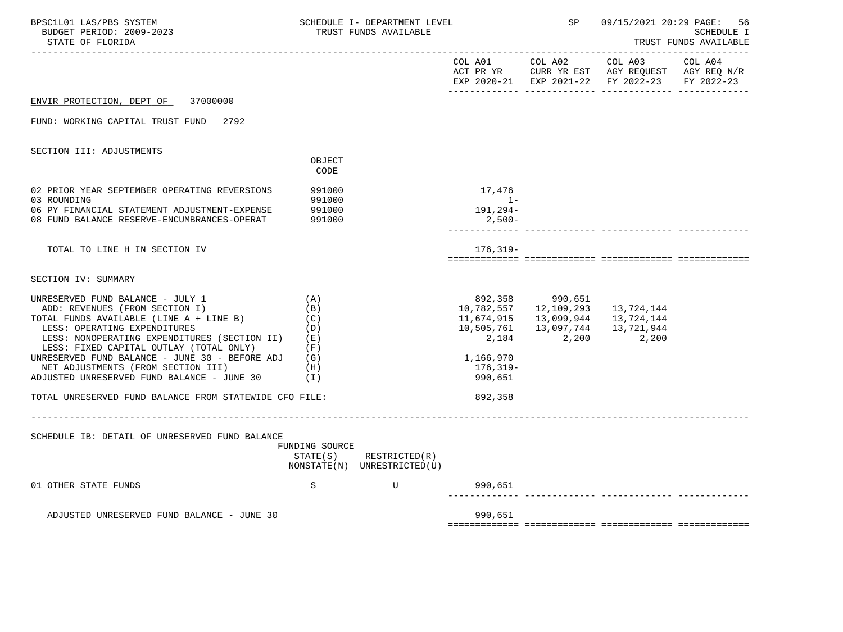| BPSC1L01 LAS/PBS SYSTEM<br>BUDGET PERIOD: 2009-2023<br>STATE OF FLORIDA                                                                                                                                                                                                                    |                                                 | SCHEDULE I- DEPARTMENT LEVEL<br>TRUST FUNDS AVAILABLE |                                                                         | SP                                                         |                                                                                                                     | 09/15/2021 20:29 PAGE: 56<br><b>SCHEDULE I</b><br>TRUST FUNDS AVAILABLE |
|--------------------------------------------------------------------------------------------------------------------------------------------------------------------------------------------------------------------------------------------------------------------------------------------|-------------------------------------------------|-------------------------------------------------------|-------------------------------------------------------------------------|------------------------------------------------------------|---------------------------------------------------------------------------------------------------------------------|-------------------------------------------------------------------------|
|                                                                                                                                                                                                                                                                                            |                                                 |                                                       | COL A01 COL A02                                                         |                                                            | COL A03<br>ACT PR YR $\,$ CURR YR EST $\,$ AGY REQUEST $\,$ AGY REQ $\rm N/R$<br>EXP 2020-21 EXP 2021-22 FY 2022-23 | COL A04<br>FY 2022-23                                                   |
| 37000000<br>ENVIR PROTECTION, DEPT OF                                                                                                                                                                                                                                                      |                                                 |                                                       |                                                                         |                                                            |                                                                                                                     |                                                                         |
| 2792<br>FUND: WORKING CAPITAL TRUST FUND                                                                                                                                                                                                                                                   |                                                 |                                                       |                                                                         |                                                            |                                                                                                                     |                                                                         |
| SECTION III: ADJUSTMENTS                                                                                                                                                                                                                                                                   |                                                 |                                                       |                                                                         |                                                            |                                                                                                                     |                                                                         |
|                                                                                                                                                                                                                                                                                            | OBJECT<br>CODE                                  |                                                       |                                                                         |                                                            |                                                                                                                     |                                                                         |
| 02 PRIOR YEAR SEPTEMBER OPERATING REVERSIONS<br>03 ROUNDING                                                                                                                                                                                                                                | 991000<br>991000                                |                                                       | 17,476<br>$1 -$                                                         |                                                            |                                                                                                                     |                                                                         |
| 06 PY FINANCIAL STATEMENT ADJUSTMENT-EXPENSE<br>08 FUND BALANCE RESERVE-ENCUMBRANCES-OPERAT                                                                                                                                                                                                | 991000<br>991000                                |                                                       | 191,294-<br>$2,500-$                                                    |                                                            |                                                                                                                     |                                                                         |
|                                                                                                                                                                                                                                                                                            |                                                 |                                                       |                                                                         |                                                            |                                                                                                                     |                                                                         |
| TOTAL TO LINE H IN SECTION IV                                                                                                                                                                                                                                                              |                                                 |                                                       | 176,319-                                                                |                                                            |                                                                                                                     |                                                                         |
| SECTION IV: SUMMARY                                                                                                                                                                                                                                                                        |                                                 |                                                       |                                                                         |                                                            |                                                                                                                     |                                                                         |
| UNRESERVED FUND BALANCE - JULY 1<br>ADD: REVENUES (FROM SECTION I)<br>TOTAL FUNDS AVAILABLE (LINE A + LINE B)<br>LESS: OPERATING EXPENDITURES<br>LESS: NONOPERATING EXPENDITURES (SECTION II)<br>LESS: FIXED CAPITAL OUTLAY (TOTAL ONLY)<br>UNRESERVED FUND BALANCE - JUNE 30 - BEFORE ADJ | (A)<br>(B)<br>(C)<br>(D)<br>( E )<br>(F)<br>(G) |                                                       | 892,358<br>10,782,557<br>11,674,915<br>10,505,761<br>2,184<br>1,166,970 | 990,651<br>12,109,293<br>13,099,944<br>13,097,744<br>2,200 | 13,724,144<br>13,724,144<br>13,721,944<br>2,200                                                                     |                                                                         |
| NET ADJUSTMENTS (FROM SECTION III)<br>ADJUSTED UNRESERVED FUND BALANCE - JUNE 30                                                                                                                                                                                                           | (H)<br>(I)                                      |                                                       | 176,319-<br>990,651                                                     |                                                            |                                                                                                                     |                                                                         |
| TOTAL UNRESERVED FUND BALANCE FROM STATEWIDE CFO FILE:                                                                                                                                                                                                                                     |                                                 |                                                       | 892,358                                                                 |                                                            |                                                                                                                     |                                                                         |
| SCHEDULE IB: DETAIL OF UNRESERVED FUND BALANCE                                                                                                                                                                                                                                             | FUNDING SOURCE<br>STATE(S)                      | RESTRICTED(R)<br>NONSTATE(N) UNRESTRICTED(U)          |                                                                         |                                                            |                                                                                                                     |                                                                         |
| 01 OTHER STATE FUNDS                                                                                                                                                                                                                                                                       | S                                               | U                                                     | 990,651                                                                 |                                                            |                                                                                                                     |                                                                         |
| ADJUSTED UNRESERVED FUND BALANCE - JUNE 30                                                                                                                                                                                                                                                 |                                                 |                                                       | 990,651                                                                 |                                                            |                                                                                                                     |                                                                         |